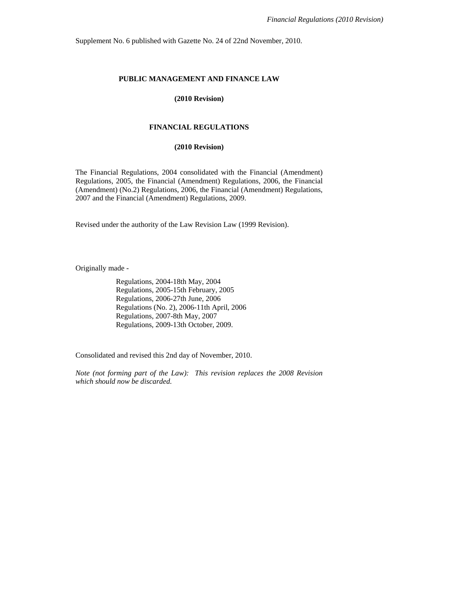Supplement No. 6 published with Gazette No. 24 of 22nd November, 2010.

# **PUBLIC MANAGEMENT AND FINANCE LAW**

# **(2010 Revision)**

### **FINANCIAL REGULATIONS**

### **(2010 Revision)**

The Financial Regulations, 2004 consolidated with the Financial (Amendment) Regulations, 2005, the Financial (Amendment) Regulations, 2006, the Financial (Amendment) (No.2) Regulations, 2006, the Financial (Amendment) Regulations, 2007 and the Financial (Amendment) Regulations, 2009.

Revised under the authority of the Law Revision Law (1999 Revision).

Originally made -

Regulations, 2004-18th May, 2004 Regulations, 2005-15th February, 2005 Regulations, 2006-27th June, 2006 Regulations (No. 2), 2006-11th April, 2006 Regulations, 2007-8th May, 2007 Regulations, 2009-13th October, 2009.

Consolidated and revised this 2nd day of November, 2010.

*Note (not forming part of the Law): This revision replaces the 2008 Revision which should now be discarded.*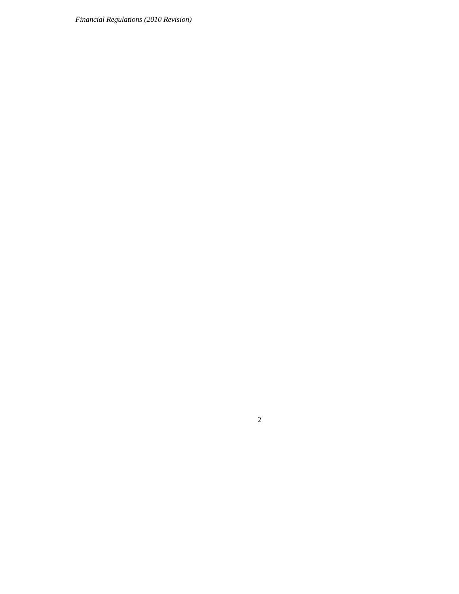*Financial Regulations (2010 Revision)*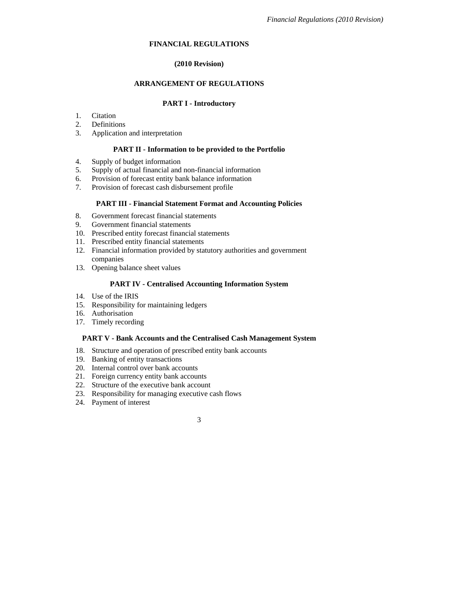# **FINANCIAL REGULATIONS**

# **(2010 Revision)**

# **ARRANGEMENT OF REGULATIONS**

# **PART I - Introductory**

- 1. Citation
- 2. Definitions
- 3. Application and interpretation

# **PART II - Information to be provided to the Portfolio**

- 4. Supply of budget information
- 5. Supply of actual financial and non-financial information
- 6. Provision of forecast entity bank balance information
- 7. Provision of forecast cash disbursement profile

# **PART III - Financial Statement Format and Accounting Policies**

- 8. Government forecast financial statements
- 9. Government financial statements
- 10. Prescribed entity forecast financial statements
- 11. Prescribed entity financial statements
- 12. Financial information provided by statutory authorities and government companies
- 13. Opening balance sheet values

# **PART IV - Centralised Accounting Information System**

- 14. Use of the IRIS
- 15. Responsibility for maintaining ledgers
- 16. Authorisation
- 17. Timely recording

# **PART V - Bank Accounts and the Centralised Cash Management System**

- 18. Structure and operation of prescribed entity bank accounts
- 19. Banking of entity transactions
- 20. Internal control over bank accounts
- 21. Foreign currency entity bank accounts
- 22. Structure of the executive bank account
- 23. Responsibility for managing executive cash flows
- 24. Payment of interest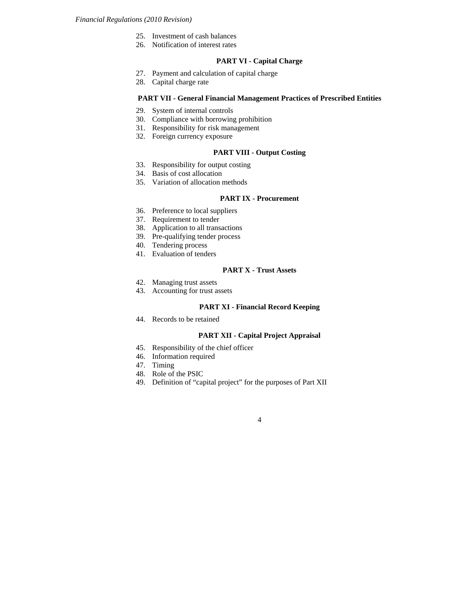- 25. Investment of cash balances
- 26. Notification of interest rates

## **PART VI - Capital Charge**

- 27. Payment and calculation of capital charge
- 28. Capital charge rate

# **PART VII - General Financial Management Practices of Prescribed Entities**

- 29. System of internal controls
- 30. Compliance with borrowing prohibition
- 31. Responsibility for risk management
- 32. Foreign currency exposure

# **PART VIII - Output Costing**

- 33. Responsibility for output costing
- 34. Basis of cost allocation
- 35. Variation of allocation methods

# **PART IX - Procurement**

- 36. Preference to local suppliers
- 37. Requirement to tender
- 38. Application to all transactions
- 39. Pre-qualifying tender process
- 40. Tendering process
- 41. Evaluation of tenders

# **PART X - Trust Assets**

- 42. Managing trust assets
- 43. Accounting for trust assets

### **PART XI - Financial Record Keeping**

44. Records to be retained

# **PART XII - Capital Project Appraisal**

- 45. Responsibility of the chief officer
- 46. Information required
- 47. Timing
- 48. Role of the PSIC
- 49. Definition of "capital project" for the purposes of Part XII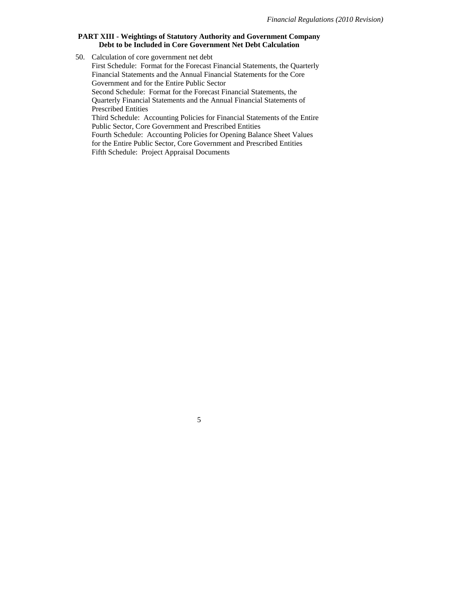# **PART XIII - Weightings of Statutory Authority and Government Company Debt to be Included in Core Government Net Debt Calculation**

50. Calculation of core government net debt First Schedule: Format for the Forecast Financial Statements, the Quarterly Financial Statements and the Annual Financial Statements for the Core Government and for the Entire Public Sector

Second Schedule: Format for the Forecast Financial Statements, the Quarterly Financial Statements and the Annual Financial Statements of Prescribed Entities

Third Schedule: Accounting Policies for Financial Statements of the Entire Public Sector, Core Government and Prescribed Entities

Fourth Schedule: Accounting Policies for Opening Balance Sheet Values for the Entire Public Sector, Core Government and Prescribed Entities Fifth Schedule: Project Appraisal Documents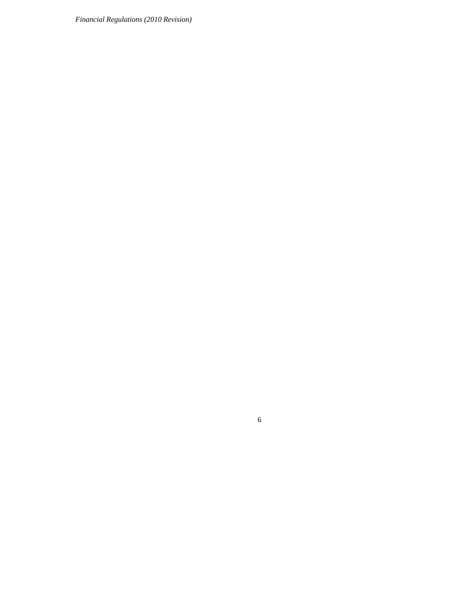*Financial Regulations (2010 Revision)*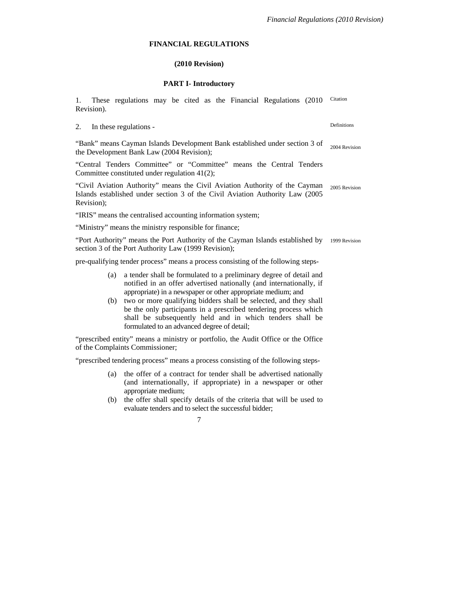### **FINANCIAL REGULATIONS**

### **(2010 Revision)**

### **PART I- Introductory**

1. These regulations may be cited as the Financial Regulations (2010 Citation Revision).

2. In these regulations - Definitions

"Bank" means Cayman Islands Development Bank established under section 3 of the Development Bank Law (2004 Revision);

"Central Tenders Committee" or "Committee" means the Central Tenders Committee constituted under regulation 41(2);

"Civil Aviation Authority" means the Civil Aviation Authority of the Cayman Islands established under section 3 of the Civil Aviation Authority Law (2005 Revision); 2005 Revision

"IRIS" means the centralised accounting information system;

"Ministry" means the ministry responsible for finance;

"Port Authority" means the Port Authority of the Cayman Islands established by 1999 Revision section 3 of the Port Authority Law (1999 Revision);

pre-qualifying tender process" means a process consisting of the following steps-

- (a) a tender shall be formulated to a preliminary degree of detail and notified in an offer advertised nationally (and internationally, if appropriate) in a newspaper or other appropriate medium; and
- (b) two or more qualifying bidders shall be selected, and they shall be the only participants in a prescribed tendering process which shall be subsequently held and in which tenders shall be formulated to an advanced degree of detail;

"prescribed entity" means a ministry or portfolio, the Audit Office or the Office of the Complaints Commissioner;

"prescribed tendering process" means a process consisting of the following steps-

- (a) the offer of a contract for tender shall be advertised nationally (and internationally, if appropriate) in a newspaper or other appropriate medium;
- (b) the offer shall specify details of the criteria that will be used to evaluate tenders and to select the successful bidder;

7

2004 Revision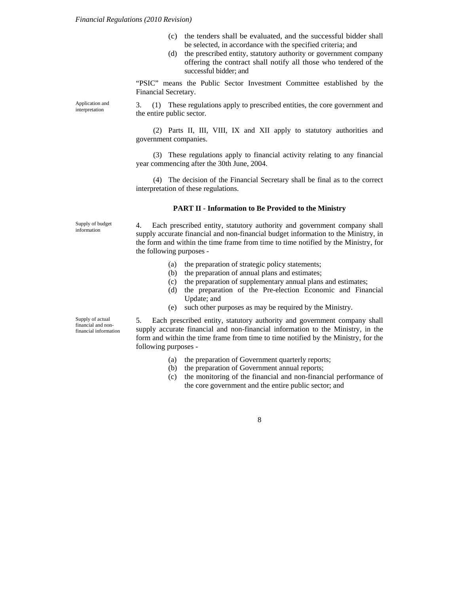- (c) the tenders shall be evaluated, and the successful bidder shall be selected, in accordance with the specified criteria; and
- (d) the prescribed entity, statutory authority or government company offering the contract shall notify all those who tendered of the successful bidder; and

"PSIC" means the Public Sector Investment Committee established by the Financial Secretary.

Application and interpretation

3. (1) These regulations apply to prescribed entities, the core government and the entire public sector.

(2) Parts II, III, VIII, IX and XII apply to statutory authorities and government companies.

 (3) These regulations apply to financial activity relating to any financial year commencing after the 30th June, 2004.

 (4) The decision of the Financial Secretary shall be final as to the correct interpretation of these regulations.

## **PART II - Information to Be Provided to the Ministry**

Supply of budget information

4. Each prescribed entity, statutory authority and government company shall supply accurate financial and non-financial budget information to the Ministry, in the form and within the time frame from time to time notified by the Ministry, for the following purposes -

- (a) the preparation of strategic policy statements;
- (b) the preparation of annual plans and estimates;
- (c) the preparation of supplementary annual plans and estimates;
- (d) the preparation of the Pre-election Economic and Financial Update; and
- (e) such other purposes as may be required by the Ministry.

5. Each prescribed entity, statutory authority and government company shall supply accurate financial and non-financial information to the Ministry, in the form and within the time frame from time to time notified by the Ministry, for the following purposes -

- (a) the preparation of Government quarterly reports;
- (b) the preparation of Government annual reports;
- (c) the monitoring of the financial and non-financial performance of the core government and the entire public sector; and

8

Supply of actual financial and nonfinancial information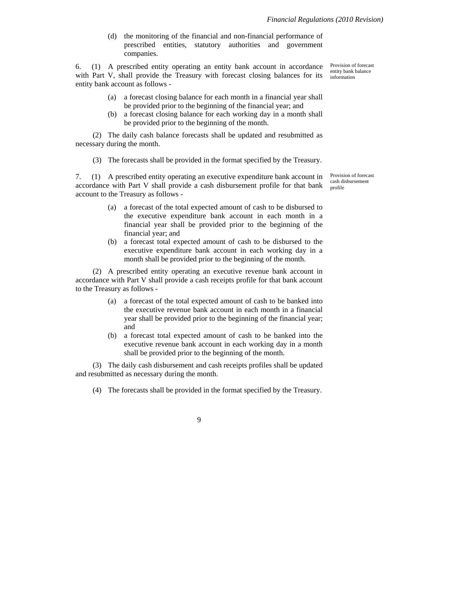(d) the monitoring of the financial and non-financial performance of prescribed entities, statutory authorities and government companies.

6. (1) A prescribed entity operating an entity bank account in accordance with Part V, shall provide the Treasury with forecast closing balances for its entity bank account as follows -

- (a) a forecast closing balance for each month in a financial year shall be provided prior to the beginning of the financial year; and
- (b) a forecast closing balance for each working day in a month shall be provided prior to the beginning of the month.

 (2) The daily cash balance forecasts shall be updated and resubmitted as necessary during the month.

(3) The forecasts shall be provided in the format specified by the Treasury.

7. (1) A prescribed entity operating an executive expenditure bank account in accordance with Part V shall provide a cash disbursement profile for that bank account to the Treasury as follows -

- (a) a forecast of the total expected amount of cash to be disbursed to the executive expenditure bank account in each month in a financial year shall be provided prior to the beginning of the financial year; and
- (b) a forecast total expected amount of cash to be disbursed to the executive expenditure bank account in each working day in a month shall be provided prior to the beginning of the month.

 (2) A prescribed entity operating an executive revenue bank account in accordance with Part V shall provide a cash receipts profile for that bank account to the Treasury as follows -

- (a) a forecast of the total expected amount of cash to be banked into the executive revenue bank account in each month in a financial year shall be provided prior to the beginning of the financial year; and
- (b) a forecast total expected amount of cash to be banked into the executive revenue bank account in each working day in a month shall be provided prior to the beginning of the month.

 (3) The daily cash disbursement and cash receipts profiles shall be updated and resubmitted as necessary during the month.

(4) The forecasts shall be provided in the format specified by the Treasury.

Provision of forecast cash disbursement profile

Provision of forecast entity bank balance information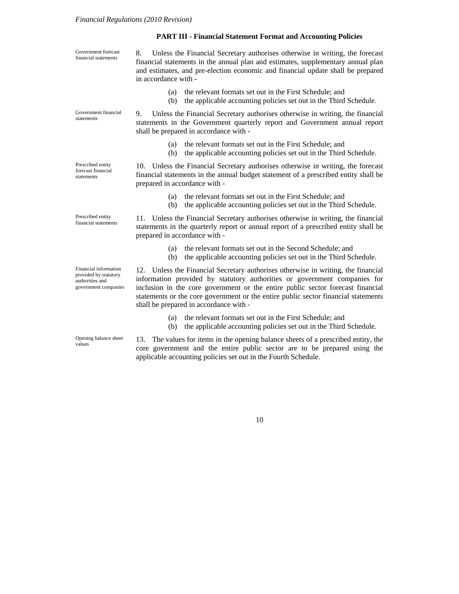|  | <b>PART III - Financial Statement Format and Accounting Policies</b> |  |
|--|----------------------------------------------------------------------|--|
|--|----------------------------------------------------------------------|--|

8. Unless the Financial Secretary authorises otherwise in writing, the forecast financial statements in the annual plan and estimates, supplementary annual plan and estimates, and pre-election economic and financial update shall be prepared in accordance with - Government forecast financial statements (a) the relevant formats set out in the First Schedule; and (b) the applicable accounting policies set out in the Third Schedule. 9. Unless the Financial Secretary authorises otherwise in writing, the financial statements in the Government quarterly report and Government annual report shall be prepared in accordance with - Government financial statements (a) the relevant formats set out in the First Schedule; and (b) the applicable accounting policies set out in the Third Schedule. 10. Unless the Financial Secretary authorises otherwise in writing, the forecast financial statements in the annual budget statement of a prescribed entity shall be prepared in accordance with - Prescribed entity forecast financial statements (a) the relevant formats set out in the First Schedule; and (b) the applicable accounting policies set out in the Third Schedule. 11. Unless the Financial Secretary authorises otherwise in writing, the financial statements in the quarterly report or annual report of a prescribed entity shall be prepared in accordance with - Prescribed entity financial statements (a) the relevant formats set out in the Second Schedule; and (b) the applicable accounting policies set out in the Third Schedule. 12. Unless the Financial Secretary authorises otherwise in writing, the financial information provided by statutory authorities or government companies for inclusion in the core government or the entire public sector forecast financial statements or the core government or the entire public sector financial statements shall be prepared in accordance with - Financial information provided by statutory authorities and government companies (a) the relevant formats set out in the First Schedule; and (b) the applicable accounting policies set out in the Third Schedule. 13. The values for items in the opening balance sheets of a prescribed entity, the core government and the entire public sector are to be prepared using the Opening balance sheet values

applicable accounting policies set out in the Fourth Schedule.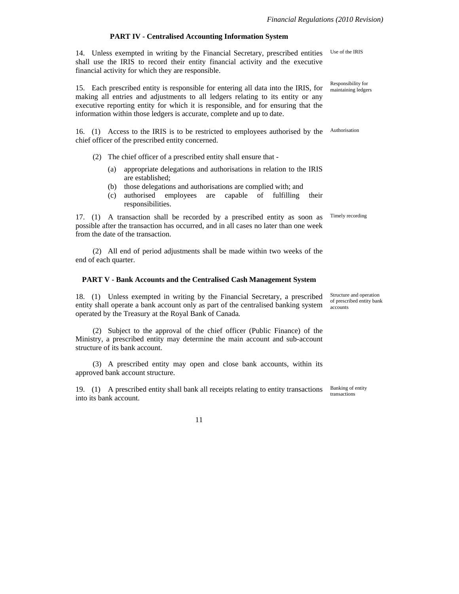## **PART IV - Centralised Accounting Information System**

14. Unless exempted in writing by the Financial Secretary, prescribed entities shall use the IRIS to record their entity financial activity and the executive financial activity for which they are responsible. Use of the IRIS

15. Each prescribed entity is responsible for entering all data into the IRIS, for Responsibility for making all entries and adjustments to all ledgers relating to its entity or any executive reporting entity for which it is responsible, and for ensuring that the information within those ledgers is accurate, complete and up to date.

16. (1) Access to the IRIS is to be restricted to employees authorised by the chief officer of the prescribed entity concerned. Authorisation

- (2) The chief officer of a prescribed entity shall ensure that
	- (a) appropriate delegations and authorisations in relation to the IRIS are established;
	- (b) those delegations and authorisations are complied with; and
	- (c) authorised employees are capable of fulfilling their responsibilities.

17. (1) A transaction shall be recorded by a prescribed entity as soon as possible after the transaction has occurred, and in all cases no later than one week from the date of the transaction.

(2) All end of period adjustments shall be made within two weeks of the end of each quarter.

# **PART V - Bank Accounts and the Centralised Cash Management System**

18. (1) Unless exempted in writing by the Financial Secretary, a prescribed entity shall operate a bank account only as part of the centralised banking system operated by the Treasury at the Royal Bank of Canada*.*

(2) Subject to the approval of the chief officer (Public Finance) of the Ministry, a prescribed entity may determine the main account and sub-account structure of its bank account.

 (3) A prescribed entity may open and close bank accounts, within its approved bank account structure.

19. (1) A prescribed entity shall bank all receipts relating to entity transactions into its bank account. Banking of entity transactions

Timely recording

Structure and operation of prescribed entity bank

accounts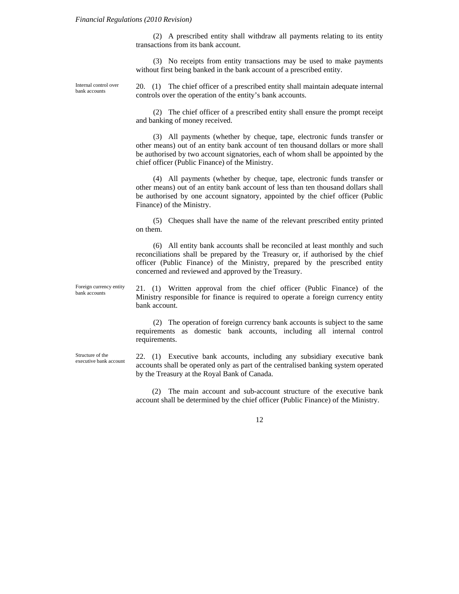(2) A prescribed entity shall withdraw all payments relating to its entity transactions from its bank account.

 (3) No receipts from entity transactions may be used to make payments without first being banked in the bank account of a prescribed entity.

Internal control over bank accounts

20. (1) The chief officer of a prescribed entity shall maintain adequate internal controls over the operation of the entity's bank accounts.

(2) The chief officer of a prescribed entity shall ensure the prompt receipt and banking of money received.

 (3) All payments (whether by cheque, tape, electronic funds transfer or other means) out of an entity bank account of ten thousand dollars or more shall be authorised by two account signatories, each of whom shall be appointed by the chief officer (Public Finance) of the Ministry.

 (4) All payments (whether by cheque, tape, electronic funds transfer or other means) out of an entity bank account of less than ten thousand dollars shall be authorised by one account signatory, appointed by the chief officer (Public Finance) of the Ministry.

 (5) Cheques shall have the name of the relevant prescribed entity printed on them.

 (6) All entity bank accounts shall be reconciled at least monthly and such reconciliations shall be prepared by the Treasury or, if authorised by the chief officer (Public Finance) of the Ministry, prepared by the prescribed entity concerned and reviewed and approved by the Treasury.

Foreign currency entity bank accounts

21. (1) Written approval from the chief officer (Public Finance) of the Ministry responsible for finance is required to operate a foreign currency entity bank account.

(2) The operation of foreign currency bank accounts is subject to the same requirements as domestic bank accounts, including all internal control requirements.

Structure of the executive bank account

22. (1) Executive bank accounts, including any subsidiary executive bank accounts shall be operated only as part of the centralised banking system operated by the Treasury at the Royal Bank of Canada.

(2) The main account and sub-account structure of the executive bank account shall be determined by the chief officer (Public Finance) of the Ministry.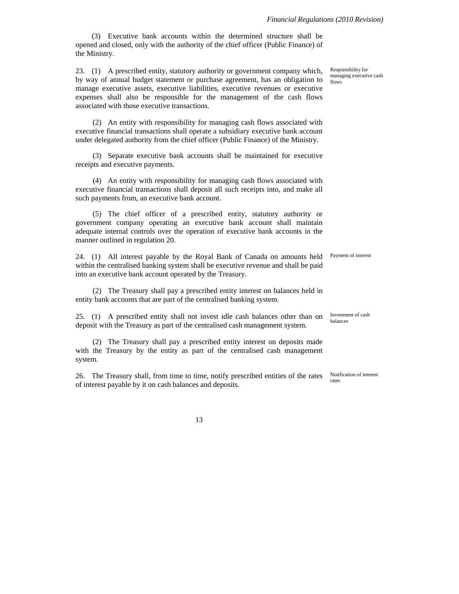(3) Executive bank accounts within the determined structure shall be opened and closed, only with the authority of the chief officer (Public Finance) of the Ministry.

23. (1) A prescribed entity, statutory authority or government company which, by way of annual budget statement or purchase agreement, has an obligation to manage executive assets, executive liabilities, executive revenues or executive expenses shall also be responsible for the management of the cash flows associated with those executive transactions.

(2) An entity with responsibility for managing cash flows associated with executive financial transactions shall operate a subsidiary executive bank account under delegated authority from the chief officer (Public Finance) of the Ministry.

 (3) Separate executive bank accounts shall be maintained for executive receipts and executive payments.

 (4) An entity with responsibility for managing cash flows associated with executive financial transactions shall deposit all such receipts into, and make all such payments from, an executive bank account.

 (5) The chief officer of a prescribed entity, statutory authority or government company operating an executive bank account shall maintain adequate internal controls over the operation of executive bank accounts in the manner outlined in regulation 20.

24. (1) All interest payable by the Royal Bank of Canada on amounts held within the centralised banking system shall be executive revenue and shall be paid into an executive bank account operated by the Treasury. Payment of interest

(2) The Treasury shall pay a prescribed entity interest on balances held in entity bank accounts that are part of the centralised banking system.

25. (1) A prescribed entity shall not invest idle cash balances other than on deposit with the Treasury as part of the centralised cash management system.

(2) The Treasury shall pay a prescribed entity interest on deposits made with the Treasury by the entity as part of the centralised cash management system.

26. The Treasury shall, from time to time, notify prescribed entities of the rates of interest payable by it on cash balances and deposits.

Responsibility for managing executive cash flows

Investment of cash balances

Notification of interest rates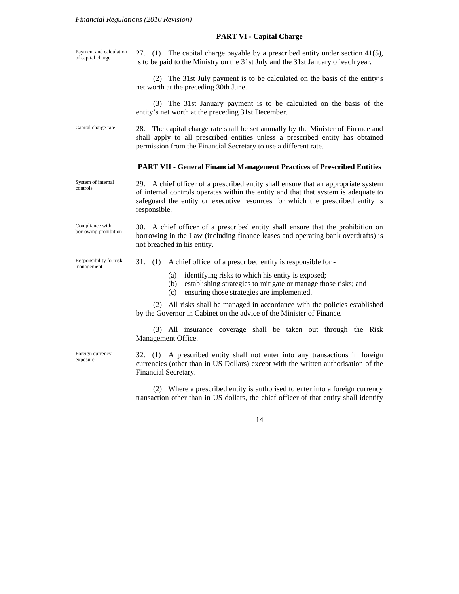*Financial Regulations (2010 Revision)* 

### **PART VI - Capital Charge**

Payment and calculation of capital charge

27. (1) The capital charge payable by a prescribed entity under section  $41(5)$ , is to be paid to the Ministry on the 31st July and the 31st January of each year.

(2) The 31st July payment is to be calculated on the basis of the entity's net worth at the preceding 30th June.

 (3) The 31st January payment is to be calculated on the basis of the entity's net worth at the preceding 31st December.

28. The capital charge rate shall be set annually by the Minister of Finance and shall apply to all prescribed entities unless a prescribed entity has obtained permission from the Financial Secretary to use a different rate. Capital charge rate

### **PART VII - General Financial Management Practices of Prescribed Entities**

29. A chief officer of a prescribed entity shall ensure that an appropriate system of internal controls operates within the entity and that that system is adequate to safeguard the entity or executive resources for which the prescribed entity is responsible. System of internal controls

30. A chief officer of a prescribed entity shall ensure that the prohibition on borrowing in the Law (including finance leases and operating bank overdrafts) is not breached in his entity. Compliance with borrowing prohibition

management

Responsibility for risk  $31. (1)$  A chief officer of a prescribed entity is responsible for -

- (a) identifying risks to which his entity is exposed;
- (b) establishing strategies to mitigate or manage those risks; and
- (c) ensuring those strategies are implemented.

 (2) All risks shall be managed in accordance with the policies established by the Governor in Cabinet on the advice of the Minister of Finance.

 (3) All insurance coverage shall be taken out through the Risk Management Office.

Foreign currency exposure

32. (1) A prescribed entity shall not enter into any transactions in foreign currencies (other than in US Dollars) except with the written authorisation of the Financial Secretary.

(2) Where a prescribed entity is authorised to enter into a foreign currency transaction other than in US dollars, the chief officer of that entity shall identify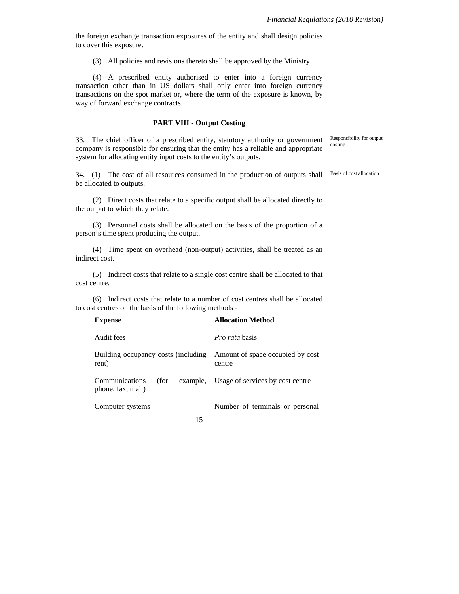the foreign exchange transaction exposures of the entity and shall design policies to cover this exposure.

(3) All policies and revisions thereto shall be approved by the Ministry.

 (4) A prescribed entity authorised to enter into a foreign currency transaction other than in US dollars shall only enter into foreign currency transactions on the spot market or, where the term of the exposure is known, by way of forward exchange contracts.

# **PART VIII - Output Costing**

33. The chief officer of a prescribed entity, statutory authority or government company is responsible for ensuring that the entity has a reliable and appropriate system for allocating entity input costs to the entity's outputs.

34. (1) The cost of all resources consumed in the production of outputs shall be allocated to outputs.

(2) Direct costs that relate to a specific output shall be allocated directly to the output to which they relate.

 (3) Personnel costs shall be allocated on the basis of the proportion of a person's time spent producing the output.

 (4) Time spent on overhead (non-output) activities, shall be treated as an indirect cost.

 (5) Indirect costs that relate to a single cost centre shall be allocated to that cost centre.

 (6) Indirect costs that relate to a number of cost centres shall be allocated to cost centres on the basis of the following methods -

| <b>Expense</b>                                          | <b>Allocation Method</b>                   |  |  |
|---------------------------------------------------------|--------------------------------------------|--|--|
| Audit fees                                              | <i>Pro rata</i> basis                      |  |  |
| Building occupancy costs (including<br>rent)            | Amount of space occupied by cost<br>centre |  |  |
| Communications<br>(for<br>example,<br>phone, fax, mail) | Usage of services by cost centre           |  |  |
| Computer systems                                        | Number of terminals or personal            |  |  |

15

Responsibility for output costing

Basis of cost allocation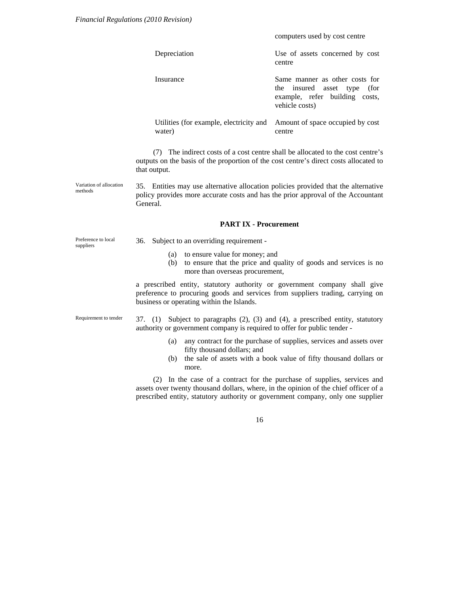computers used by cost centre

| Depreciation                                                                       | Use of assets concerned by cost<br>centre                                                                            |
|------------------------------------------------------------------------------------|----------------------------------------------------------------------------------------------------------------------|
| Insurance                                                                          | Same manner as other costs for<br>the insured asset type<br>(for<br>example, refer building costs,<br>vehicle costs) |
| Utilities (for example, electricity and Amount of space occupied by cost<br>water) | centre                                                                                                               |

 (7) The indirect costs of a cost centre shall be allocated to the cost centre's outputs on the basis of the proportion of the cost centre's direct costs allocated to that output.

Variation of allocation methods

35. Entities may use alternative allocation policies provided that the alternative policy provides more accurate costs and has the prior approval of the Accountant General.

## **PART IX - Procurement**

| Preference to local<br>suppliers | 36. Subject to an overriding requirement -                                                                                                                                                               |
|----------------------------------|----------------------------------------------------------------------------------------------------------------------------------------------------------------------------------------------------------|
|                                  | to ensure value for money; and<br>(a)<br>to ensure that the price and quality of goods and services is no<br>(b)<br>more than overseas procurement,                                                      |
|                                  | a prescribed entity, statutory authority or government company shall give<br>preference to procuring goods and services from suppliers trading, carrying on<br>business or operating within the Islands. |
| Requirement to tender            | Subject to paragraphs $(2)$ , $(3)$ and $(4)$ , a prescribed entity, statutory<br>37. (1)<br>authority or government company is required to offer for public tender -                                    |
|                                  | any contract for the purchase of supplies, services and assets over<br>(a)<br>fifty thousand dollars; and                                                                                                |
|                                  | the sale of assets with a book value of fifty thousand dollars or<br>(b)<br>more.                                                                                                                        |
|                                  | (2) In the case of a contract for the purchase of supplies, services and                                                                                                                                 |

assets over twenty thousand dollars, where, in the opinion of the chief officer of a prescribed entity, statutory authority or government company, only one supplier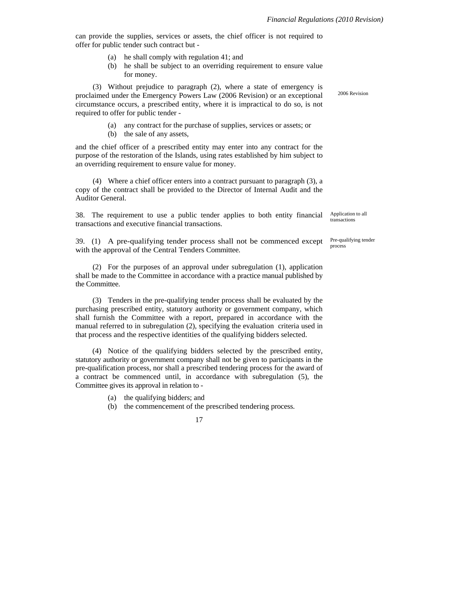can provide the supplies, services or assets, the chief officer is not required to offer for public tender such contract but -

- (a) he shall comply with regulation 41; and
- (b) he shall be subject to an overriding requirement to ensure value for money.

 (3) Without prejudice to paragraph (2), where a state of emergency is proclaimed under the Emergency Powers Law (2006 Revision) or an exceptional circumstance occurs, a prescribed entity, where it is impractical to do so, is not required to offer for public tender -

- (a) any contract for the purchase of supplies, services or assets; or
- (b) the sale of any assets,

and the chief officer of a prescribed entity may enter into any contract for the purpose of the restoration of the Islands, using rates established by him subject to an overriding requirement to ensure value for money.

 (4) Where a chief officer enters into a contract pursuant to paragraph (3), a copy of the contract shall be provided to the Director of Internal Audit and the Auditor General.

38. The requirement to use a public tender applies to both entity financial transactions and executive financial transactions.

39. (1) A pre-qualifying tender process shall not be commenced except with the approval of the Central Tenders Committee.

 (2) For the purposes of an approval under subregulation (1), application shall be made to the Committee in accordance with a practice manual published by the Committee.

 (3) Tenders in the pre-qualifying tender process shall be evaluated by the purchasing prescribed entity, statutory authority or government company, which shall furnish the Committee with a report, prepared in accordance with the manual referred to in subregulation (2), specifying the evaluation criteria used in that process and the respective identities of the qualifying bidders selected.

 (4) Notice of the qualifying bidders selected by the prescribed entity, statutory authority or government company shall not be given to participants in the pre-qualification process, nor shall a prescribed tendering process for the award of a contract be commenced until, in accordance with subregulation (5), the Committee gives its approval in relation to -

(a) the qualifying bidders; and

(b) the commencement of the prescribed tendering process.

17

2006 Revision

Application to all transactions

Pre-qualifying tender process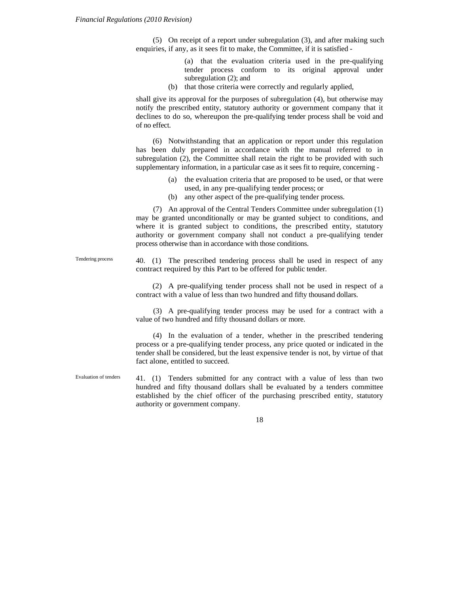(5) On receipt of a report under subregulation (3), and after making such enquiries, if any, as it sees fit to make, the Committee, if it is satisfied -

> (a) that the evaluation criteria used in the pre-qualifying tender process conform to its original approval under subregulation (2); and

(b) that those criteria were correctly and regularly applied,

shall give its approval for the purposes of subregulation (4), but otherwise may notify the prescribed entity, statutory authority or government company that it declines to do so, whereupon the pre-qualifying tender process shall be void and of no effect.

 (6) Notwithstanding that an application or report under this regulation has been duly prepared in accordance with the manual referred to in subregulation (2), the Committee shall retain the right to be provided with such supplementary information, in a particular case as it sees fit to require, concerning -

- the evaluation criteria that are proposed to be used, or that were used, in any pre-qualifying tender process; or
- (b) any other aspect of the pre-qualifying tender process.

 (7) An approval of the Central Tenders Committee under subregulation (1) may be granted unconditionally or may be granted subject to conditions, and where it is granted subject to conditions, the prescribed entity, statutory authority or government company shall not conduct a pre-qualifying tender process otherwise than in accordance with those conditions.

Tendering process

Evaluation of tenders

40. (1) The prescribed tendering process shall be used in respect of any contract required by this Part to be offered for public tender.

 (2) A pre-qualifying tender process shall not be used in respect of a contract with a value of less than two hundred and fifty thousand dollars.

 (3) A pre-qualifying tender process may be used for a contract with a value of two hundred and fifty thousand dollars or more.

 (4) In the evaluation of a tender, whether in the prescribed tendering process or a pre-qualifying tender process, any price quoted or indicated in the tender shall be considered, but the least expensive tender is not, by virtue of that fact alone, entitled to succeed.

41. (1) Tenders submitted for any contract with a value of less than two hundred and fifty thousand dollars shall be evaluated by a tenders committee established by the chief officer of the purchasing prescribed entity, statutory authority or government company.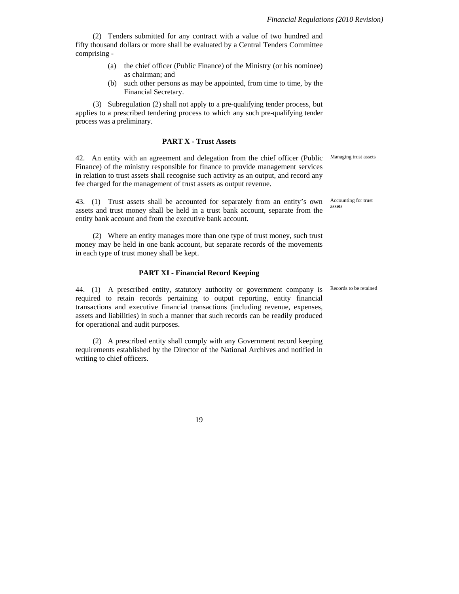(2) Tenders submitted for any contract with a value of two hundred and fifty thousand dollars or more shall be evaluated by a Central Tenders Committee comprising -

- (a) the chief officer (Public Finance) of the Ministry (or his nominee) as chairman; and
- (b) such other persons as may be appointed, from time to time, by the Financial Secretary.

 (3) Subregulation (2) shall not apply to a pre-qualifying tender process, but applies to a prescribed tendering process to which any such pre-qualifying tender process was a preliminary.

# **PART X - Trust Assets**

42. An entity with an agreement and delegation from the chief officer (Public Finance) of the ministry responsible for finance to provide management services in relation to trust assets shall recognise such activity as an output, and record any fee charged for the management of trust assets as output revenue.

43. (1) Trust assets shall be accounted for separately from an entity's own assets and trust money shall be held in a trust bank account, separate from the entity bank account and from the executive bank account.

(2) Where an entity manages more than one type of trust money, such trust money may be held in one bank account, but separate records of the movements in each type of trust money shall be kept.

# **PART XI - Financial Record Keeping**

44. (1) A prescribed entity, statutory authority or government company is required to retain records pertaining to output reporting, entity financial transactions and executive financial transactions (including revenue, expenses, assets and liabilities) in such a manner that such records can be readily produced for operational and audit purposes.

(2) A prescribed entity shall comply with any Government record keeping requirements established by the Director of the National Archives and notified in writing to chief officers.

Managing trust assets

Accounting for trust assets

Records to be retained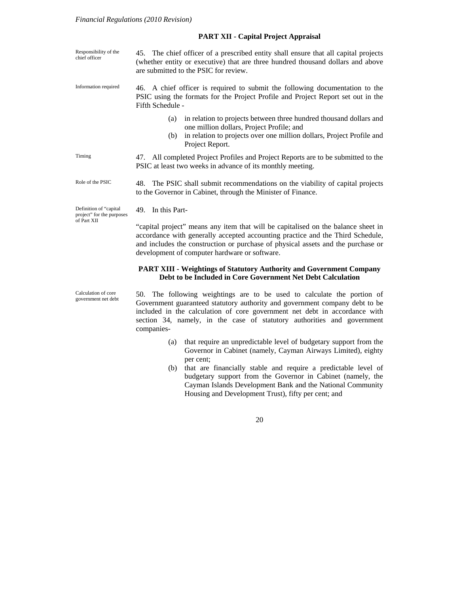*Financial Regulations (2010 Revision)* 

### **PART XII - Capital Project Appraisal**

45. The chief officer of a prescribed entity shall ensure that all capital projects (whether entity or executive) that are three hundred thousand dollars and above are submitted to the PSIC for review. Responsibility of the chief officer

46. A chief officer is required to submit the following documentation to the PSIC using the formats for the Project Profile and Project Report set out in the Fifth Schedule - Information required

- (a) in relation to projects between three hundred thousand dollars and one million dollars, Project Profile; and
- (b) in relation to projects over one million dollars, Project Profile and Project Report.

Timing

47. All completed Project Profiles and Project Reports are to be submitted to the PSIC at least two weeks in advance of its monthly meeting.

48. The PSIC shall submit recommendations on the viability of capital projects to the Governor in Cabinet, through the Minister of Finance. Role of the PSIC

Definition of "capital 49. In this Partproject" for the purposes of Part XII

"capital project" means any item that will be capitalised on the balance sheet in accordance with generally accepted accounting practice and the Third Schedule, and includes the construction or purchase of physical assets and the purchase or development of computer hardware or software.

# **PART XIII - Weightings of Statutory Authority and Government Company Debt to be Included in Core Government Net Debt Calculation**

Calculation of core government net debt

50. The following weightings are to be used to calculate the portion of Government guaranteed statutory authority and government company debt to be included in the calculation of core government net debt in accordance with section 34, namely, in the case of statutory authorities and government companies-

- (a) that require an unpredictable level of budgetary support from the Governor in Cabinet (namely, Cayman Airways Limited), eighty per cent;
- (b) that are financially stable and require a predictable level of budgetary support from the Governor in Cabinet (namely, the Cayman Islands Development Bank and the National Community Housing and Development Trust), fifty per cent; and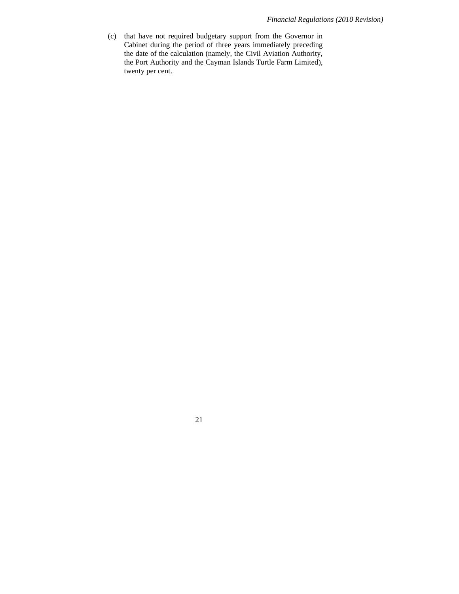(c) that have not required budgetary support from the Governor in Cabinet during the period of three years immediately preceding the date of the calculation (namely, the Civil Aviation Authority, the Port Authority and the Cayman Islands Turtle Farm Limited), twenty per cent.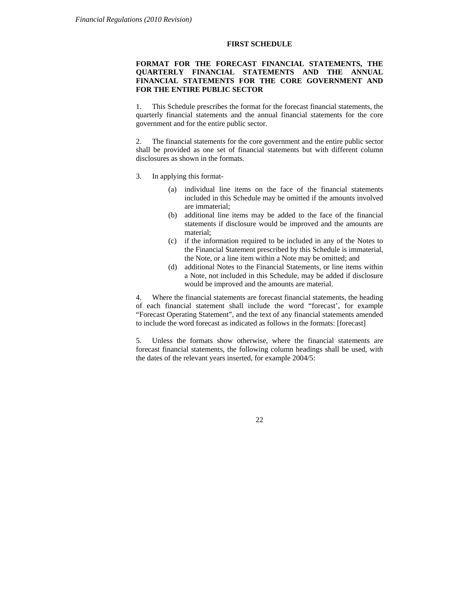### **FIRST SCHEDULE**

# **FORMAT FOR THE FORECAST FINANCIAL STATEMENTS, THE QUARTERLY FINANCIAL STATEMENTS AND THE ANNUAL FINANCIAL STATEMENTS FOR THE CORE GOVERNMENT AND FOR THE ENTIRE PUBLIC SECTOR**

1. This Schedule prescribes the format for the forecast financial statements, the quarterly financial statements and the annual financial statements for the core government and for the entire public sector.

2. The financial statements for the core government and the entire public sector shall be provided as one set of financial statements but with different column disclosures as shown in the formats.

- 3. In applying this format-
	- (a) individual line items on the face of the financial statements included in this Schedule may be omitted if the amounts involved are immaterial;
	- (b) additional line items may be added to the face of the financial statements if disclosure would be improved and the amounts are material;
	- (c) if the information required to be included in any of the Notes to the Financial Statement prescribed by this Schedule is immaterial, the Note, or a line item within a Note may be omitted; and
	- (d) additional Notes to the Financial Statements, or line items within a Note, not included in this Schedule, may be added if disclosure would be improved and the amounts are material.

4. Where the financial statements are forecast financial statements, the heading of each financial statement shall include the word "forecast', for example "Forecast Operating Statement", and the text of any financial statements amended to include the word forecast as indicated as follows in the formats: [forecast]

5. Unless the formats show otherwise, where the financial statements are forecast financial statements, the following column headings shall be used, with the dates of the relevant years inserted, for example 2004/5: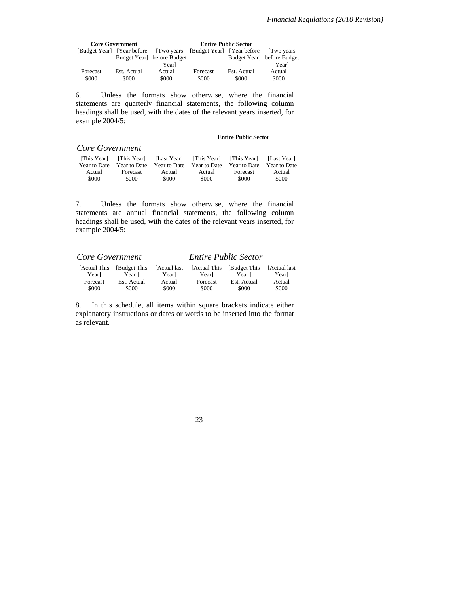|                                        | <b>Core Government</b> |                            |                             | <b>Entire Public Sector</b> |                            |
|----------------------------------------|------------------------|----------------------------|-----------------------------|-----------------------------|----------------------------|
| [Budget Year] [Year before [Two years] |                        |                            | [Budget Year] [Year before] |                             | [Two years]                |
|                                        |                        | Budget Yearl before Budget |                             |                             | Budget Yearl before Budget |
|                                        |                        | Yearl                      |                             |                             | Yearl                      |
| Forecast                               | Est. Actual            | Actual                     | Forecast                    | Est. Actual                 | Actual                     |
| \$000                                  | \$000                  | \$000                      | \$000                       | \$000                       | \$000                      |

6. Unless the formats show otherwise, where the financial statements are quarterly financial statements, the following column headings shall be used, with the dates of the relevant years inserted, for example 2004/5:

|                 |                 |              |              | <b>Entire Public Sector</b> |              |
|-----------------|-----------------|--------------|--------------|-----------------------------|--------------|
| Core Government |                 |              |              |                             |              |
| [This Year]     | [This Year]     | [Last Year]  | [This Year]  | [This Year]                 | [Last Year]  |
| Year to Date    | Year to Date    | Year to Date | Year to Date | <b>Year to Date</b>         | Year to Date |
| Actual          | <b>Forecast</b> | Actual       | Actual       | <b>Forecast</b>             | Actual       |
| \$000           | \$000           | \$000        | \$000        | \$000                       | \$000        |

7. Unless the formats show otherwise, where the financial statements are annual financial statements, the following column headings shall be used, with the dates of the relevant years inserted, for example 2004/5:

| Core Government |               |              |                            | <i>Entire Public Sector</i> |               |
|-----------------|---------------|--------------|----------------------------|-----------------------------|---------------|
| [Actual This]   | [Budget This] | [Actual last | [Actual This [Budget This] |                             | [Actual last] |
| Yearl           | Year 1        | Yearl        | Yearl                      | Year 1                      | Yearl         |
| Forecast        | Est. Actual   | Actual       | Forecast                   | Est. Actual                 | Actual        |
| \$000           | \$000         | \$000        | \$000                      | \$000                       | \$000         |

 $\overline{1}$ 

8. In this schedule, all items within square brackets indicate either explanatory instructions or dates or words to be inserted into the format as relevant.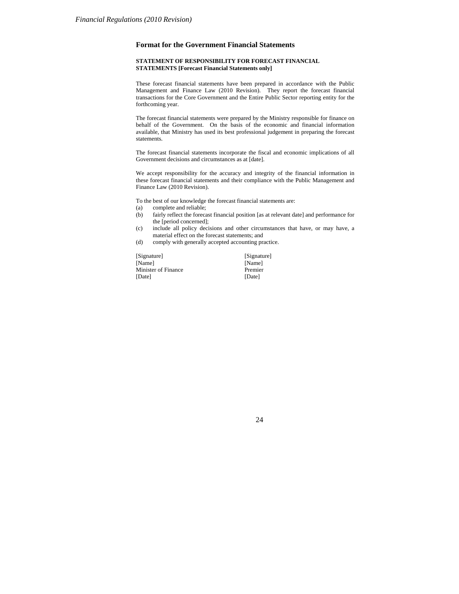### **Format for the Government Financial Statements**

### **STATEMENT OF RESPONSIBILITY FOR FORECAST FINANCIAL STATEMENTS [Forecast Financial Statements only]**

These forecast financial statements have been prepared in accordance with the Public Management and Finance Law (2010 Revision). They report the forecast financial transactions for the Core Government and the Entire Public Sector reporting entity for the forthcoming year.

The forecast financial statements were prepared by the Ministry responsible for finance on behalf of the Government. On the basis of the economic and financial information available, that Ministry has used its best professional judgement in preparing the forecast statements.

The forecast financial statements incorporate the fiscal and economic implications of all Government decisions and circumstances as at [date].

We accept responsibility for the accuracy and integrity of the financial information in these forecast financial statements and their compliance with the Public Management and Finance Law (2010 Revision).

To the best of our knowledge the forecast financial statements are:

- (a) complete and reliable;
- (b) fairly reflect the forecast financial position [as at relevant date] and performance for the [period concerned];
- (c) include all policy decisions and other circumstances that have, or may have, a material effect on the forecast statements; and
- (d) comply with generally accepted accounting practice.

| [Signature]         | [Signature] |
|---------------------|-------------|
| [Name]              | [Name]      |
| Minister of Finance | Premier     |
| [Date]              | [Date]      |

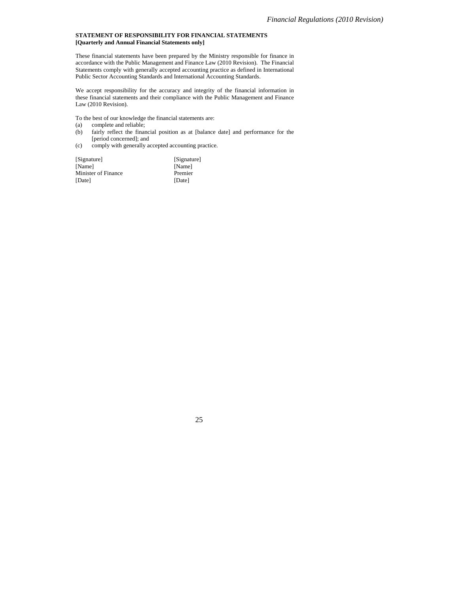#### **STATEMENT OF RESPONSIBILITY FOR FINANCIAL STATEMENTS [Quarterly and Annual Financial Statements only]**

These financial statements have been prepared by the Ministry responsible for finance in accordance with the Public Management and Finance Law (2010 Revision). The Financial Statements comply with generally accepted accounting practice as defined in International Public Sector Accounting Standards and International Accounting Standards.

We accept responsibility for the accuracy and integrity of the financial information in these financial statements and their compliance with the Public Management and Finance Law (2010 Revision).

To the best of our knowledge the financial statements are:

- (a) complete and reliable;
- (b) fairly reflect the financial position as at [balance date] and performance for the [period concerned]; and
- (c) comply with generally accepted accounting practice.

| [Signature]         | [Signature] |
|---------------------|-------------|
| [Name]              | [Name]      |
| Minister of Finance | Premier     |
| [Date]              | [Date]      |

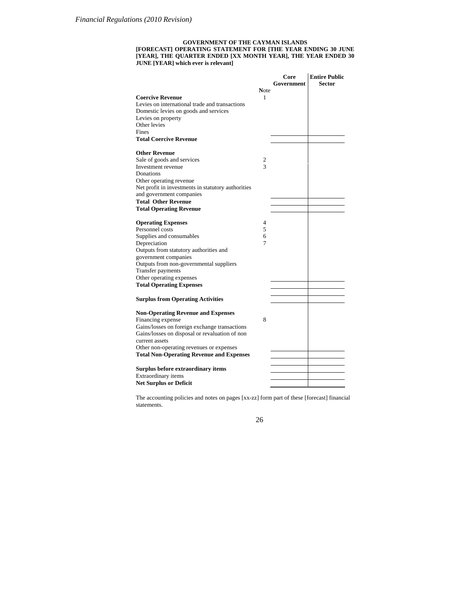#### **GOVERNMENT OF THE CAYMAN ISLANDS [FORECAST] OPERATING STATEMENT FOR [THE YEAR ENDING 30 JUNE [YEAR], THE QUARTER ENDED [XX MONTH YEAR], THE YEAR ENDED 30 JUNE [YEAR] which ever is relevant]**

|                                                                                                 |                   | Core<br>Government | <b>Entire Public</b><br><b>Sector</b> |
|-------------------------------------------------------------------------------------------------|-------------------|--------------------|---------------------------------------|
| <b>Coercive Revenue</b>                                                                         | <b>N</b> ote<br>1 |                    |                                       |
| Levies on international trade and transactions<br>Domestic levies on goods and services         |                   |                    |                                       |
| Levies on property                                                                              |                   |                    |                                       |
| Other levies                                                                                    |                   |                    |                                       |
| Fines<br><b>Total Coercive Revenue</b>                                                          |                   |                    |                                       |
|                                                                                                 |                   |                    |                                       |
| <b>Other Revenue</b>                                                                            |                   |                    |                                       |
| Sale of goods and services<br>Investment revenue                                                | 2<br>3            |                    |                                       |
| Donations                                                                                       |                   |                    |                                       |
| Other operating revenue                                                                         |                   |                    |                                       |
| Net profit in investments in statutory authorities<br>and government companies                  |                   |                    |                                       |
| <b>Total Other Revenue</b>                                                                      |                   |                    |                                       |
| <b>Total Operating Revenue</b>                                                                  |                   |                    |                                       |
| <b>Operating Expenses</b>                                                                       | $\overline{4}$    |                    |                                       |
| Personnel costs                                                                                 | 5                 |                    |                                       |
| Supplies and consumables                                                                        | 6                 |                    |                                       |
| Depreciation                                                                                    | 7                 |                    |                                       |
| Outputs from statutory authorities and                                                          |                   |                    |                                       |
| government companies<br>Outputs from non-governmental suppliers                                 |                   |                    |                                       |
| Transfer payments                                                                               |                   |                    |                                       |
| Other operating expenses                                                                        |                   |                    |                                       |
| <b>Total Operating Expenses</b>                                                                 |                   |                    |                                       |
| <b>Surplus from Operating Activities</b>                                                        |                   |                    |                                       |
|                                                                                                 |                   |                    |                                       |
| <b>Non-Operating Revenue and Expenses</b>                                                       |                   |                    |                                       |
| Financing expense                                                                               | 8                 |                    |                                       |
| Gains/losses on foreign exchange transactions<br>Gains/losses on disposal or revaluation of non |                   |                    |                                       |
| current assets                                                                                  |                   |                    |                                       |
| Other non-operating revenues or expenses                                                        |                   |                    |                                       |
| <b>Total Non-Operating Revenue and Expenses</b>                                                 |                   |                    |                                       |
|                                                                                                 |                   |                    |                                       |
| Surplus before extraordinary items<br>Extraordinary items                                       |                   |                    |                                       |
| <b>Net Surplus or Deficit</b>                                                                   |                   |                    |                                       |

The accounting policies and notes on pages [xx-zz] form part of these [forecast] financial statements.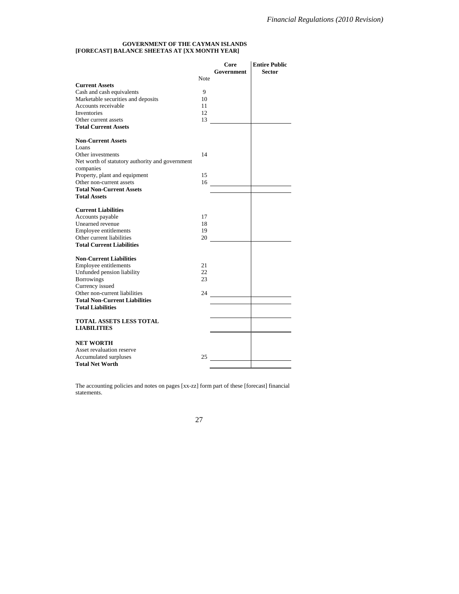#### **GOVERNMENT OF THE CAYMAN ISLANDS [FORECAST] BALANCE SHEETAS AT [XX MONTH YEAR]**

| Government<br><b>Sector</b><br>Note<br><b>Current Assets</b><br>Cash and cash equivalents<br>9<br>Marketable securities and deposits<br>10 |  |
|--------------------------------------------------------------------------------------------------------------------------------------------|--|
|                                                                                                                                            |  |
|                                                                                                                                            |  |
|                                                                                                                                            |  |
|                                                                                                                                            |  |
|                                                                                                                                            |  |
| Accounts receivable<br>11                                                                                                                  |  |
| <b>Inventories</b><br>12                                                                                                                   |  |
| 13<br>Other current assets                                                                                                                 |  |
| <b>Total Current Assets</b>                                                                                                                |  |
| <b>Non-Current Assets</b>                                                                                                                  |  |
| Loans                                                                                                                                      |  |
| 14<br>Other investments                                                                                                                    |  |
| Net worth of statutory authority and government<br>companies                                                                               |  |
| Property, plant and equipment<br>15                                                                                                        |  |
| Other non-current assets<br>16                                                                                                             |  |
| <b>Total Non-Current Assets</b>                                                                                                            |  |
| <b>Total Assets</b>                                                                                                                        |  |
|                                                                                                                                            |  |
| <b>Current Liabilities</b>                                                                                                                 |  |
| Accounts payable<br>17                                                                                                                     |  |
| Unearned revenue<br>18                                                                                                                     |  |
| Employee entitlements<br>19                                                                                                                |  |
| Other current liabilities<br>20                                                                                                            |  |
| <b>Total Current Liabilities</b>                                                                                                           |  |
|                                                                                                                                            |  |
| <b>Non-Current Liabilities</b>                                                                                                             |  |
| 21<br>Employee entitlements                                                                                                                |  |
| Unfunded pension liability<br>22                                                                                                           |  |
| <b>Borrowings</b><br>23                                                                                                                    |  |
| Currency issued                                                                                                                            |  |
| Other non-current liabilities<br>24                                                                                                        |  |
| <b>Total Non-Current Liabilities</b>                                                                                                       |  |
| <b>Total Liabilities</b>                                                                                                                   |  |
| TOTAL ASSETS LESS TOTAL                                                                                                                    |  |
| <b>LIABILITIES</b>                                                                                                                         |  |
| <b>NET WORTH</b>                                                                                                                           |  |
| Asset revaluation reserve                                                                                                                  |  |
| Accumulated surpluses<br>25                                                                                                                |  |
| <b>Total Net Worth</b>                                                                                                                     |  |

The accounting policies and notes on pages [xx-zz] form part of these [forecast] financial statements.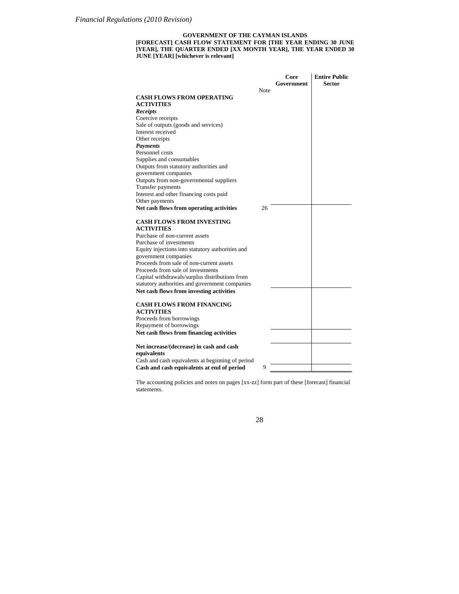#### **GOVERNMENT OF THE CAYMAN ISLANDS [FORECAST] CASH FLOW STATEMENT FOR [THE YEAR ENDING 30 JUNE [YEAR], THE QUARTER ENDED [XX MONTH YEAR], THE YEAR ENDED 30 JUNE [YEAR] [whichever is relevant]**

|                                                  |      | Core<br>Government | <b>Entire Public</b><br><b>Sector</b> |
|--------------------------------------------------|------|--------------------|---------------------------------------|
|                                                  | Note |                    |                                       |
| <b>CASH FLOWS FROM OPERATING</b>                 |      |                    |                                       |
| <b>ACTIVITIES</b>                                |      |                    |                                       |
| <b>Receipts</b>                                  |      |                    |                                       |
| Coercive receipts                                |      |                    |                                       |
| Sale of outputs (goods and services)             |      |                    |                                       |
| Interest received                                |      |                    |                                       |
| Other receipts                                   |      |                    |                                       |
| <b>Payments</b>                                  |      |                    |                                       |
| Personnel costs                                  |      |                    |                                       |
| Supplies and consumables                         |      |                    |                                       |
| Outputs from statutory authorities and           |      |                    |                                       |
| government companies                             |      |                    |                                       |
| Outputs from non-governmental suppliers          |      |                    |                                       |
| Transfer payments                                |      |                    |                                       |
| Interest and other financing costs paid          |      |                    |                                       |
| Other payments                                   |      |                    |                                       |
| Net cash flows from operating activities         | 26   |                    |                                       |
| <b>CASH FLOWS FROM INVESTING</b>                 |      |                    |                                       |
| <b>ACTIVITIES</b>                                |      |                    |                                       |
| Purchase of non-current assets                   |      |                    |                                       |
| Purchase of investments                          |      |                    |                                       |
| Equity injections into statutory authorities and |      |                    |                                       |
| government companies                             |      |                    |                                       |
| Proceeds from sale of non-current assets         |      |                    |                                       |
| Proceeds from sale of investments                |      |                    |                                       |
| Capital withdrawals/surplus distributions from   |      |                    |                                       |
| statutory authorities and government companies   |      |                    |                                       |
| Net cash flows from investing activities         |      |                    |                                       |
| <b>CASH FLOWS FROM FINANCING</b>                 |      |                    |                                       |
| <b>ACTIVITIES</b>                                |      |                    |                                       |
| Proceeds from borrowings                         |      |                    |                                       |
| Repayment of borrowings                          |      |                    |                                       |
| Net cash flows from financing activities         |      |                    |                                       |
| Net increase/(decrease) in cash and cash         |      |                    |                                       |
| equivalents                                      |      |                    |                                       |
| Cash and cash equivalents at beginning of period |      |                    |                                       |
| Cash and cash equivalents at end of period       | 9    |                    |                                       |

The accounting policies and notes on pages [xx-zz] form part of these [forecast] financial statements.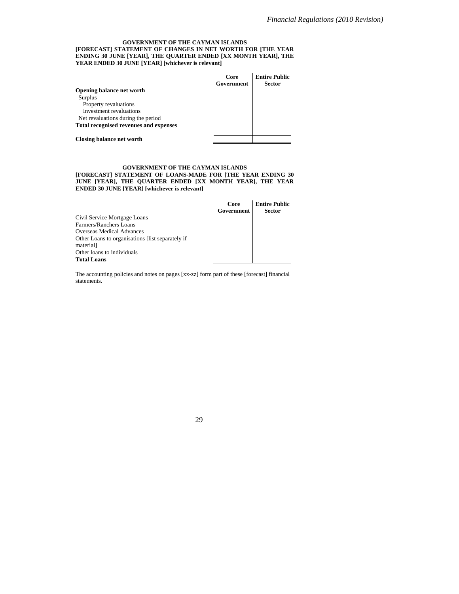### **GOVERNMENT OF THE CAYMAN ISLANDS [FORECAST] STATEMENT OF CHANGES IN NET WORTH FOR [THE YEAR ENDING 30 JUNE [YEAR], THE QUARTER ENDED [XX MONTH YEAR], THE YEAR ENDED 30 JUNE [YEAR] [whichever is relevant]**

|                                        | Core       | <b>Entire Public</b> |
|----------------------------------------|------------|----------------------|
|                                        | Government | <b>Sector</b>        |
| <b>Opening balance net worth</b>       |            |                      |
| Surplus                                |            |                      |
| Property revaluations                  |            |                      |
| Investment revaluations                |            |                      |
| Net revaluations during the period     |            |                      |
| Total recognised revenues and expenses |            |                      |
| <b>Closing balance net worth</b>       |            |                      |

### **GOVERNMENT OF THE CAYMAN ISLANDS [FORECAST] STATEMENT OF LOANS-MADE FOR [THE YEAR ENDING 30 JUNE [YEAR], THE QUARTER ENDED [XX MONTH YEAR], THE YEAR ENDED 30 JUNE [YEAR] [whichever is relevant]**

|                                                  | Core<br>Government | <b>Entire Public</b><br><b>Sector</b> |
|--------------------------------------------------|--------------------|---------------------------------------|
| Civil Service Mortgage Loans                     |                    |                                       |
| Farmers/Ranchers Loans                           |                    |                                       |
| <b>Overseas Medical Advances</b>                 |                    |                                       |
| Other Loans to organisations [list separately if |                    |                                       |
| material]                                        |                    |                                       |
| Other loans to individuals                       |                    |                                       |
| <b>Total Loans</b>                               |                    |                                       |

The accounting policies and notes on pages [xx-zz] form part of these [forecast] financial statements.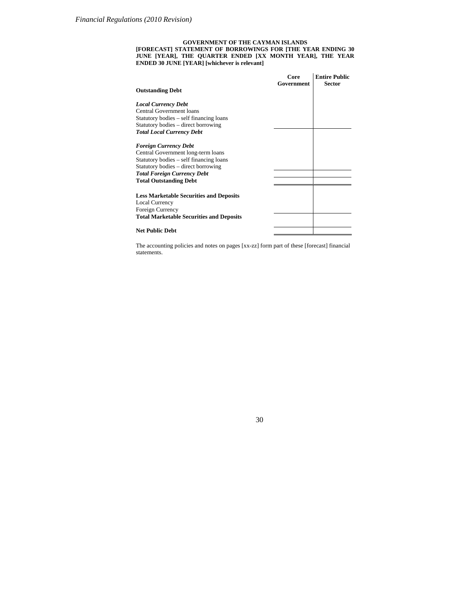#### **GOVERNMENT OF THE CAYMAN ISLANDS [FORECAST] STATEMENT OF BORROWINGS FOR [THE YEAR ENDING 30 JUNE [YEAR], THE QUARTER ENDED [XX MONTH YEAR], THE YEAR ENDED 30 JUNE [YEAR] [whichever is relevant]**

| <b>Outstanding Debt</b>                         | Core<br>Government | <b>Entire Public</b><br><b>Sector</b> |
|-------------------------------------------------|--------------------|---------------------------------------|
|                                                 |                    |                                       |
| <b>Local Currency Debt</b>                      |                    |                                       |
| Central Government loans                        |                    |                                       |
| Statutory bodies - self financing loans         |                    |                                       |
| Statutory bodies – direct borrowing             |                    |                                       |
| <b>Total Local Currency Debt</b>                |                    |                                       |
| <b>Foreign Currency Debt</b>                    |                    |                                       |
| Central Government long-term loans              |                    |                                       |
| Statutory bodies – self financing loans         |                    |                                       |
| Statutory bodies - direct borrowing             |                    |                                       |
| <b>Total Foreign Currency Debt</b>              |                    |                                       |
| <b>Total Outstanding Debt</b>                   |                    |                                       |
| <b>Less Marketable Securities and Deposits</b>  |                    |                                       |
| <b>Local Currency</b>                           |                    |                                       |
| Foreign Currency                                |                    |                                       |
| <b>Total Marketable Securities and Deposits</b> |                    |                                       |
| <b>Net Public Debt</b>                          |                    |                                       |

The accounting policies and notes on pages [xx-zz] form part of these [forecast] financial statements.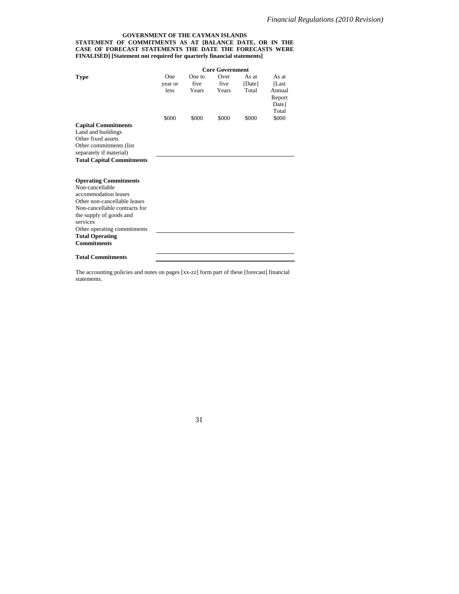#### **GOVERNMENT OF THE CAYMAN ISLANDS STATEMENT OF COMMITMENTS AS AT [BALANCE DATE, OR IN THE CASE OF FORECAST STATEMENTS THE DATE THE FORECASTS WERE FINALISED] [Statement not required for quarterly financial statements]**

|                                  | <b>Core Government</b> |        |       |        |        |
|----------------------------------|------------------------|--------|-------|--------|--------|
| <b>Type</b>                      | One                    | One to | Over  | As at  | As at  |
|                                  | year or                | five   | five  | [Date] | [Last] |
|                                  | less                   | Years  | Years | Total  | Annual |
|                                  |                        |        |       |        | Report |
|                                  |                        |        |       |        | Date]  |
|                                  |                        |        |       |        | Total  |
|                                  | \$000                  | \$000  | \$000 | \$000  | \$000  |
| <b>Capital Commitments</b>       |                        |        |       |        |        |
| Land and buildings               |                        |        |       |        |        |
| Other fixed assets               |                        |        |       |        |        |
| Other commitments (list          |                        |        |       |        |        |
| separately if material)          |                        |        |       |        |        |
| <b>Total Capital Commitments</b> |                        |        |       |        |        |
|                                  |                        |        |       |        |        |
|                                  |                        |        |       |        |        |
| <b>Operating Commitments</b>     |                        |        |       |        |        |
| Non-cancellable                  |                        |        |       |        |        |
| accommodation leases             |                        |        |       |        |        |
| Other non-cancellable leases     |                        |        |       |        |        |
| Non-cancellable contracts for    |                        |        |       |        |        |
| the supply of goods and          |                        |        |       |        |        |
| services                         |                        |        |       |        |        |
| Other operating commitments      |                        |        |       |        |        |
| <b>Total Operating</b>           |                        |        |       |        |        |
| <b>Commitments</b>               |                        |        |       |        |        |
|                                  |                        |        |       |        |        |
| <b>Total Commitments</b>         |                        |        |       |        |        |

The accounting policies and notes on pages [xx-zz] form part of these [forecast] financial statements.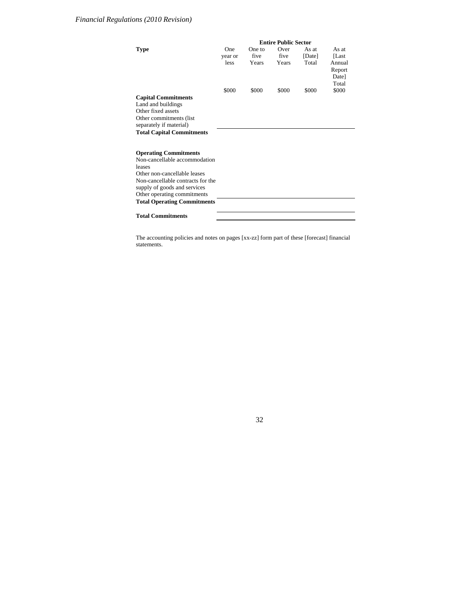|                                   | <b>Entire Public Sector</b> |        |       |        |        |
|-----------------------------------|-----------------------------|--------|-------|--------|--------|
| Type                              | One                         | One to | Over  | As at  | As at  |
|                                   | year or                     | five   | five  | [Date] | [Last] |
|                                   | less                        | Years  | Years | Total  | Annual |
|                                   |                             |        |       |        | Report |
|                                   |                             |        |       |        | Date]  |
|                                   |                             |        |       |        | Total  |
|                                   | \$000                       | \$000  | \$000 | \$000  | \$000  |
| <b>Capital Commitments</b>        |                             |        |       |        |        |
| Land and buildings                |                             |        |       |        |        |
| Other fixed assets                |                             |        |       |        |        |
| Other commitments (list)          |                             |        |       |        |        |
| separately if material)           |                             |        |       |        |        |
| <b>Total Capital Commitments</b>  |                             |        |       |        |        |
|                                   |                             |        |       |        |        |
|                                   |                             |        |       |        |        |
| <b>Operating Commitments</b>      |                             |        |       |        |        |
| Non-cancellable accommodation     |                             |        |       |        |        |
| leases                            |                             |        |       |        |        |
| Other non-cancellable leases      |                             |        |       |        |        |
| Non-cancellable contracts for the |                             |        |       |        |        |
| supply of goods and services      |                             |        |       |        |        |

**Total Commitments** 

Other operating commitments **Total Operating Commitments**

The accounting policies and notes on pages [xx-zz] form part of these [forecast] financial statements.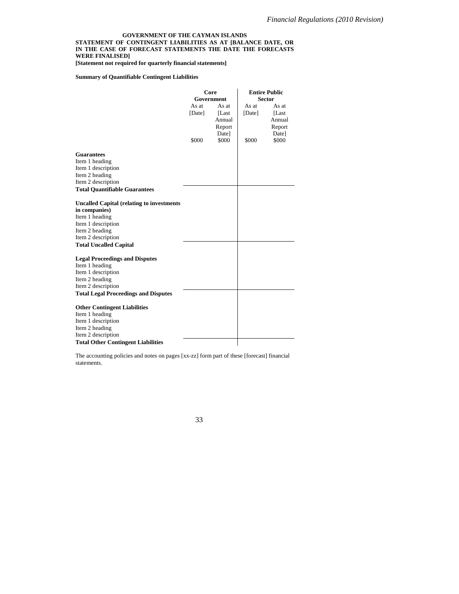## **GOVERNMENT OF THE CAYMAN ISLANDS STATEMENT OF CONTINGENT LIABILITIES AS AT [BALANCE DATE, OR IN THE CASE OF FORECAST STATEMENTS THE DATE THE FORECASTS WERE FINALISED]**

**[Statement not required for quarterly financial statements]** 

### **Summary of Quantifiable Contingent Liabilities**

|                                                  | Core<br>Government |                           | <b>Entire Public</b><br><b>Sector</b> |                           |
|--------------------------------------------------|--------------------|---------------------------|---------------------------------------|---------------------------|
|                                                  |                    |                           |                                       |                           |
|                                                  | As at<br>[Date]    | As at<br>[Last]<br>Annual | As at<br>[Date]                       | As at<br>[Last]<br>Annual |
|                                                  | \$000              | Report<br>Date]<br>\$000  | \$000                                 | Report<br>Date]<br>\$000  |
| <b>Guarantees</b>                                |                    |                           |                                       |                           |
| Item 1 heading                                   |                    |                           |                                       |                           |
| Item 1 description                               |                    |                           |                                       |                           |
| Item 2 heading                                   |                    |                           |                                       |                           |
| Item 2 description                               |                    |                           |                                       |                           |
| <b>Total Quantifiable Guarantees</b>             |                    |                           |                                       |                           |
| <b>Uncalled Capital (relating to investments</b> |                    |                           |                                       |                           |
| in companies)                                    |                    |                           |                                       |                           |
| Item 1 heading                                   |                    |                           |                                       |                           |
| Item 1 description                               |                    |                           |                                       |                           |
| Item 2 heading                                   |                    |                           |                                       |                           |
| Item 2 description                               |                    |                           |                                       |                           |
| <b>Total Uncalled Capital</b>                    |                    |                           |                                       |                           |
| <b>Legal Proceedings and Disputes</b>            |                    |                           |                                       |                           |
| Item 1 heading                                   |                    |                           |                                       |                           |
| Item 1 description                               |                    |                           |                                       |                           |
| Item 2 heading                                   |                    |                           |                                       |                           |
| Item 2 description                               |                    |                           |                                       |                           |
| <b>Total Legal Proceedings and Disputes</b>      |                    |                           |                                       |                           |
| <b>Other Contingent Liabilities</b>              |                    |                           |                                       |                           |
| Item 1 heading                                   |                    |                           |                                       |                           |
| Item 1 description                               |                    |                           |                                       |                           |
| Item 2 heading                                   |                    |                           |                                       |                           |
| Item 2 description                               |                    |                           |                                       |                           |
| <b>Total Other Contingent Liabilities</b>        |                    |                           |                                       |                           |

The accounting policies and notes on pages [xx-zz] form part of these [forecast] financial statements.

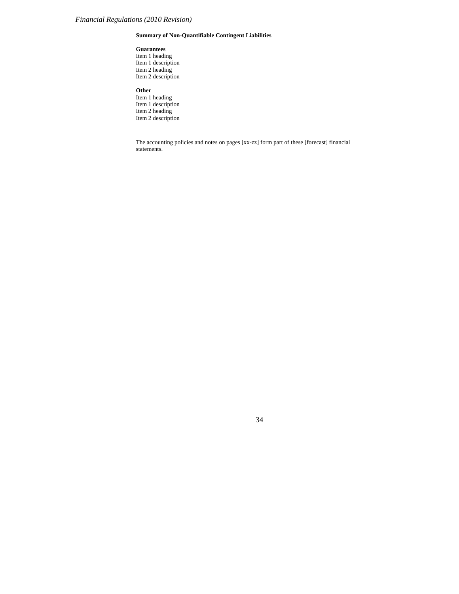# *Financial Regulations (2010 Revision)*

# **Summary of Non-Quantifiable Contingent Liabilities**

**Guarantees** Item 1 heading Item 1 description Item 2 heading Item 2 description

## **Other**

Item 1 heading Item 1 description Item 2 heading Item 2 description

The accounting policies and notes on pages [xx-zz] form part of these [forecast] financial statements.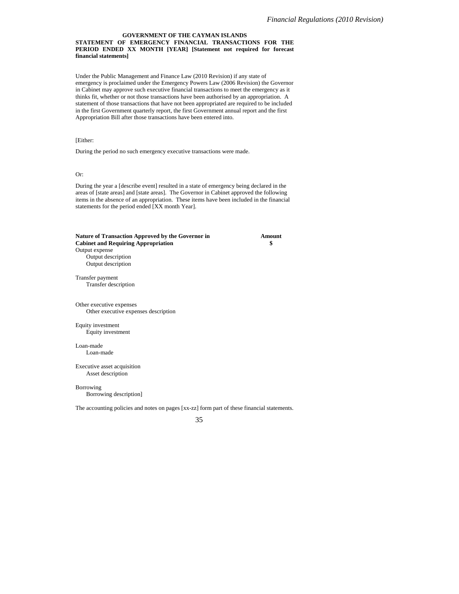#### **GOVERNMENT OF THE CAYMAN ISLANDS STATEMENT OF EMERGENCY FINANCIAL TRANSACTIONS FOR THE PERIOD ENDED XX MONTH [YEAR] [Statement not required for forecast financial statements]**

Under the Public Management and Finance Law (2010 Revision) if any state of emergency is proclaimed under the Emergency Powers Law (2006 Revision) the Governor in Cabinet may approve such executive financial transactions to meet the emergency as it thinks fit, whether or not those transactions have been authorised by an appropriation. A statement of those transactions that have not been appropriated are required to be included in the first Government quarterly report, the first Government annual report and the first Appropriation Bill after those transactions have been entered into.

#### [Either:

During the period no such emergency executive transactions were made.

Or:

During the year a [describe event] resulted in a state of emergency being declared in the areas of [state areas] and [state areas]. The Governor in Cabinet approved the following items in the absence of an appropriation. These items have been included in the financial statements for the period ended [XX month Year].

> **Amount \$**

**Nature of Transaction Approved by the Governor in Cabinet and Requiring Appropriation**  Output expense Output description

Output description

Transfer payment Transfer description

Other executive expenses Other executive expenses description

Equity investment Equity investment

Loan-made Loan-made

Executive asset acquisition Asset description

Borrowing Borrowing description]

The accounting policies and notes on pages [xx-zz] form part of these financial statements.

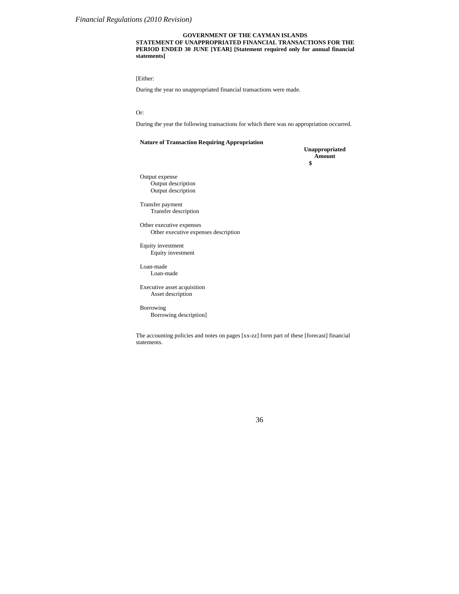#### **GOVERNMENT OF THE CAYMAN ISLANDS STATEMENT OF UNAPPROPRIATED FINANCIAL TRANSACTIONS FOR THE PERIOD ENDED 30 JUNE [YEAR] [Statement required only for annual financial statements]**

## [Either:

During the year no unappropriated financial transactions were made.

### Or:

During the year the following transactions for which there was no appropriation occurred.

#### **Nature of Transaction Requiring Appropriation**

| .                                    | Unappropriated<br><b>Amount</b><br>\$ |
|--------------------------------------|---------------------------------------|
| Output expense                       |                                       |
| Output description                   |                                       |
| Output description                   |                                       |
| Transfer payment                     |                                       |
| Transfer description                 |                                       |
| Other executive expenses             |                                       |
| Other executive expenses description |                                       |
| Equity investment                    |                                       |
| Equity investment                    |                                       |
|                                      |                                       |
| Loan-made                            |                                       |
| Loan-made                            |                                       |
|                                      |                                       |

Executive asset acquisition Asset description

Borrowing Borrowing description]

The accounting policies and notes on pages [xx-zz] form part of these [forecast] financial statements.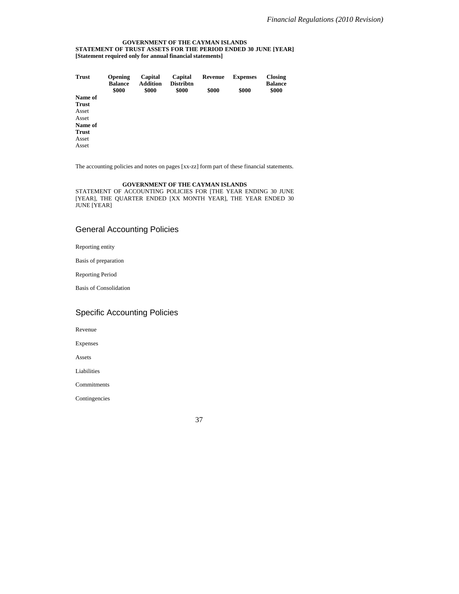#### **GOVERNMENT OF THE CAYMAN ISLANDS STATEMENT OF TRUST ASSETS FOR THE PERIOD ENDED 30 JUNE [YEAR] [Statement required only for annual financial statements]**

| Trust        | <b>Opening</b><br><b>Balance</b> | Capital<br>Addition | Capital<br><b>Distribtn</b> | Revenue | <b>Expenses</b> | Closing<br><b>Balance</b> |
|--------------|----------------------------------|---------------------|-----------------------------|---------|-----------------|---------------------------|
|              | \$000                            | \$000               | \$000                       | \$000   | \$000           | \$000                     |
| Name of      |                                  |                     |                             |         |                 |                           |
| <b>Trust</b> |                                  |                     |                             |         |                 |                           |
| Asset        |                                  |                     |                             |         |                 |                           |
| Asset        |                                  |                     |                             |         |                 |                           |
| Name of      |                                  |                     |                             |         |                 |                           |
| <b>Trust</b> |                                  |                     |                             |         |                 |                           |
| Asset        |                                  |                     |                             |         |                 |                           |
| Asset        |                                  |                     |                             |         |                 |                           |
|              |                                  |                     |                             |         |                 |                           |

The accounting policies and notes on pages [xx-zz] form part of these financial statements.

#### **GOVERNMENT OF THE CAYMAN ISLANDS**

STATEMENT OF ACCOUNTING POLICIES FOR [THE YEAR ENDING 30 JUNE [YEAR], THE QUARTER ENDED [XX MONTH YEAR], THE YEAR ENDED 30 JUNE [YEAR]

# General Accounting Policies

Reporting entity

Basis of preparation

Reporting Period

Basis of Consolidation

# Specific Accounting Policies

Revenue

Expenses

Assets

Liabilities

Commitments

Contingencies

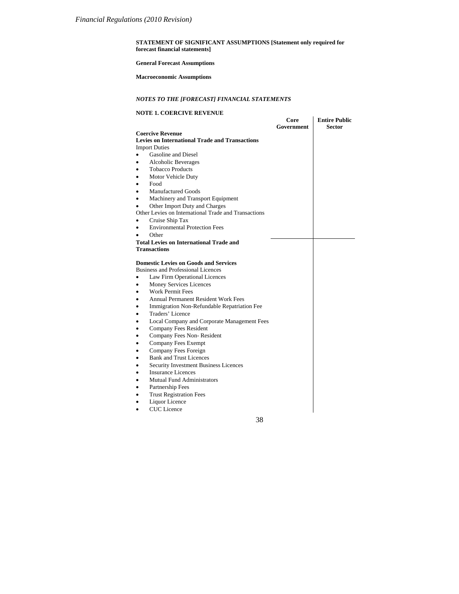**STATEMENT OF SIGNIFICANT ASSUMPTIONS [Statement only required for forecast financial statements]**

**General Forecast Assumptions** 

**Macroeconomic Assumptions** 

# *NOTES TO THE [FORECAST] FINANCIAL STATEMENTS*

#### **NOTE 1. COERCIVE REVENUE**

|           |                                                                                           | Core       | <b>Entire Public</b> |
|-----------|-------------------------------------------------------------------------------------------|------------|----------------------|
|           |                                                                                           | Government | <b>Sector</b>        |
|           | <b>Coercive Revenue</b>                                                                   |            |                      |
|           | <b>Levies on International Trade and Transactions</b>                                     |            |                      |
|           | <b>Import Duties</b>                                                                      |            |                      |
|           | Gasoline and Diesel                                                                       |            |                      |
|           | <b>Alcoholic Beverages</b>                                                                |            |                      |
|           | <b>Tobacco Products</b>                                                                   |            |                      |
|           | Motor Vehicle Duty                                                                        |            |                      |
| $\bullet$ | Food                                                                                      |            |                      |
| $\bullet$ | <b>Manufactured Goods</b>                                                                 |            |                      |
| $\bullet$ | Machinery and Transport Equipment                                                         |            |                      |
|           | Other Import Duty and Charges                                                             |            |                      |
|           | Other Levies on International Trade and Transactions                                      |            |                      |
|           | Cruise Ship Tax                                                                           |            |                      |
|           | <b>Environmental Protection Fees</b>                                                      |            |                      |
|           | Other                                                                                     |            |                      |
|           | Total Levies on International Trade and                                                   |            |                      |
|           | Transactions                                                                              |            |                      |
|           |                                                                                           |            |                      |
|           | <b>Domestic Levies on Goods and Services</b><br><b>Business and Professional Licences</b> |            |                      |
|           |                                                                                           |            |                      |
|           | Law Firm Operational Licences                                                             |            |                      |
| ٠         | Money Services Licences<br><b>Work Permit Fees</b>                                        |            |                      |
| $\bullet$ |                                                                                           |            |                      |
| $\bullet$ | <b>Annual Permanent Resident Work Fees</b>                                                |            |                      |
| $\bullet$ | Immigration Non-Refundable Repatriation Fee                                               |            |                      |
| $\bullet$ | Traders' Licence                                                                          |            |                      |
| $\bullet$ | Local Company and Corporate Management Fees                                               |            |                      |
| $\bullet$ | <b>Company Fees Resident</b>                                                              |            |                      |
| $\bullet$ | Company Fees Non-Resident                                                                 |            |                      |
| $\bullet$ | Company Fees Exempt                                                                       |            |                      |
| $\bullet$ | Company Fees Foreign                                                                      |            |                      |
| $\bullet$ | <b>Bank and Trust Licences</b>                                                            |            |                      |
|           | <b>Security Investment Business Licences</b>                                              |            |                      |
| ٠         | <b>Insurance Licences</b>                                                                 |            |                      |
| $\bullet$ | <b>Mutual Fund Administrators</b>                                                         |            |                      |
| ٠         | Partnership Fees                                                                          |            |                      |
| ٠         | <b>Trust Registration Fees</b>                                                            |            |                      |
|           | Liquor Licence                                                                            |            |                      |
|           | CUC Licence                                                                               |            |                      |
|           | 38                                                                                        |            |                      |
|           |                                                                                           |            |                      |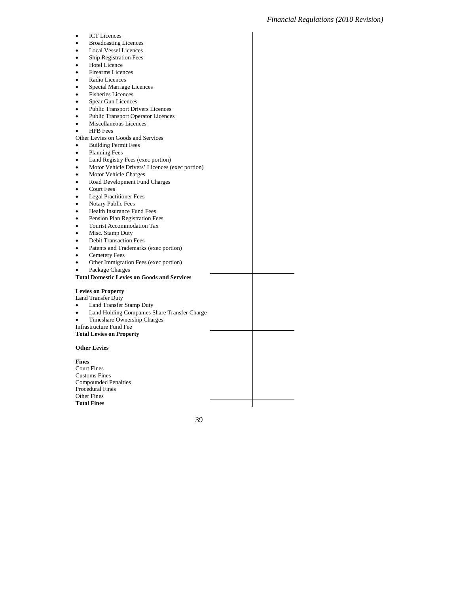|              | <b>ICT</b> Licences                                    |  |
|--------------|--------------------------------------------------------|--|
|              | <b>Broadcasting Licences</b>                           |  |
|              | <b>Local Vessel Licences</b>                           |  |
|              | <b>Ship Registration Fees</b>                          |  |
|              | <b>Hotel Licence</b>                                   |  |
|              | <b>Firearms Licences</b>                               |  |
|              | Radio Licences                                         |  |
|              | <b>Special Marriage Licences</b>                       |  |
|              | <b>Fisheries Licences</b>                              |  |
|              | <b>Spear Gun Licences</b>                              |  |
|              | <b>Public Transport Drivers Licences</b>               |  |
|              | <b>Public Transport Operator Licences</b>              |  |
|              | Miscellaneous Licences                                 |  |
|              | <b>HPB</b> Fees                                        |  |
|              | Other Levies on Goods and Services                     |  |
|              | <b>Building Permit Fees</b>                            |  |
| $\bullet$    | <b>Planning Fees</b>                                   |  |
|              | Land Registry Fees (exec portion)                      |  |
|              | Motor Vehicle Drivers' Licences (exec portion)         |  |
|              | Motor Vehicle Charges                                  |  |
|              | Road Development Fund Charges                          |  |
|              | <b>Court Fees</b>                                      |  |
|              | <b>Legal Practitioner Fees</b>                         |  |
|              | Notary Public Fees                                     |  |
|              | <b>Health Insurance Fund Fees</b>                      |  |
|              | Pension Plan Registration Fees                         |  |
|              | <b>Tourist Accommodation Tax</b>                       |  |
|              | Misc. Stamp Duty                                       |  |
|              | <b>Debit Transaction Fees</b>                          |  |
|              | Patents and Trademarks (exec portion)                  |  |
|              | <b>Cemetery Fees</b>                                   |  |
|              | Other Immigration Fees (exec portion)                  |  |
|              | Package Charges                                        |  |
|              | <b>Total Domestic Levies on Goods and Services</b>     |  |
|              |                                                        |  |
|              | <b>Levies on Property</b>                              |  |
|              | <b>Land Transfer Duty</b>                              |  |
|              | Land Transfer Stamp Duty                               |  |
| $\bullet$    | Land Holding Companies Share Transfer Charge           |  |
|              | Timeshare Ownership Charges                            |  |
|              | <b>Infrastructure Fund Fee</b>                         |  |
|              | <b>Total Levies on Property</b>                        |  |
|              | <b>Other Levies</b>                                    |  |
|              |                                                        |  |
| <b>Fines</b> |                                                        |  |
|              | <b>Court Fines</b>                                     |  |
|              | <b>Customs Fines</b>                                   |  |
|              | <b>Compounded Penalties</b><br><b>Procedural Fines</b> |  |
|              | <b>Other Fines</b>                                     |  |
|              | <b>Total Fines</b>                                     |  |
|              |                                                        |  |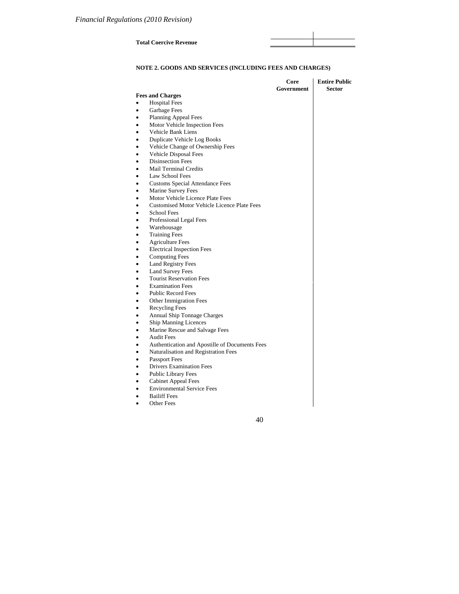| <b>Total Coercive Revenue</b> |  |
|-------------------------------|--|
|-------------------------------|--|

# **NOTE 2. GOODS AND SERVICES (INCLUDING FEES AND CHARGES)**

|                                                    | Core<br>Government | <b>Entire Public</b><br><b>Sector</b> |
|----------------------------------------------------|--------------------|---------------------------------------|
| <b>Fees and Charges</b>                            |                    |                                       |
| <b>Hospital Fees</b>                               |                    |                                       |
| <b>Garbage Fees</b>                                |                    |                                       |
| <b>Planning Appeal Fees</b>                        |                    |                                       |
| Motor Vehicle Inspection Fees                      |                    |                                       |
| <b>Vehicle Bank Liens</b>                          |                    |                                       |
| Duplicate Vehicle Log Books                        |                    |                                       |
| Vehicle Change of Ownership Fees                   |                    |                                       |
| Vehicle Disposal Fees                              |                    |                                       |
| <b>Disinsection Fees</b>                           |                    |                                       |
| <b>Mail Terminal Credits</b>                       |                    |                                       |
| Law School Fees                                    |                    |                                       |
| <b>Customs Special Attendance Fees</b>             |                    |                                       |
| Marine Survey Fees                                 |                    |                                       |
| Motor Vehicle Licence Plate Fees                   |                    |                                       |
| <b>Customised Motor Vehicle Licence Plate Fees</b> |                    |                                       |
| <b>School Fees</b>                                 |                    |                                       |
| Professional Legal Fees                            |                    |                                       |
| Warehousage                                        |                    |                                       |
| <b>Training Fees</b>                               |                    |                                       |
| <b>Agriculture Fees</b>                            |                    |                                       |
| <b>Electrical Inspection Fees</b>                  |                    |                                       |
| <b>Computing Fees</b>                              |                    |                                       |
| <b>Land Registry Fees</b>                          |                    |                                       |
| <b>Land Survey Fees</b>                            |                    |                                       |
| <b>Tourist Reservation Fees</b>                    |                    |                                       |
| <b>Examination Fees</b>                            |                    |                                       |
| <b>Public Record Fees</b>                          |                    |                                       |
| Other Immigration Fees                             |                    |                                       |
| <b>Recycling Fees</b>                              |                    |                                       |
| Annual Ship Tonnage Charges                        |                    |                                       |
| Ship Manning Licences                              |                    |                                       |
| Marine Rescue and Salvage Fees                     |                    |                                       |
| <b>Audit Fees</b>                                  |                    |                                       |
| Authentication and Apostille of Documents Fees     |                    |                                       |
| Naturalisation and Registration Fees               |                    |                                       |
| <b>Passport Fees</b>                               |                    |                                       |
| <b>Drivers Examination Fees</b>                    |                    |                                       |
| Public Library Fees                                |                    |                                       |
| <b>Cabinet Appeal Fees</b>                         |                    |                                       |
| <b>Environmental Service Fees</b>                  |                    |                                       |
| <b>Bailiff Fees</b>                                |                    |                                       |
| Other Fees                                         |                    |                                       |
|                                                    |                    |                                       |
| 40                                                 |                    |                                       |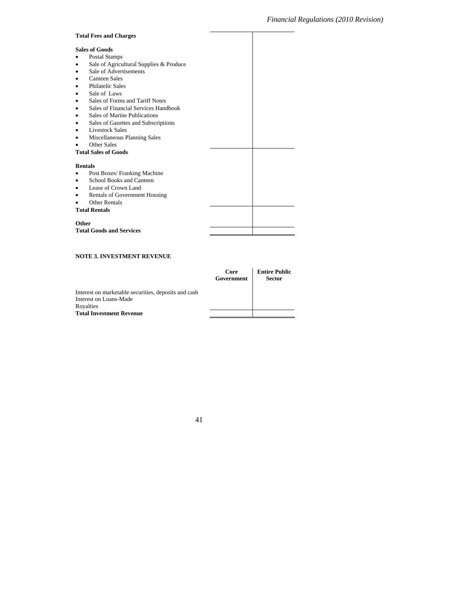| <b>Total Fees and Charges</b>           |  |
|-----------------------------------------|--|
| <b>Sales of Goods</b>                   |  |
| <b>Postal Stamps</b>                    |  |
| Sale of Agricultural Supplies & Produce |  |
| Sale of Advertisements                  |  |
| Canteen Sales                           |  |
| <b>Philatelic Sales</b>                 |  |
| Sale of Laws                            |  |
| Sales of Forms and Tariff Notes         |  |
| Sales of Financial Services Handbook    |  |
| Sales of Marine Publications            |  |
| Sales of Gazettes and Subscriptions     |  |
| <b>Livestock Sales</b>                  |  |
| Miscellaneous Planning Sales            |  |
| Other Sales                             |  |
| <b>Total Sales of Goods</b>             |  |
| <b>Rentals</b>                          |  |
| Post Boxes/ Franking Machine            |  |
| School Books and Canteen                |  |
| Lease of Crown Land                     |  |
| Rentals of Government Housing           |  |
| <b>Other Rentals</b>                    |  |
| <b>Total Rentals</b>                    |  |
| <b>Other</b>                            |  |
| <b>Total Goods and Services</b>         |  |

# **NOTE 3. INVESTMENT REVENUE**

|                                                      | Core       | <b>Entire Public</b> |
|------------------------------------------------------|------------|----------------------|
|                                                      | Government | <b>Sector</b>        |
| Interest on marketable securities, deposits and cash |            |                      |
| Interest on Loans-Made                               |            |                      |
| Royalties                                            |            |                      |
| <b>Total Investment Revenue</b>                      |            |                      |
|                                                      |            |                      |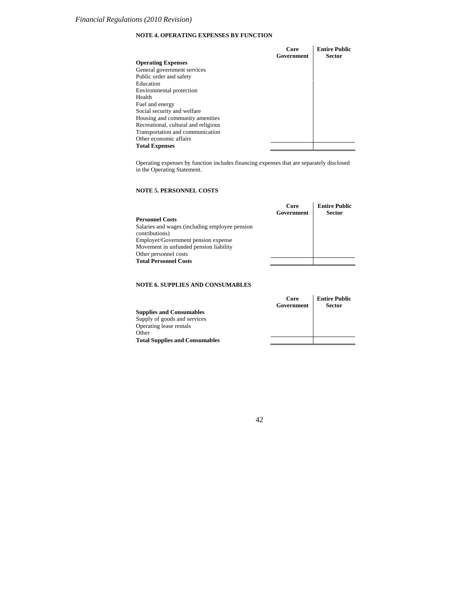#### **NOTE 4. OPERATING EXPENSES BY FUNCTION**

|                                      | Core       | <b>Entire Public</b> |
|--------------------------------------|------------|----------------------|
|                                      | Government | <b>Sector</b>        |
| <b>Operating Expenses</b>            |            |                      |
| General government services          |            |                      |
| Public order and safety              |            |                      |
| Education                            |            |                      |
| Environmental protection             |            |                      |
| Health                               |            |                      |
| Fuel and energy                      |            |                      |
| Social security and welfare          |            |                      |
| Housing and community amenities      |            |                      |
| Recreational, cultural and religious |            |                      |
| Transportation and communication     |            |                      |
| Other economic affairs               |            |                      |
| <b>Total Expenses</b>                |            |                      |

Operating expenses by function includes financing expenses that are separately disclosed in the Operating Statement.

#### **NOTE 5. PERSONNEL COSTS**

|                                                | Core<br>Government | <b>Entire Public</b><br><b>Sector</b> |
|------------------------------------------------|--------------------|---------------------------------------|
| <b>Personnel Costs</b>                         |                    |                                       |
| Salaries and wages (including employee pension |                    |                                       |
| contributions)                                 |                    |                                       |
| Employer/Government pension expense            |                    |                                       |
| Movement in unfunded pension liability         |                    |                                       |
| Other personnel costs                          |                    |                                       |
| <b>Total Personnel Costs</b>                   |                    |                                       |

# **NOTE 6. SUPPLIES AND CONSUMABLES**

| <b>Supplies and Consumables</b><br>Supply of goods and services<br>Operating lease rentals<br>Other | Core<br>Government | <b>Entire Public</b><br><b>Sector</b> |
|-----------------------------------------------------------------------------------------------------|--------------------|---------------------------------------|
| <b>Total Supplies and Consumables</b>                                                               |                    |                                       |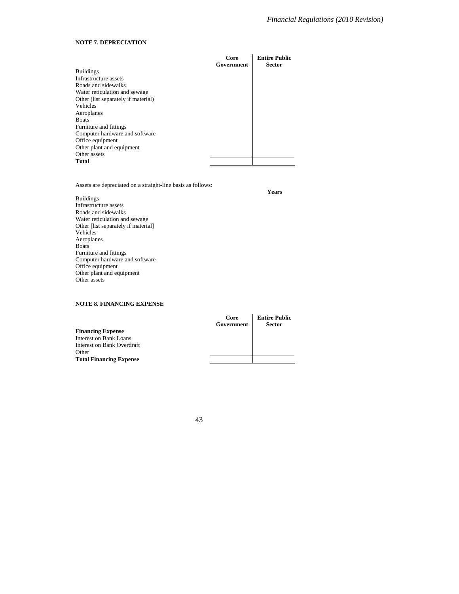### **NOTE 7. DEPRECIATION**

|                                     | Core<br>Government | <b>Entire Public</b><br><b>Sector</b> |
|-------------------------------------|--------------------|---------------------------------------|
| <b>Buildings</b>                    |                    |                                       |
| Infrastructure assets               |                    |                                       |
| Roads and sidewalks                 |                    |                                       |
| Water reticulation and sewage       |                    |                                       |
| Other (list separately if material) |                    |                                       |
| Vehicles                            |                    |                                       |
| Aeroplanes                          |                    |                                       |
| <b>Boats</b>                        |                    |                                       |
| Furniture and fittings              |                    |                                       |
| Computer hardware and software      |                    |                                       |
| Office equipment                    |                    |                                       |
| Other plant and equipment           |                    |                                       |
| Other assets                        |                    |                                       |
| <b>Total</b>                        |                    |                                       |

Assets are depreciated on a straight-line basis as follows:

**Years** 

Buildings Infrastructure assets Roads and sidewalks Water reticulation and sewage Other [list separately if material] Vehicles Aeroplanes Boats Furniture and fittings Computer hardware and software Office equipment Other plant and equipment Other assets

#### **NOTE 8. FINANCING EXPENSE**

|                                | Core<br>Government | <b>Entire Public</b><br><b>Sector</b> |
|--------------------------------|--------------------|---------------------------------------|
| <b>Financing Expense</b>       |                    |                                       |
| <b>Interest on Bank Loans</b>  |                    |                                       |
| Interest on Bank Overdraft     |                    |                                       |
| Other                          |                    |                                       |
| <b>Total Financing Expense</b> |                    |                                       |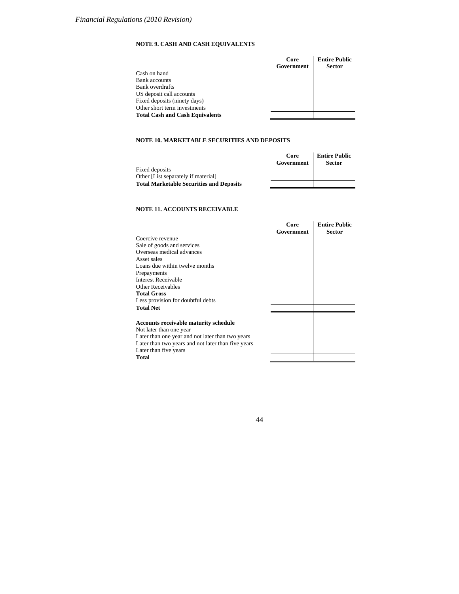# **NOTE 9. CASH AND CASH EQUIVALENTS**

|                                        | Core<br>Government | <b>Entire Public</b><br><b>Sector</b> |
|----------------------------------------|--------------------|---------------------------------------|
| Cash on hand                           |                    |                                       |
| Bank accounts                          |                    |                                       |
| Bank overdrafts                        |                    |                                       |
| US deposit call accounts               |                    |                                       |
| Fixed deposits (ninety days)           |                    |                                       |
| Other short term investments           |                    |                                       |
| <b>Total Cash and Cash Equivalents</b> |                    |                                       |

# **NOTE 10. MARKETABLE SECURITIES AND DEPOSITS**

|                                                 | Core<br>Government | <b>Entire Public</b><br><b>Sector</b> |
|-------------------------------------------------|--------------------|---------------------------------------|
| Fixed deposits                                  |                    |                                       |
| Other [List separately if material]             |                    |                                       |
| <b>Total Marketable Securities and Deposits</b> |                    |                                       |
|                                                 |                    |                                       |

#### **NOTE 11. ACCOUNTS RECEIVABLE**

|                                                    | Core<br>Government | <b>Entire Public</b><br><b>Sector</b> |
|----------------------------------------------------|--------------------|---------------------------------------|
| Coercive revenue                                   |                    |                                       |
| Sale of goods and services                         |                    |                                       |
| Overseas medical advances                          |                    |                                       |
| Asset sales                                        |                    |                                       |
| Loans due within twelve months                     |                    |                                       |
| Prepayments                                        |                    |                                       |
| Interest Receivable                                |                    |                                       |
| Other Receivables                                  |                    |                                       |
| <b>Total Gross</b>                                 |                    |                                       |
| Less provision for doubtful debts                  |                    |                                       |
| <b>Total Net</b>                                   |                    |                                       |
| <b>Accounts receivable maturity schedule</b>       |                    |                                       |
| Not later than one year                            |                    |                                       |
| Later than one year and not later than two years   |                    |                                       |
| Later than two years and not later than five years |                    |                                       |
| Later than five years                              |                    |                                       |

**Total**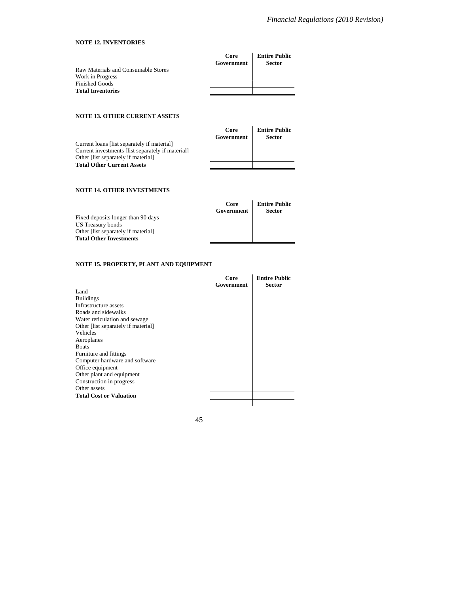## **NOTE 12. INVENTORIES**

|                                     | Core<br>Government | <b>Entire Public</b><br><b>Sector</b> |
|-------------------------------------|--------------------|---------------------------------------|
| Raw Materials and Consumable Stores |                    |                                       |
| Work in Progress                    |                    |                                       |
| <b>Finished Goods</b>               |                    |                                       |
| <b>Total Inventories</b>            |                    |                                       |
|                                     |                    |                                       |

# **NOTE 13. OTHER CURRENT ASSETS**

Current loans [list separately if material] Current investments [list separately if material] Other [list separately if material] **Total Other Current Assets**

| Core       | <b>Entire Public</b> |
|------------|----------------------|
| Government | <b>Sector</b>        |
|            |                      |

## **NOTE 14. OTHER INVESTMENTS**

|                                     | Core       | <b>Entire Public</b> |
|-------------------------------------|------------|----------------------|
|                                     | Government | <b>Sector</b>        |
| Fixed deposits longer than 90 days  |            |                      |
| <b>US Treasury bonds</b>            |            |                      |
| Other [list separately if material] |            |                      |
| <b>Total Other Investments</b>      |            |                      |

# **NOTE 15. PROPERTY, PLANT AND EQUIPMENT**

|                                     | Core       | <b>Entire Public</b> |
|-------------------------------------|------------|----------------------|
|                                     | Government | <b>Sector</b>        |
| Land                                |            |                      |
| <b>Buildings</b>                    |            |                      |
| Infrastructure assets               |            |                      |
| Roads and sidewalks                 |            |                      |
| Water reticulation and sewage       |            |                      |
| Other [list separately if material] |            |                      |
| Vehicles                            |            |                      |
| Aeroplanes                          |            |                      |
| <b>Boats</b>                        |            |                      |
| Furniture and fittings              |            |                      |
| Computer hardware and software      |            |                      |
| Office equipment                    |            |                      |
| Other plant and equipment           |            |                      |
| Construction in progress            |            |                      |
| Other assets                        |            |                      |
| <b>Total Cost or Valuation</b>      |            |                      |
|                                     |            |                      |
|                                     |            |                      |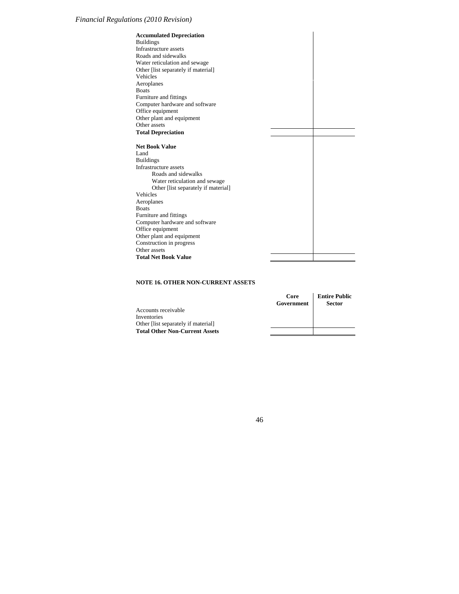# *Financial Regulations (2010 Revision)*

| <b>Accumulated Depreciation</b>     |  |
|-------------------------------------|--|
| <b>Buildings</b>                    |  |
| Infrastructure assets               |  |
| Roads and sidewalks                 |  |
| Water reticulation and sewage       |  |
| Other [list separately if material] |  |
| Vehicles                            |  |
| Aeroplanes                          |  |
| <b>Boats</b>                        |  |
| Furniture and fittings              |  |
| Computer hardware and software      |  |
| Office equipment                    |  |
| Other plant and equipment           |  |
| Other assets                        |  |
| <b>Total Depreciation</b>           |  |
| <b>Net Book Value</b>               |  |
| Land                                |  |
| <b>Buildings</b>                    |  |
| Infrastructure assets               |  |
| Roads and sidewalks                 |  |
| Water reticulation and sewage       |  |
| Other [list separately if material] |  |
| Vehicles                            |  |
| Aeroplanes                          |  |
| <b>Boats</b>                        |  |
| Furniture and fittings              |  |
| Computer hardware and software      |  |
| Office equipment                    |  |
| Other plant and equipment           |  |
| Construction in progress            |  |
| Other assets                        |  |
| <b>Total Net Book Value</b>         |  |

# **NOTE 16. OTHER NON-CURRENT ASSETS**

| Accounts receivable                   | Core<br>Government | <b>Entire Public</b><br><b>Sector</b> |
|---------------------------------------|--------------------|---------------------------------------|
| <b>Inventories</b>                    |                    |                                       |
| Other [list separately if material]   |                    |                                       |
| <b>Total Other Non-Current Assets</b> |                    |                                       |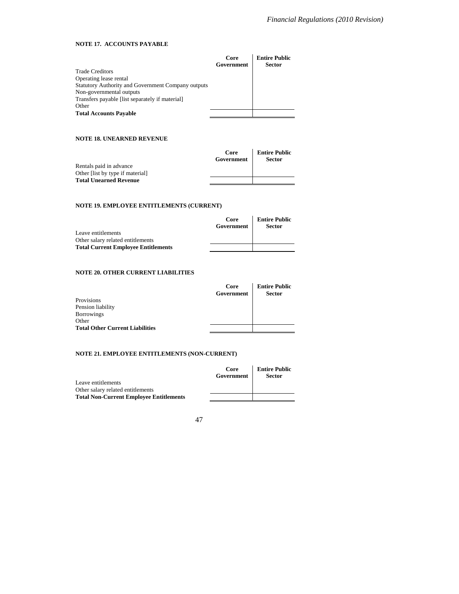## **NOTE 17. ACCOUNTS PAYABLE**

| Core       | <b>Entire Public</b> |
|------------|----------------------|
| Government | <b>Sector</b>        |
|            |                      |
|            |                      |
|            |                      |
|            |                      |
|            |                      |
|            |                      |
|            |                      |
|            |                      |

#### **NOTE 18. UNEARNED REVENUE**

|                                  | Core<br>Government | <b>Entire Public</b><br><b>Sector</b> |
|----------------------------------|--------------------|---------------------------------------|
| Rentals paid in advance          |                    |                                       |
| Other [list by type if material] |                    |                                       |
| <b>Total Unearned Revenue</b>    |                    |                                       |
|                                  |                    |                                       |

# **NOTE 19. EMPLOYEE ENTITLEMENTS (CURRENT)**

|                                            | Core       | <b>Entire Public</b> |
|--------------------------------------------|------------|----------------------|
|                                            | Government | <b>Sector</b>        |
| Leave entitlements                         |            |                      |
| Other salary related entitlements          |            |                      |
| <b>Total Current Employee Entitlements</b> |            |                      |
|                                            |            |                      |

# **NOTE 20. OTHER CURRENT LIABILITIES**

|                                        | Core       | <b>Entire Public</b> |
|----------------------------------------|------------|----------------------|
|                                        | Government | <b>Sector</b>        |
| Provisions                             |            |                      |
| Pension liability                      |            |                      |
| <b>Borrowings</b>                      |            |                      |
| Other                                  |            |                      |
| <b>Total Other Current Liabilities</b> |            |                      |
|                                        |            |                      |

# **NOTE 21. EMPLOYEE ENTITLEMENTS (NON-CURRENT)**

|                                                | Core<br>Government | <b>Entire Public</b><br><b>Sector</b> |
|------------------------------------------------|--------------------|---------------------------------------|
| Leave entitlements                             |                    |                                       |
| Other salary related entitlements              |                    |                                       |
| <b>Total Non-Current Employee Entitlements</b> |                    |                                       |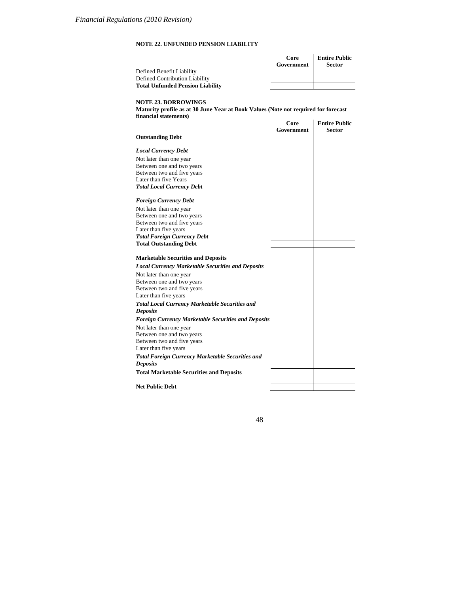# **NOTE 22. UNFUNDED PENSION LIABILITY**

|                                         | Core       | <b>Entire Public</b> |
|-----------------------------------------|------------|----------------------|
|                                         | Government | <b>Sector</b>        |
| Defined Benefit Liability               |            |                      |
| Defined Contribution Liability          |            |                      |
| <b>Total Unfunded Pension Liability</b> |            |                      |
|                                         |            |                      |

#### **NOTE 23. BORROWINGS**

**Maturity profile as at 30 June Year at Book Values (Note not required for forecast financial statements)** 

|                                                                          | Core<br>Government | <b>Entire Public</b><br><b>Sector</b> |
|--------------------------------------------------------------------------|--------------------|---------------------------------------|
| <b>Outstanding Debt</b>                                                  |                    |                                       |
| <b>Local Currency Debt</b>                                               |                    |                                       |
| Not later than one year                                                  |                    |                                       |
| Between one and two years                                                |                    |                                       |
| Between two and five years<br>Later than five Years                      |                    |                                       |
| <b>Total Local Currency Debt</b>                                         |                    |                                       |
| <b>Foreign Currency Debt</b>                                             |                    |                                       |
| Not later than one year                                                  |                    |                                       |
| Between one and two years                                                |                    |                                       |
| Between two and five years<br>Later than five years                      |                    |                                       |
| <b>Total Foreign Currency Debt</b>                                       |                    |                                       |
| <b>Total Outstanding Debt</b>                                            |                    |                                       |
| <b>Marketable Securities and Deposits</b>                                |                    |                                       |
| <b>Local Currency Marketable Securities and Deposits</b>                 |                    |                                       |
| Not later than one year                                                  |                    |                                       |
| Between one and two years                                                |                    |                                       |
| Between two and five years<br>Later than five years                      |                    |                                       |
|                                                                          |                    |                                       |
| <b>Total Local Currency Marketable Securities and</b><br><b>Deposits</b> |                    |                                       |
| <b>Foreign Currency Marketable Securities and Deposits</b>               |                    |                                       |
| Not later than one year                                                  |                    |                                       |
| Between one and two years                                                |                    |                                       |
| Between two and five years<br>Later than five years                      |                    |                                       |
| <b>Total Foreign Currency Marketable Securities and</b>                  |                    |                                       |
| <b>Deposits</b>                                                          |                    |                                       |
| <b>Total Marketable Securities and Deposits</b>                          |                    |                                       |
|                                                                          |                    |                                       |
| <b>Net Public Debt</b>                                                   |                    |                                       |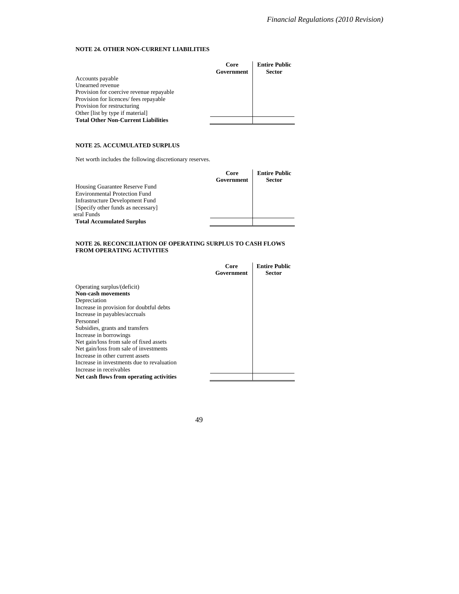# **NOTE 24. OTHER NON-CURRENT LIABILITIES**

|                                            | Core<br>Government | <b>Entire Public</b><br><b>Sector</b> |
|--------------------------------------------|--------------------|---------------------------------------|
| Accounts payable                           |                    |                                       |
| Unearned revenue                           |                    |                                       |
| Provision for coercive revenue repayable   |                    |                                       |
| Provision for licences/ fees repayable     |                    |                                       |
| Provision for restructuring                |                    |                                       |
| Other [list by type if material]           |                    |                                       |
| <b>Total Other Non-Current Liabilities</b> |                    |                                       |

## **NOTE 25. ACCUMULATED SURPLUS**

Net worth includes the following discretionary reserves.

|                                        | Core       | <b>Entire Public</b> |
|----------------------------------------|------------|----------------------|
|                                        | Government | <b>Sector</b>        |
| Housing Guarantee Reserve Fund         |            |                      |
| <b>Environmental Protection Fund</b>   |            |                      |
| <b>Infrastructure Development Fund</b> |            |                      |
| [Specify other funds as necessary]     |            |                      |
| ieral Funds                            |            |                      |
| <b>Total Accumulated Surplus</b>       |            |                      |
|                                        |            |                      |

#### **NOTE 26. RECONCILIATION OF OPERATING SURPLUS TO CASH FLOWS FROM OPERATING ACTIVITIES**

|                                            | Core<br>Government | <b>Entire Public</b><br>Sector |
|--------------------------------------------|--------------------|--------------------------------|
|                                            |                    |                                |
| Operating surplus/(deficit)                |                    |                                |
| <b>Non-cash movements</b>                  |                    |                                |
| Depreciation                               |                    |                                |
| Increase in provision for doubtful debts   |                    |                                |
| Increase in payables/accruals              |                    |                                |
| Personnel                                  |                    |                                |
| Subsidies, grants and transfers            |                    |                                |
| Increase in borrowings                     |                    |                                |
| Net gain/loss from sale of fixed assets    |                    |                                |
| Net gain/loss from sale of investments     |                    |                                |
| Increase in other current assets           |                    |                                |
| Increase in investments due to revaluation |                    |                                |
| Increase in receivables                    |                    |                                |
| Net cash flows from operating activities   |                    |                                |
|                                            |                    |                                |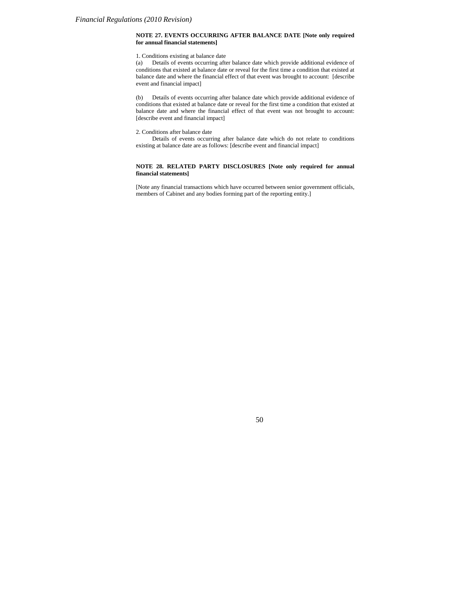#### **NOTE 27. EVENTS OCCURRING AFTER BALANCE DATE [Note only required for annual financial statements]**

1. Conditions existing at balance date

(a) Details of events occurring after balance date which provide additional evidence of conditions that existed at balance date or reveal for the first time a condition that existed at balance date and where the financial effect of that event was brought to account: [describe event and financial impact]

(b) Details of events occurring after balance date which provide additional evidence of conditions that existed at balance date or reveal for the first time a condition that existed at balance date and where the financial effect of that event was not brought to account: [describe event and financial impact]

#### 2. Conditions after balance date

 Details of events occurring after balance date which do not relate to conditions existing at balance date are as follows: [describe event and financial impact]

#### **NOTE 28. RELATED PARTY DISCLOSURES [Note only required for annual financial statements]**

[Note any financial transactions which have occurred between senior government officials, members of Cabinet and any bodies forming part of the reporting entity.]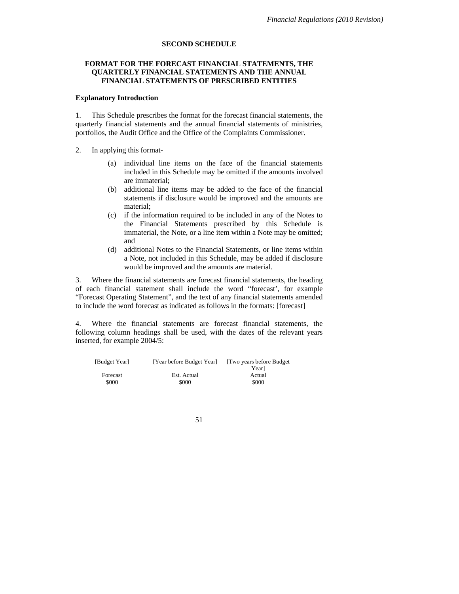#### **SECOND SCHEDULE**

## **FORMAT FOR THE FORECAST FINANCIAL STATEMENTS, THE QUARTERLY FINANCIAL STATEMENTS AND THE ANNUAL FINANCIAL STATEMENTS OF PRESCRIBED ENTITIES**

#### **Explanatory Introduction**

1. This Schedule prescribes the format for the forecast financial statements, the quarterly financial statements and the annual financial statements of ministries, portfolios, the Audit Office and the Office of the Complaints Commissioner.

2. In applying this format-

- (a) individual line items on the face of the financial statements included in this Schedule may be omitted if the amounts involved are immaterial;
- (b) additional line items may be added to the face of the financial statements if disclosure would be improved and the amounts are material;
- (c) if the information required to be included in any of the Notes to the Financial Statements prescribed by this Schedule is immaterial, the Note, or a line item within a Note may be omitted; and
- (d) additional Notes to the Financial Statements, or line items within a Note, not included in this Schedule, may be added if disclosure would be improved and the amounts are material.

3. Where the financial statements are forecast financial statements, the heading of each financial statement shall include the word "forecast', for example "Forecast Operating Statement", and the text of any financial statements amended to include the word forecast as indicated as follows in the formats: [forecast]

4. Where the financial statements are forecast financial statements, the following column headings shall be used, with the dates of the relevant years inserted, for example 2004/5:

| [Budget Year] | [Year before Budget Year] | Two years before Budget |
|---------------|---------------------------|-------------------------|
|               |                           | Yearl                   |
| Forecast      | Est. Actual               | Actual                  |
| \$000         | \$000                     | \$000                   |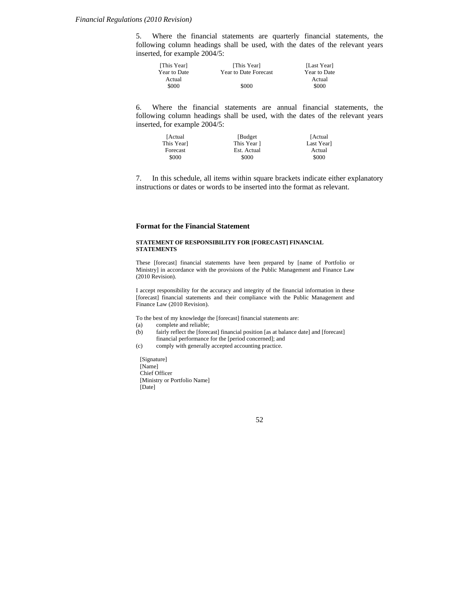#### *Financial Regulations (2010 Revision)*

5. Where the financial statements are quarterly financial statements, the following column headings shall be used, with the dates of the relevant years inserted, for example 2004/5:

| [This Year]  | [This Year]                  | [Last Year]  |
|--------------|------------------------------|--------------|
| Year to Date | <b>Year to Date Forecast</b> | Year to Date |
| Actual       |                              | Actual       |
| \$000        | \$000                        | \$000        |

6. Where the financial statements are annual financial statements, the following column headings shall be used, with the dates of the relevant years inserted, for example 2004/5:

| [Actual]  | [Budget]    | <b>L</b> Actual |
|-----------|-------------|-----------------|
| This Year | This Year 1 | Last Year       |
| Forecast  | Est. Actual | Actual          |
| \$000     | \$000       | \$000           |

7. In this schedule, all items within square brackets indicate either explanatory instructions or dates or words to be inserted into the format as relevant.

#### **Format for the Financial Statement**

#### **STATEMENT OF RESPONSIBILITY FOR [FORECAST] FINANCIAL STATEMENTS**

These [forecast] financial statements have been prepared by [name of Portfolio or Ministry] in accordance with the provisions of the Public Management and Finance Law (2010 Revision).

I accept responsibility for the accuracy and integrity of the financial information in these [forecast] financial statements and their compliance with the Public Management and Finance Law (2010 Revision).

To the best of my knowledge the [forecast] financial statements are:

- (a) complete and reliable;
- (b) fairly reflect the [forecast] financial position [as at balance date] and [forecast] financial performance for the [period concerned]; and
- (c) comply with generally accepted accounting practice.

[Signature] [Name] Chief Officer [Ministry or Portfolio Name] [Date]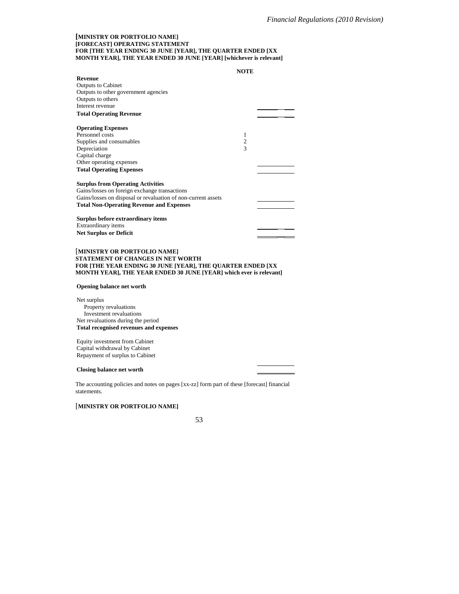#### **[MINISTRY OR PORTFOLIO NAME] [FORECAST] OPERATING STATEMENT FOR [THE YEAR ENDING 30 JUNE [YEAR], THE QUARTER ENDED [XX MONTH YEAR], THE YEAR ENDED 30 JUNE [YEAR] [whichever is relevant]**

|                                                               | <b>NOTE</b>  |  |
|---------------------------------------------------------------|--------------|--|
| <b>Revenue</b>                                                |              |  |
| <b>Outputs to Cabinet</b>                                     |              |  |
| Outputs to other government agencies                          |              |  |
| Outputs to others                                             |              |  |
| Interest revenue                                              |              |  |
| <b>Total Operating Revenue</b>                                |              |  |
| <b>Operating Expenses</b>                                     |              |  |
| Personnel costs                                               | 1            |  |
| Supplies and consumables                                      | 2            |  |
| Depreciation                                                  | $\mathbf{3}$ |  |
| Capital charge                                                |              |  |
| Other operating expenses                                      |              |  |
| <b>Total Operating Expenses</b>                               |              |  |
| <b>Surplus from Operating Activities</b>                      |              |  |
| Gains/losses on foreign exchange transactions                 |              |  |
| Gains/losses on disposal or revaluation of non-current assets |              |  |
| <b>Total Non-Operating Revenue and Expenses</b>               |              |  |
| Surplus before extraordinary items                            |              |  |
| Extraordinary items                                           |              |  |
| <b>Net Surplus or Deficit</b>                                 |              |  |
|                                                               |              |  |

#### [**MINISTRY OR PORTFOLIO NAME] STATEMENT OF CHANGES IN NET WORTH FOR [THE YEAR ENDING 30 JUNE [YEAR], THE QUARTER ENDED [XX MONTH YEAR], THE YEAR ENDED 30 JUNE [YEAR] which ever is relevant]**

#### **Opening balance net worth**

Net surplus Property revaluations Investment revaluations Net revaluations during the period **Total recognised revenues and expenses** 

Equity investment from Cabinet Capital withdrawal by Cabinet Repayment of surplus to Cabinet

# **Closing balance net worth**

The accounting policies and notes on pages [xx-zz] form part of these [forecast] financial statements.

#### [**MINISTRY OR PORTFOLIO NAME]**

|                        | ٠                   |
|------------------------|---------------------|
| n e s<br>۰.<br>۰.<br>v | ۰.<br>۰.<br>×<br>۰. |
|                        |                     |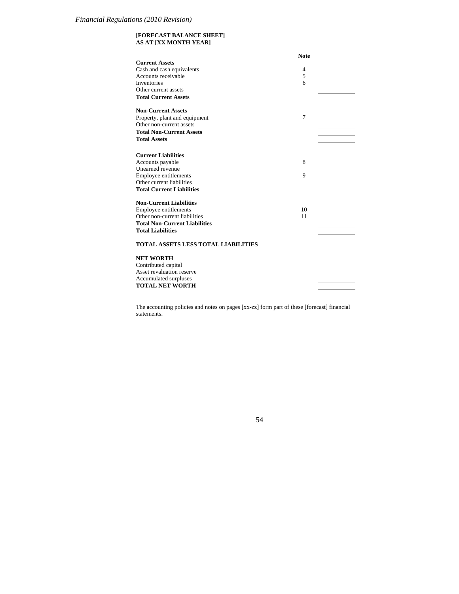# *Financial Regulations (2010 Revision)*

#### **[FORECAST BALANCE SHEET] AS AT [XX MONTH YEAR]**

**TOTAL NET WORTH**

|                                            | <b>Note</b> |  |
|--------------------------------------------|-------------|--|
| <b>Current Assets</b>                      |             |  |
| Cash and cash equivalents                  | 4           |  |
| Accounts receivable                        | 5           |  |
| <b>Inventories</b>                         | 6           |  |
| Other current assets                       |             |  |
| <b>Total Current Assets</b>                |             |  |
| <b>Non-Current Assets</b>                  |             |  |
| Property, plant and equipment              | 7           |  |
| Other non-current assets                   |             |  |
| <b>Total Non-Current Assets</b>            |             |  |
| <b>Total Assets</b>                        |             |  |
|                                            |             |  |
| <b>Current Liabilities</b>                 |             |  |
| Accounts payable                           | 8           |  |
| Unearned revenue                           |             |  |
| Employee entitlements                      | 9           |  |
| Other current liabilities                  |             |  |
| <b>Total Current Liabilities</b>           |             |  |
|                                            |             |  |
| <b>Non-Current Liabilities</b>             |             |  |
| Employee entitlements                      | 10          |  |
| Other non-current liabilities              | 11          |  |
| <b>Total Non-Current Liabilities</b>       |             |  |
| <b>Total Liabilities</b>                   |             |  |
|                                            |             |  |
| <b>TOTAL ASSETS LESS TOTAL LIABILITIES</b> |             |  |
| <b>NET WORTH</b>                           |             |  |
| Contributed capital                        |             |  |
| Asset revaluation reserve                  |             |  |
| Accumulated surpluses                      |             |  |

The accounting policies and notes on pages [xx-zz] form part of these [forecast] financial statements.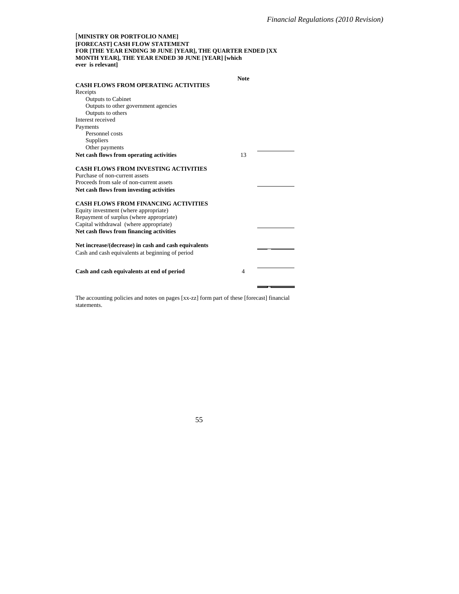#### [**MINISTRY OR PORTFOLIO NAME] [FORECAST] CASH FLOW STATEMENT FOR [THE YEAR ENDING 30 JUNE [YEAR], THE QUARTER ENDED [XX MONTH YEAR], THE YEAR ENDED 30 JUNE [YEAR] [which ever is relevant]**

|                                                      | <b>Note</b> |  |
|------------------------------------------------------|-------------|--|
| <b>CASH FLOWS FROM OPERATING ACTIVITIES</b>          |             |  |
| Receipts                                             |             |  |
| Outputs to Cabinet                                   |             |  |
| Outputs to other government agencies                 |             |  |
| Outputs to others                                    |             |  |
| Interest received                                    |             |  |
| Payments                                             |             |  |
| Personnel costs                                      |             |  |
| Suppliers                                            |             |  |
| Other payments                                       |             |  |
| Net cash flows from operating activities             | 13          |  |
| <b>CASH FLOWS FROM INVESTING ACTIVITIES</b>          |             |  |
| Purchase of non-current assets                       |             |  |
| Proceeds from sale of non-current assets             |             |  |
| Net cash flows from investing activities             |             |  |
| <b>CASH FLOWS FROM FINANCING ACTIVITIES</b>          |             |  |
| Equity investment (where appropriate)                |             |  |
| Repayment of surplus (where appropriate)             |             |  |
| Capital withdrawal (where appropriate)               |             |  |
| Net cash flows from financing activities             |             |  |
| Net increase/(decrease) in cash and cash equivalents |             |  |
| Cash and cash equivalents at beginning of period     |             |  |
| Cash and cash equivalents at end of period           | 4           |  |
|                                                      |             |  |

The accounting policies and notes on pages [xx-zz] form part of these [forecast] financial statements.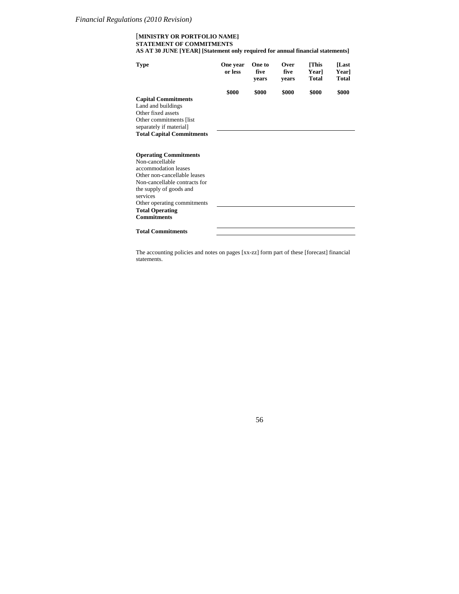#### [**MINISTRY OR PORTFOLIO NAME] STATEMENT OF COMMITMENTS AS AT 30 JUNE [YEAR] [Statement only required for annual financial statements]**

| <b>Type</b>                                         | One year<br>or less | One to<br>five<br>years | Over<br>five<br>years | [This<br>Yearl<br>Total | <b>Last</b><br>Year]<br>Total |
|-----------------------------------------------------|---------------------|-------------------------|-----------------------|-------------------------|-------------------------------|
|                                                     | \$000               | \$000                   | \$000                 | \$000                   | \$000                         |
| <b>Capital Commitments</b>                          |                     |                         |                       |                         |                               |
| Land and buildings                                  |                     |                         |                       |                         |                               |
| Other fixed assets                                  |                     |                         |                       |                         |                               |
| Other commitments [list]<br>separately if material] |                     |                         |                       |                         |                               |
| <b>Total Capital Commitments</b>                    |                     |                         |                       |                         |                               |
| <b>Operating Commitments</b>                        |                     |                         |                       |                         |                               |
| Non-cancellable                                     |                     |                         |                       |                         |                               |
| accommodation leases                                |                     |                         |                       |                         |                               |
| Other non-cancellable leases                        |                     |                         |                       |                         |                               |
| Non-cancellable contracts for                       |                     |                         |                       |                         |                               |

Non-cancellable contracts for the supply of goods and services Other operating commitments **Total Operating Commitments**

**Total Commitments** 

The accounting policies and notes on pages [xx-zz] form part of these [forecast] financial statements.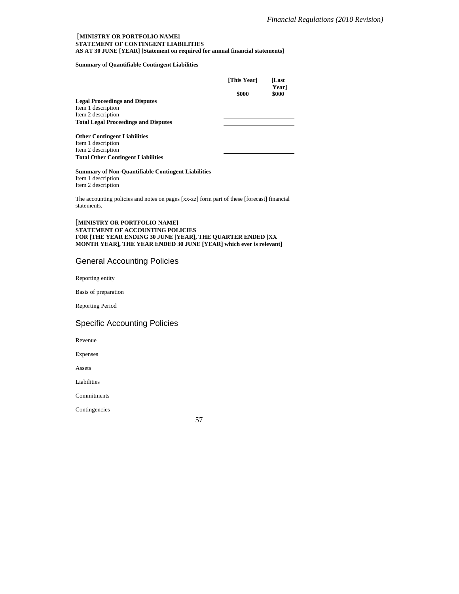#### [**MINISTRY OR PORTFOLIO NAME] STATEMENT OF CONTINGENT LIABILITIES AS AT 30 JUNE [YEAR] [Statement on required for annual financial statements]**

#### **Summary of Quantifiable Contingent Liabilities**

|                                                           | [This Year] | <b>Last</b>    |
|-----------------------------------------------------------|-------------|----------------|
|                                                           | \$000       | Yearl<br>\$000 |
| <b>Legal Proceedings and Disputes</b>                     |             |                |
| Item 1 description                                        |             |                |
| Item 2 description                                        |             |                |
| <b>Total Legal Proceedings and Disputes</b>               |             |                |
| <b>Other Contingent Liabilities</b>                       |             |                |
| Item 1 description                                        |             |                |
| Item 2 description                                        |             |                |
| <b>Total Other Contingent Liabilities</b>                 |             |                |
| <b>Summary of Non-Quantifiable Contingent Liabilities</b> |             |                |

Item 1 description Item 2 description

The accounting policies and notes on pages [xx-zz] form part of these [forecast] financial statements.

[**MINISTRY OR PORTFOLIO NAME] STATEMENT OF ACCOUNTING POLICIES FOR [THE YEAR ENDING 30 JUNE [YEAR], THE QUARTER ENDED [XX MONTH YEAR], THE YEAR ENDED 30 JUNE [YEAR] which ever is relevant]** 

### General Accounting Policies

Reporting entity

Basis of preparation

Reporting Period

# Specific Accounting Policies

Revenue

Expenses

Assets

Liabilities

Commitments

Contingencies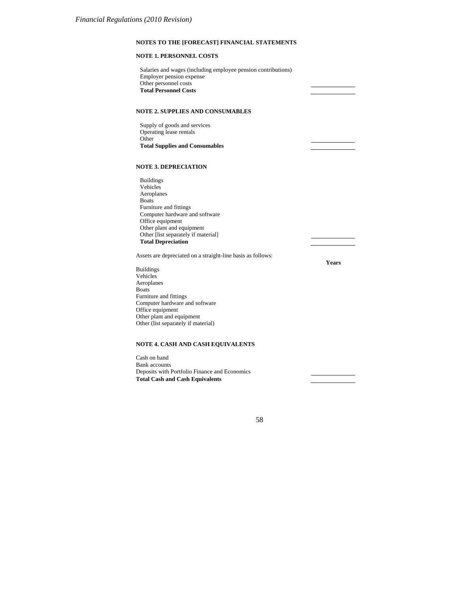# **NOTES TO THE [FORECAST] FINANCIAL STATEMENTS**

#### **NOTE 1. PERSONNEL COSTS**

Salaries and wages (including employee pension contributions) Employer pension expense Other personnel costs **Total Personnel Costs** 

## **NOTE 2. SUPPLIES AND CONSUMABLES**

Supply of goods and services Operating lease rentals **Other Total Supplies and Consumables** 

#### **NOTE 3. DEPRECIATION**

Buildings Vehicles Aeroplanes Boats Furniture and fittings Computer hardware and software Office equipment Other plant and equipment Other [list separately if material] **Total Depreciation** 

Assets are depreciated on a straight-line basis as follows:

Buildings Vehicles Aeroplanes Boats Furniture and fittings Computer hardware and software Office equipment Other plant and equipment Other (list separately if material)

#### **NOTE 4. CASH AND CASH EQUIVALENTS**

Cash on hand Bank accounts Deposits with Portfolio Finance and Economics **Total Cash and Cash Equivalents** 

58

**Years**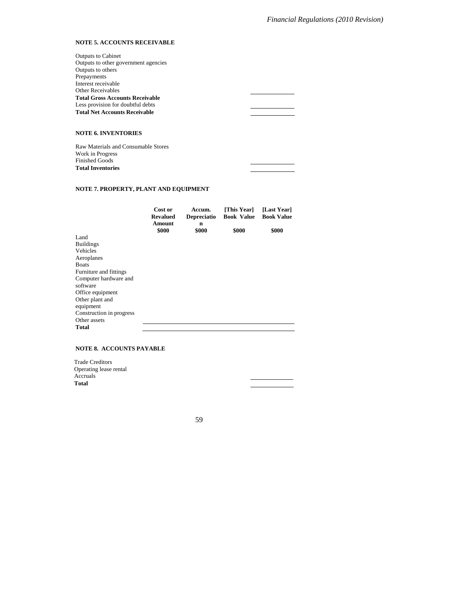#### **NOTE 5. ACCOUNTS RECEIVABLE**

| <b>Outputs to Cabinet</b>              |  |
|----------------------------------------|--|
| Outputs to other government agencies   |  |
| Outputs to others                      |  |
| Prepayments                            |  |
| Interest receivable                    |  |
| <b>Other Receivables</b>               |  |
| <b>Total Gross Accounts Receivable</b> |  |
| Less provision for doubtful debts      |  |
| <b>Total Net Accounts Receivable</b>   |  |
|                                        |  |

#### **NOTE 6. INVENTORIES**

Raw Materials and Consumable Stores Work in Progress Finished Goods **Total Inventories** 

# **NOTE 7. PROPERTY, PLANT AND EQUIPMENT**

|                          | Cost or<br><b>Revalued</b> | Accum.<br><b>Depreciatio</b> | [This Year]<br><b>Book Value</b> | [Last Year]<br><b>Book Value</b> |
|--------------------------|----------------------------|------------------------------|----------------------------------|----------------------------------|
|                          | Amount                     | n                            |                                  |                                  |
|                          | \$000                      | \$000                        | \$000                            | \$000                            |
| Land                     |                            |                              |                                  |                                  |
| <b>Buildings</b>         |                            |                              |                                  |                                  |
| Vehicles                 |                            |                              |                                  |                                  |
| Aeroplanes               |                            |                              |                                  |                                  |
| <b>Boats</b>             |                            |                              |                                  |                                  |
| Furniture and fittings   |                            |                              |                                  |                                  |
| Computer hardware and    |                            |                              |                                  |                                  |
| software                 |                            |                              |                                  |                                  |
| Office equipment         |                            |                              |                                  |                                  |
| Other plant and          |                            |                              |                                  |                                  |
| equipment                |                            |                              |                                  |                                  |
| Construction in progress |                            |                              |                                  |                                  |
| Other assets             |                            |                              |                                  |                                  |
| Total                    |                            |                              |                                  |                                  |

#### **NOTE 8. ACCOUNTS PAYABLE**

Trade Creditors Operating lease rental Accruals **Total**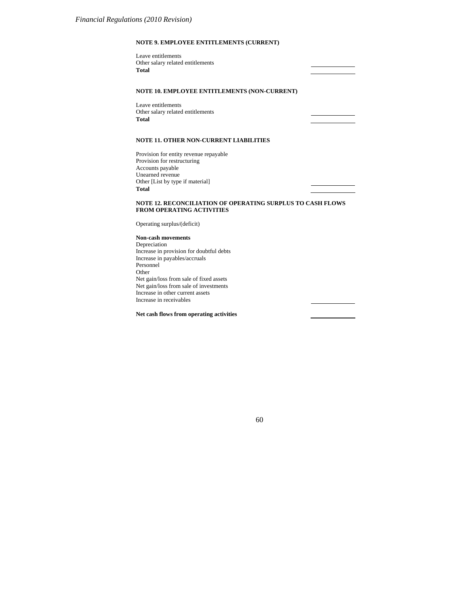## **NOTE 9. EMPLOYEE ENTITLEMENTS (CURRENT)**

Leave entitlements Other salary related entitlements **Total** 

#### **NOTE 10. EMPLOYEE ENTITLEMENTS (NON-CURRENT)**

Leave entitlements Other salary related entitlements **Total** 

#### **NOTE 11. OTHER NON-CURRENT LIABILITIES**

Provision for entity revenue repayable Provision for restructuring Accounts payable Unearned revenue Other [List by type if material] **Total** 

#### **NOTE 12. RECONCILIATION OF OPERATING SURPLUS TO CASH FLOWS FROM OPERATING ACTIVITIES**

Operating surplus/(deficit)

**Non-cash movements** Depreciation Increase in provision for doubtful debts Increase in payables/accruals Personnel Other Net gain/loss from sale of fixed assets Net gain/loss from sale of investments Increase in other current assets Increase in receivables

**Net cash flows from operating activities**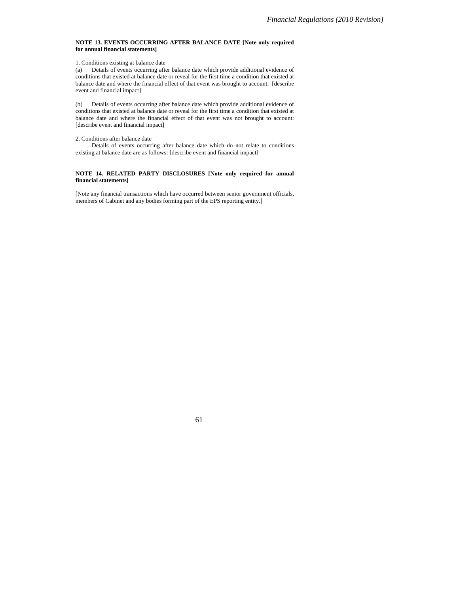#### **NOTE 13. EVENTS OCCURRING AFTER BALANCE DATE [Note only required for annual financial statements]**

#### 1. Conditions existing at balance date

(a) Details of events occurring after balance date which provide additional evidence of conditions that existed at balance date or reveal for the first time a condition that existed at balance date and where the financial effect of that event was brought to account: [describe event and financial impact]

(b) Details of events occurring after balance date which provide additional evidence of conditions that existed at balance date or reveal for the first time a condition that existed at balance date and where the financial effect of that event was not brought to account: [describe event and financial impact]

#### 2. Conditions after balance date

 Details of events occurring after balance date which do not relate to conditions existing at balance date are as follows: [describe event and financial impact]

#### **NOTE 14. RELATED PARTY DISCLOSURES [Note only required for annual financial statements]**

[Note any financial transactions which have occurred between senior government officials, members of Cabinet and any bodies forming part of the EPS reporting entity.]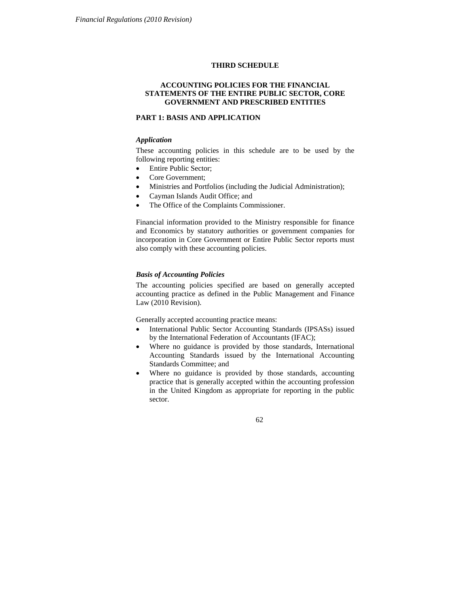#### **THIRD SCHEDULE**

## **ACCOUNTING POLICIES FOR THE FINANCIAL STATEMENTS OF THE ENTIRE PUBLIC SECTOR, CORE GOVERNMENT AND PRESCRIBED ENTITIES**

# **PART 1: BASIS AND APPLICATION**

## *Application*

These accounting policies in this schedule are to be used by the following reporting entities:

- Entire Public Sector;
- Core Government;
- Ministries and Portfolios (including the Judicial Administration);
- Cayman Islands Audit Office; and
- The Office of the Complaints Commissioner.

Financial information provided to the Ministry responsible for finance and Economics by statutory authorities or government companies for incorporation in Core Government or Entire Public Sector reports must also comply with these accounting policies.

#### *Basis of Accounting Policies*

The accounting policies specified are based on generally accepted accounting practice as defined in the Public Management and Finance Law (2010 Revision).

Generally accepted accounting practice means:

- International Public Sector Accounting Standards (IPSASs) issued by the International Federation of Accountants (IFAC);
- Where no guidance is provided by those standards, International Accounting Standards issued by the International Accounting Standards Committee; and
- Where no guidance is provided by those standards, accounting practice that is generally accepted within the accounting profession in the United Kingdom as appropriate for reporting in the public sector.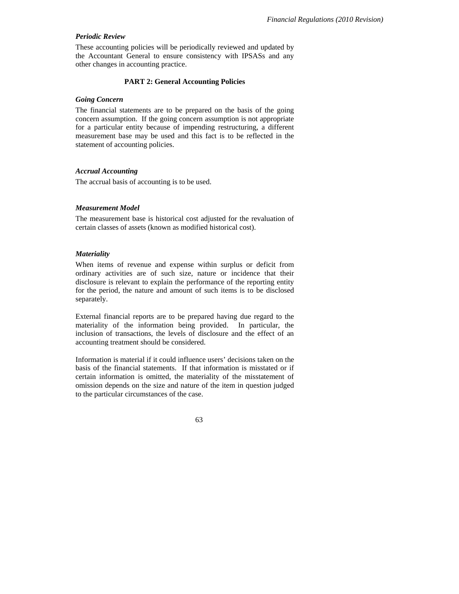# *Periodic Review*

These accounting policies will be periodically reviewed and updated by the Accountant General to ensure consistency with IPSASs and any other changes in accounting practice.

# **PART 2: General Accounting Policies**

## *Going Concern*

The financial statements are to be prepared on the basis of the going concern assumption. If the going concern assumption is not appropriate for a particular entity because of impending restructuring, a different measurement base may be used and this fact is to be reflected in the statement of accounting policies.

### *Accrual Accounting*

The accrual basis of accounting is to be used.

#### *Measurement Model*

The measurement base is historical cost adjusted for the revaluation of certain classes of assets (known as modified historical cost).

#### *Materiality*

When items of revenue and expense within surplus or deficit from ordinary activities are of such size, nature or incidence that their disclosure is relevant to explain the performance of the reporting entity for the period, the nature and amount of such items is to be disclosed separately.

External financial reports are to be prepared having due regard to the materiality of the information being provided. In particular, the inclusion of transactions, the levels of disclosure and the effect of an accounting treatment should be considered.

Information is material if it could influence users' decisions taken on the basis of the financial statements. If that information is misstated or if certain information is omitted, the materiality of the misstatement of omission depends on the size and nature of the item in question judged to the particular circumstances of the case.

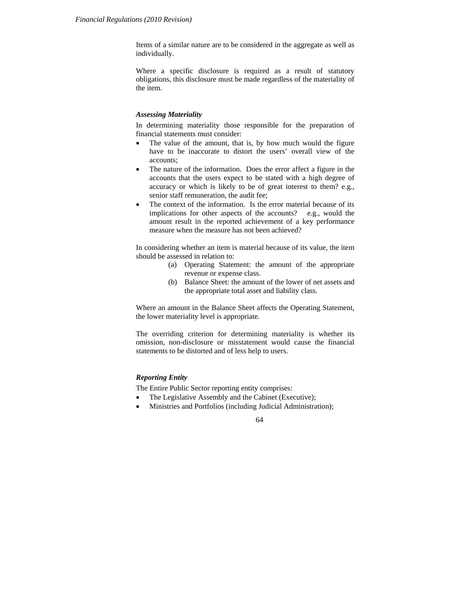Items of a similar nature are to be considered in the aggregate as well as individually.

Where a specific disclosure is required as a result of statutory obligations, this disclosure must be made regardless of the materiality of the item.

#### *Assessing Materiality*

In determining materiality those responsible for the preparation of financial statements must consider:

- The value of the amount, that is, by how much would the figure have to be inaccurate to distort the users' overall view of the accounts;
- The nature of the information. Does the error affect a figure in the accounts that the users expect to be stated with a high degree of accuracy or which is likely to be of great interest to them? e.g., senior staff remuneration, the audit fee;
- The context of the information. Is the error material because of its implications for other aspects of the accounts? e.g., would the amount result in the reported achievement of a key performance measure when the measure has not been achieved?

In considering whether an item is material because of its value, the item should be assessed in relation to:

- (a) Operating Statement: the amount of the appropriate revenue or expense class.
- (b) Balance Sheet: the amount of the lower of net assets and the appropriate total asset and liability class.

Where an amount in the Balance Sheet affects the Operating Statement, the lower materiality level is appropriate.

The overriding criterion for determining materiality is whether its omission, non-disclosure or misstatement would cause the financial statements to be distorted and of less help to users.

## *Reporting Entity*

The Entire Public Sector reporting entity comprises:

- The Legislative Assembly and the Cabinet (Executive);
- Ministries and Portfolios (including Judicial Administration);

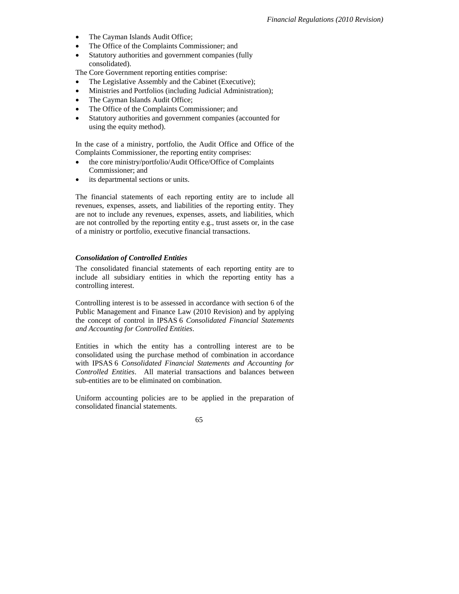- The Cayman Islands Audit Office;
- The Office of the Complaints Commissioner; and
- Statutory authorities and government companies (fully consolidated).

The Core Government reporting entities comprise:

- The Legislative Assembly and the Cabinet (Executive);
- Ministries and Portfolios (including Judicial Administration);
- The Cayman Islands Audit Office;
- The Office of the Complaints Commissioner; and
- Statutory authorities and government companies (accounted for using the equity method).

In the case of a ministry, portfolio, the Audit Office and Office of the Complaints Commissioner, the reporting entity comprises:

- the core ministry/portfolio/Audit Office/Office of Complaints Commissioner; and
- its departmental sections or units.

The financial statements of each reporting entity are to include all revenues, expenses, assets, and liabilities of the reporting entity. They are not to include any revenues, expenses, assets, and liabilities, which are not controlled by the reporting entity e.g., trust assets or, in the case of a ministry or portfolio, executive financial transactions.

#### *Consolidation of Controlled Entities*

The consolidated financial statements of each reporting entity are to include all subsidiary entities in which the reporting entity has a controlling interest.

Controlling interest is to be assessed in accordance with section 6 of the Public Management and Finance Law (2010 Revision) and by applying the concept of control in IPSAS 6 *Consolidated Financial Statements and Accounting for Controlled Entities*.

Entities in which the entity has a controlling interest are to be consolidated using the purchase method of combination in accordance with IPSAS 6 *Consolidated Financial Statements and Accounting for Controlled Entities*. All material transactions and balances between sub-entities are to be eliminated on combination.

Uniform accounting policies are to be applied in the preparation of consolidated financial statements.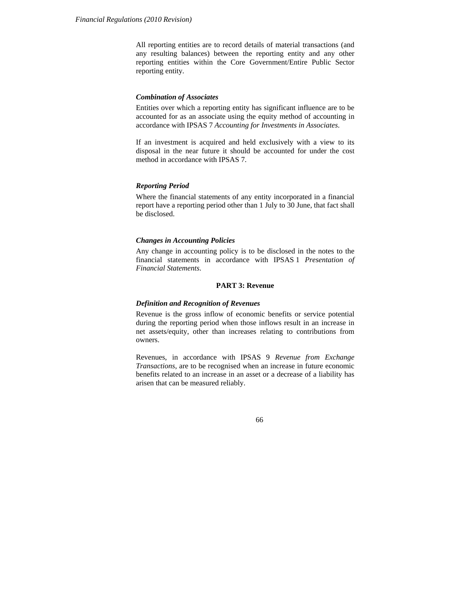All reporting entities are to record details of material transactions (and any resulting balances) between the reporting entity and any other reporting entities within the Core Government/Entire Public Sector reporting entity.

#### *Combination of Associates*

Entities over which a reporting entity has significant influence are to be accounted for as an associate using the equity method of accounting in accordance with IPSAS 7 *Accounting for Investments in Associates*.

If an investment is acquired and held exclusively with a view to its disposal in the near future it should be accounted for under the cost method in accordance with IPSAS 7.

#### *Reporting Period*

Where the financial statements of any entity incorporated in a financial report have a reporting period other than 1 July to 30 June, that fact shall be disclosed.

#### *Changes in Accounting Policies*

Any change in accounting policy is to be disclosed in the notes to the financial statements in accordance with IPSAS 1 *Presentation of Financial Statements*.

# **PART 3: Revenue**

#### *Definition and Recognition of Revenues*

Revenue is the gross inflow of economic benefits or service potential during the reporting period when those inflows result in an increase in net assets/equity, other than increases relating to contributions from owners.

Revenues, in accordance with IPSAS 9 *Revenue from Exchange Transactions*, are to be recognised when an increase in future economic benefits related to an increase in an asset or a decrease of a liability has arisen that can be measured reliably.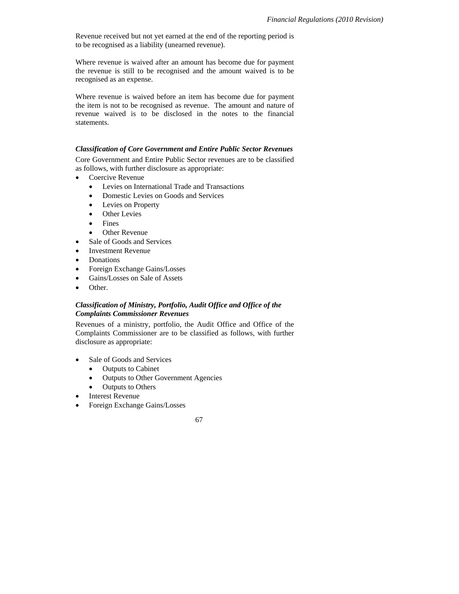Revenue received but not yet earned at the end of the reporting period is to be recognised as a liability (unearned revenue).

Where revenue is waived after an amount has become due for payment the revenue is still to be recognised and the amount waived is to be recognised as an expense.

Where revenue is waived before an item has become due for payment the item is not to be recognised as revenue. The amount and nature of revenue waived is to be disclosed in the notes to the financial statements.

## *Classification of Core Government and Entire Public Sector Revenues*

Core Government and Entire Public Sector revenues are to be classified as follows, with further disclosure as appropriate:

- Coercive Revenue
	- Levies on International Trade and Transactions
	- Domestic Levies on Goods and Services
	- Levies on Property
	- Other Levies
	- Fines
	- Other Revenue
- Sale of Goods and Services
- Investment Revenue
- Donations
- Foreign Exchange Gains/Losses
- Gains/Losses on Sale of Assets
- Other.

# *Classification of Ministry, Portfolio, Audit Office and Office of the Complaints Commissioner Revenues*

Revenues of a ministry, portfolio, the Audit Office and Office of the Complaints Commissioner are to be classified as follows, with further disclosure as appropriate:

- Sale of Goods and Services
	- Outputs to Cabinet
	- Outputs to Other Government Agencies
	- Outputs to Others
- Interest Revenue
- Foreign Exchange Gains/Losses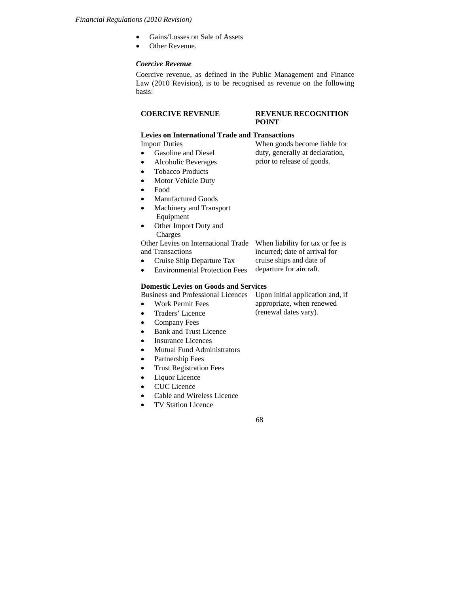- Gains/Losses on Sale of Assets
- Other Revenue.

# *Coercive Revenue*

Coercive revenue, as defined in the Public Management and Finance Law (2010 Revision), is to be recognised as revenue on the following basis:

# **COERCIVE REVENUE REVENUE RECOGNITION POINT**

When goods become liable for duty, generally at declaration, prior to release of goods.

# **Levies on International Trade and Transactions**

Import Duties

- Gasoline and Diesel
- Alcoholic Beverages
- Tobacco Products
- Motor Vehicle Duty
- Food
- Manufactured Goods
- Machinery and Transport Equipment
- Other Import Duty and Charges

Other Levies on International Trade and Transactions

When liability for tax or fee is incurred; date of arrival for cruise ships and date of departure for aircraft.

• Cruise Ship Departure Tax Environmental Protection Fees

#### **Domestic Levies on Goods and Services**

Business and Professional Licences

- Work Permit Fees • Traders' Licence
- Upon initial application and, if appropriate, when renewed (renewal dates vary).
- Company Fees
- Bank and Trust Licence
- Insurance Licences
- Mutual Fund Administrators
- Partnership Fees
- Trust Registration Fees
- Liquor Licence
- CUC Licence
- Cable and Wireless Licence
- TV Station Licence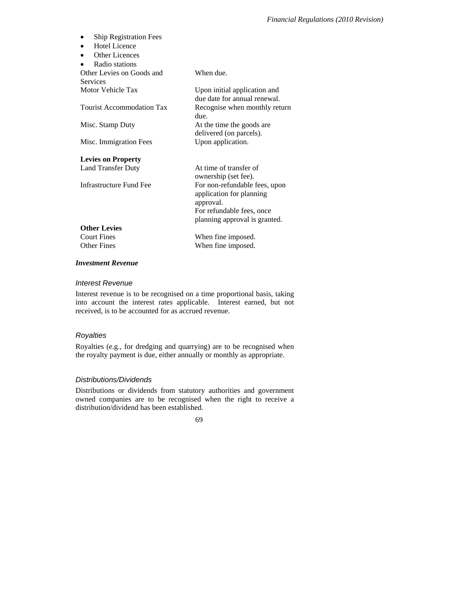- Ship Registration Fees
- Hotel Licence
- Other Licences

| Radio stations<br>$\bullet$      |                                                                                                     |
|----------------------------------|-----------------------------------------------------------------------------------------------------|
| Other Levies on Goods and        | When due.                                                                                           |
| Services                         |                                                                                                     |
| Motor Vehicle Tax                | Upon initial application and<br>due date for annual renewal.                                        |
| <b>Tourist Accommodation Tax</b> | Recognise when monthly return<br>due.                                                               |
| Misc. Stamp Duty                 | At the time the goods are                                                                           |
|                                  | delivered (on parcels).                                                                             |
| Misc. Immigration Fees           | Upon application.                                                                                   |
| <b>Levies on Property</b>        |                                                                                                     |
| <b>Land Transfer Duty</b>        | At time of transfer of<br>ownership (set fee).                                                      |
| Infrastructure Fund Fee          | For non-refundable fees, upon<br>application for planning<br>approval.<br>For refundable fees, once |
|                                  | planning approval is granted.                                                                       |
| <b>Other Levies</b>              |                                                                                                     |
| <b>Court Fines</b>               | When fine imposed.                                                                                  |
| <b>Other Fines</b>               | When fine imposed.                                                                                  |

#### *Investment Revenue*

#### *Interest Revenue*

Interest revenue is to be recognised on a time proportional basis, taking into account the interest rates applicable. Interest earned, but not received, is to be accounted for as accrued revenue.

# *Royalties*

Royalties (e.g., for dredging and quarrying) are to be recognised when the royalty payment is due, either annually or monthly as appropriate.

# *Distributions/Dividends*

Distributions or dividends from statutory authorities and government owned companies are to be recognised when the right to receive a distribution/dividend has been established.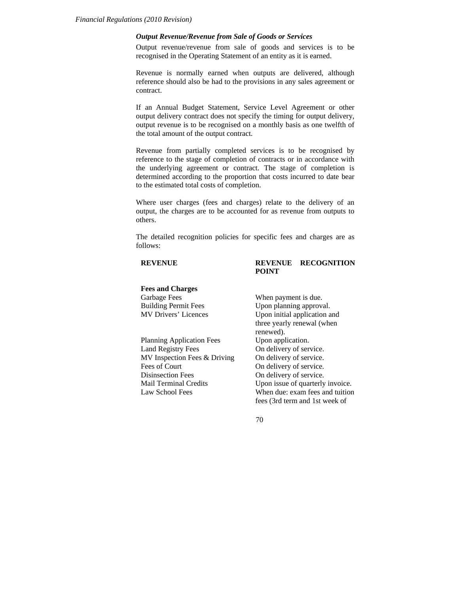## *Output Revenue/Revenue from Sale of Goods or Services*

Output revenue/revenue from sale of goods and services is to be recognised in the Operating Statement of an entity as it is earned.

Revenue is normally earned when outputs are delivered, although reference should also be had to the provisions in any sales agreement or contract.

If an Annual Budget Statement, Service Level Agreement or other output delivery contract does not specify the timing for output delivery, output revenue is to be recognised on a monthly basis as one twelfth of the total amount of the output contract.

Revenue from partially completed services is to be recognised by reference to the stage of completion of contracts or in accordance with the underlying agreement or contract. The stage of completion is determined according to the proportion that costs incurred to date bear to the estimated total costs of completion.

Where user charges (fees and charges) relate to the delivery of an output, the charges are to be accounted for as revenue from outputs to others.

The detailed recognition policies for specific fees and charges are as follows:

#### **REVENUE REVENUE RECOGNITION POINT**

## **Fees and Charges**

Garbage Fees When payment is due.

Planning Application Fees Upon application. Land Registry Fees On delivery of service. MV Inspection Fees & Driving On delivery of service. Fees of Court **On delivery of service**. Disinsection Fees On delivery of service.

Building Permit Fees Upon planning approval. MV Drivers' Licences Upon initial application and three yearly renewal (when renewed). Mail Terminal Credits Upon issue of quarterly invoice. Law School Fees When due: exam fees and tuition fees (3rd term and 1st week of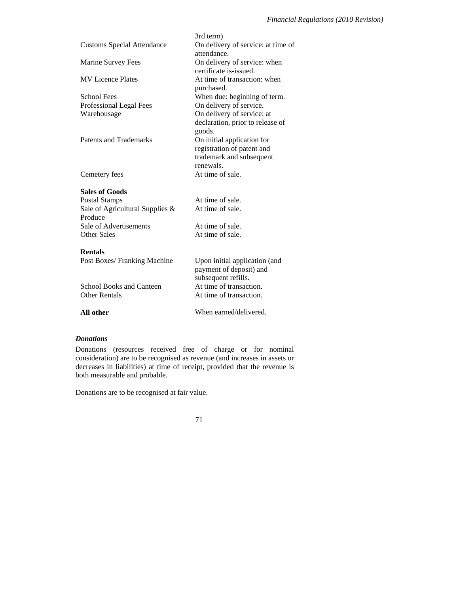|                                   | 3rd term)                                         |
|-----------------------------------|---------------------------------------------------|
| <b>Customs Special Attendance</b> | On delivery of service: at time of<br>attendance. |
| Marine Survey Fees                | On delivery of service: when                      |
|                                   | certificate is-issued.                            |
| <b>MV</b> Licence Plates          | At time of transaction: when<br>purchased.        |
| <b>School Fees</b>                | When due: beginning of term.                      |
| Professional Legal Fees           | On delivery of service.                           |
| Warehousage                       | On delivery of service: at                        |
|                                   | declaration, prior to release of                  |
|                                   | goods.                                            |
| Patents and Trademarks            | On initial application for                        |
|                                   | registration of patent and                        |
|                                   | trademark and subsequent                          |
|                                   | renewals.                                         |
| Cemetery fees                     | At time of sale.                                  |
| <b>Sales of Goods</b>             |                                                   |
| Postal Stamps                     | At time of sale.                                  |
| Sale of Agricultural Supplies &   | At time of sale.                                  |
| Produce                           |                                                   |
| Sale of Advertisements            | At time of sale.                                  |
| <b>Other Sales</b>                | At time of sale.                                  |
|                                   |                                                   |

## **Rentals**

| School Books and Canteen<br><b>Other Rentals</b> | payment of deposit) and<br>subsequent refills.<br>At time of transaction.<br>At time of transaction. |
|--------------------------------------------------|------------------------------------------------------------------------------------------------------|
| All other                                        | When earned/delivered.                                                                               |

# *Donations*

Donations (resources received free of charge or for nominal consideration) are to be recognised as revenue (and increases in assets or decreases in liabilities) at time of receipt, provided that the revenue is both measurable and probable.

Donations are to be recognised at fair value.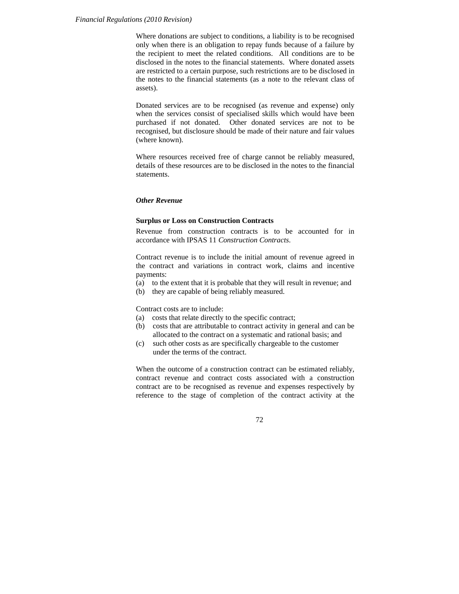Where donations are subject to conditions, a liability is to be recognised only when there is an obligation to repay funds because of a failure by the recipient to meet the related conditions. All conditions are to be disclosed in the notes to the financial statements. Where donated assets are restricted to a certain purpose, such restrictions are to be disclosed in the notes to the financial statements (as a note to the relevant class of assets).

Donated services are to be recognised (as revenue and expense) only when the services consist of specialised skills which would have been purchased if not donated. Other donated services are not to be recognised, but disclosure should be made of their nature and fair values (where known).

Where resources received free of charge cannot be reliably measured, details of these resources are to be disclosed in the notes to the financial statements.

#### *Other Revenue*

#### **Surplus or Loss on Construction Contracts**

Revenue from construction contracts is to be accounted for in accordance with IPSAS 11 *Construction Contracts*.

Contract revenue is to include the initial amount of revenue agreed in the contract and variations in contract work, claims and incentive payments:

- (a) to the extent that it is probable that they will result in revenue; and
- (b) they are capable of being reliably measured.

Contract costs are to include:

- (a) costs that relate directly to the specific contract;
- (b) costs that are attributable to contract activity in general and can be allocated to the contract on a systematic and rational basis; and
- (c) such other costs as are specifically chargeable to the customer under the terms of the contract.

When the outcome of a construction contract can be estimated reliably, contract revenue and contract costs associated with a construction contract are to be recognised as revenue and expenses respectively by reference to the stage of completion of the contract activity at the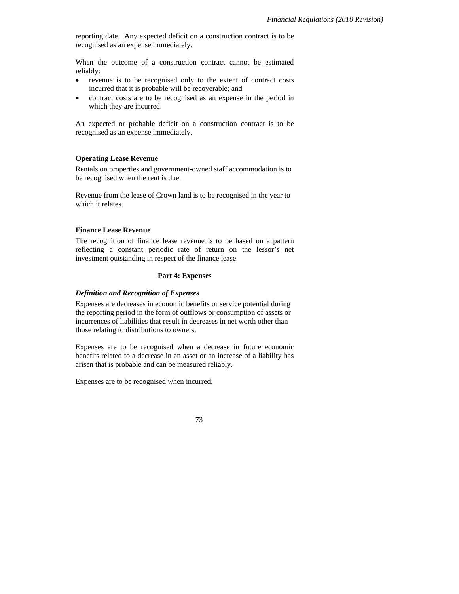reporting date. Any expected deficit on a construction contract is to be recognised as an expense immediately.

When the outcome of a construction contract cannot be estimated reliably:

- revenue is to be recognised only to the extent of contract costs incurred that it is probable will be recoverable; and
- contract costs are to be recognised as an expense in the period in which they are incurred.

An expected or probable deficit on a construction contract is to be recognised as an expense immediately.

# **Operating Lease Revenue**

Rentals on properties and government-owned staff accommodation is to be recognised when the rent is due.

Revenue from the lease of Crown land is to be recognised in the year to which it relates.

# **Finance Lease Revenue**

The recognition of finance lease revenue is to be based on a pattern reflecting a constant periodic rate of return on the lessor's net investment outstanding in respect of the finance lease.

#### **Part 4: Expenses**

# *Definition and Recognition of Expenses*

Expenses are decreases in economic benefits or service potential during the reporting period in the form of outflows or consumption of assets or incurrences of liabilities that result in decreases in net worth other than those relating to distributions to owners.

Expenses are to be recognised when a decrease in future economic benefits related to a decrease in an asset or an increase of a liability has arisen that is probable and can be measured reliably.

Expenses are to be recognised when incurred.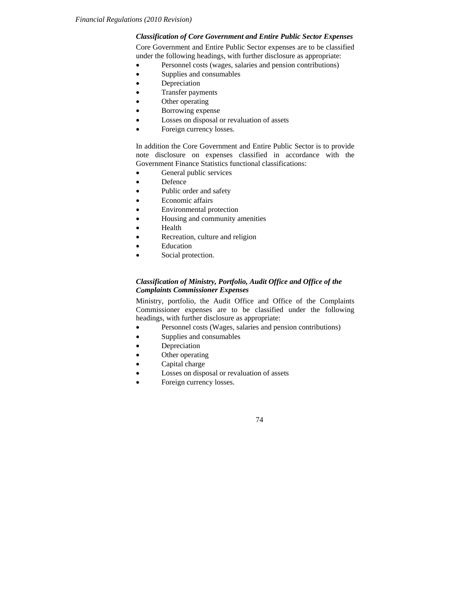## *Financial Regulations (2010 Revision)*

# *Classification of Core Government and Entire Public Sector Expenses*

Core Government and Entire Public Sector expenses are to be classified under the following headings, with further disclosure as appropriate:

- Personnel costs (wages, salaries and pension contributions)
- Supplies and consumables
- Depreciation
- Transfer payments
- Other operating
- Borrowing expense
- Losses on disposal or revaluation of assets
- Foreign currency losses.

In addition the Core Government and Entire Public Sector is to provide note disclosure on expenses classified in accordance with the Government Finance Statistics functional classifications:

- General public services
- Defence
- Public order and safety
- Economic affairs
- Environmental protection
- Housing and community amenities
- Health
- Recreation, culture and religion
- Education
- Social protection.

# *Classification of Ministry, Portfolio, Audit Office and Office of the Complaints Commissioner Expenses*

Ministry, portfolio, the Audit Office and Office of the Complaints Commissioner expenses are to be classified under the following headings, with further disclosure as appropriate:

- Personnel costs (Wages, salaries and pension contributions)
- Supplies and consumables
- Depreciation
- Other operating
- Capital charge
- Losses on disposal or revaluation of assets
- Foreign currency losses.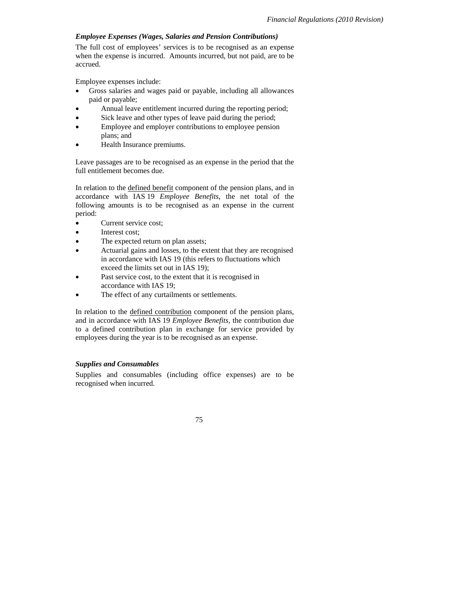# *Employee Expenses (Wages, Salaries and Pension Contributions)*

The full cost of employees' services is to be recognised as an expense when the expense is incurred. Amounts incurred, but not paid, are to be accrued.

Employee expenses include:

- Gross salaries and wages paid or payable, including all allowances paid or payable;
- Annual leave entitlement incurred during the reporting period;
- Sick leave and other types of leave paid during the period;
- Employee and employer contributions to employee pension plans; and
- Health Insurance premiums.

Leave passages are to be recognised as an expense in the period that the full entitlement becomes due.

In relation to the defined benefit component of the pension plans, and in accordance with IAS 19 *Employee Benefits*, the net total of the following amounts is to be recognised as an expense in the current period:

- Current service cost;
- Interest cost;
- The expected return on plan assets;
- Actuarial gains and losses, to the extent that they are recognised in accordance with IAS 19 (this refers to fluctuations which exceed the limits set out in IAS 19);
- Past service cost, to the extent that it is recognised in accordance with IAS 19;
- The effect of any curtailments or settlements.

In relation to the defined contribution component of the pension plans, and in accordance with IAS 19 *Employee Benefits*, the contribution due to a defined contribution plan in exchange for service provided by employees during the year is to be recognised as an expense.

## *Supplies and Consumables*

Supplies and consumables (including office expenses) are to be recognised when incurred.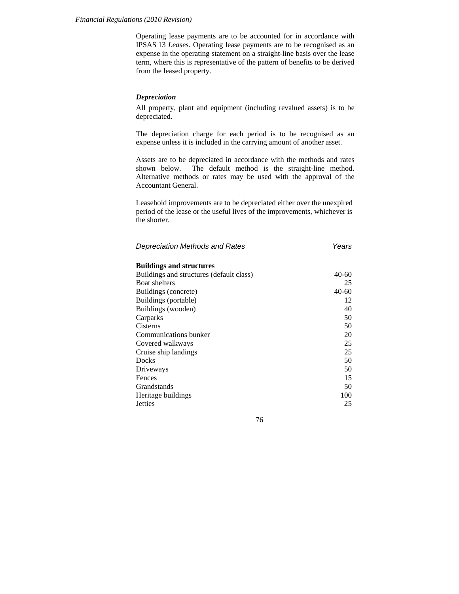Operating lease payments are to be accounted for in accordance with IPSAS 13 *Leases*. Operating lease payments are to be recognised as an expense in the operating statement on a straight-line basis over the lease term, where this is representative of the pattern of benefits to be derived from the leased property.

## *Depreciation*

All property, plant and equipment (including revalued assets) is to be depreciated.

The depreciation charge for each period is to be recognised as an expense unless it is included in the carrying amount of another asset.

Assets are to be depreciated in accordance with the methods and rates shown below. The default method is the straight-line method. Alternative methods or rates may be used with the approval of the Accountant General.

Leasehold improvements are to be depreciated either over the unexpired period of the lease or the useful lives of the improvements, whichever is the shorter.

| <b>Depreciation Methods and Rates</b>    | Years     |
|------------------------------------------|-----------|
|                                          |           |
| <b>Buildings and structures</b>          |           |
| Buildings and structures (default class) | $40 - 60$ |
| <b>Boat shelters</b>                     | 25        |
| Buildings (concrete)                     | $40 - 60$ |
| Buildings (portable)                     | 12        |
| Buildings (wooden)                       | 40        |
| Carparks                                 | 50        |
| Cisterns                                 | 50        |
| Communications bunker                    | 20        |
| Covered walkways                         | 25        |
| Cruise ship landings                     | 25        |
| <b>Docks</b>                             | 50        |
| Driveways                                | 50        |
| Fences                                   | 15        |
| Grandstands                              | 50        |
| Heritage buildings                       | 100       |
| <b>Jetties</b>                           | 25        |

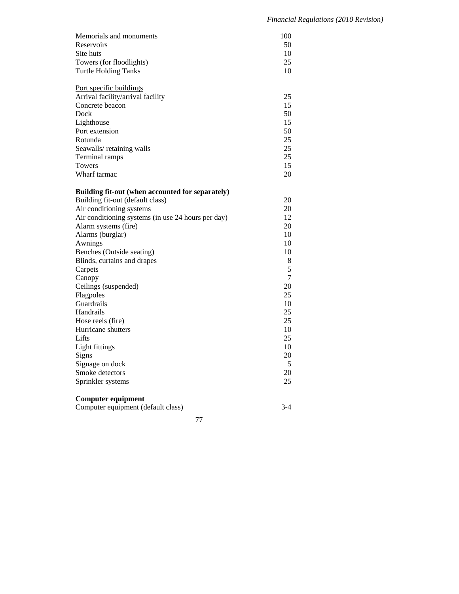| Memorials and monuments           | 100 |
|-----------------------------------|-----|
| Reservoirs                        | 50  |
| Site huts                         | 10  |
| Towers (for floodlights)          | 25  |
| <b>Turtle Holding Tanks</b>       | 10  |
| Port specific buildings           |     |
| Arrival facility/arrival facility | 25  |

| Concrete beacon          | 15 |
|--------------------------|----|
| Dock                     | 50 |
| Lighthouse               | 15 |
| Port extension           | 50 |
| Rotunda                  | 25 |
| Seawalls/retaining walls | 25 |
| Terminal ramps           | 25 |
| Towers                   | 15 |
| Wharf tarmac             | 20 |

#### **Building fit-out (when accounted for separately)**

| Building fit-out (default class)                   | 20 |
|----------------------------------------------------|----|
| Air conditioning systems                           | 20 |
| Air conditioning systems (in use 24 hours per day) | 12 |
| Alarm systems (fire)                               | 20 |
| Alarms (burglar)                                   | 10 |
| Awnings                                            | 10 |
| Benches (Outside seating)                          | 10 |
| Blinds, curtains and drapes                        | 8  |
| Carpets                                            | 5  |
| Canopy                                             | 7  |
| Ceilings (suspended)                               | 20 |
| Flagpoles                                          | 25 |
| Guardrails                                         | 10 |
| Handrails                                          | 25 |
| Hose reels (fire)                                  | 25 |
| Hurricane shutters                                 | 10 |
| Lifts                                              | 25 |
| Light fittings                                     | 10 |
| <b>Signs</b>                                       | 20 |
| Signage on dock                                    | 5  |
| Smoke detectors                                    | 20 |
| Sprinkler systems                                  | 25 |
|                                                    |    |

## **Computer equipment**

Computer equipment (default class) 3-4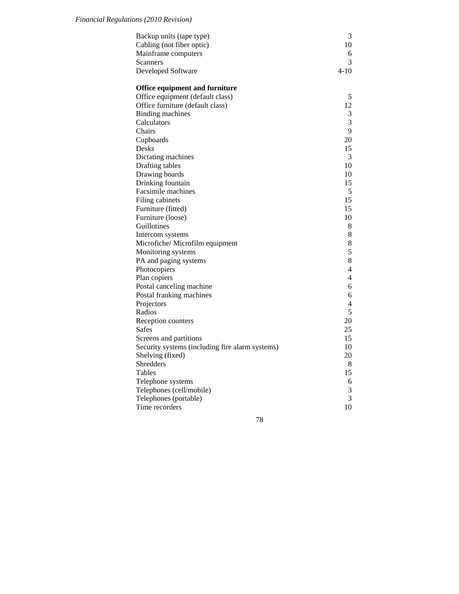| Backup units (tape type)  |      |
|---------------------------|------|
| Cabling (not fiber optic) | 10   |
| Mainframe computers       |      |
| <b>Scanners</b>           |      |
| Developed Software        | 4-10 |

# **Office equipment and furniture**

| mee equipment u                                 |                          |
|-------------------------------------------------|--------------------------|
| Office equipment (default class)                | 5                        |
| Office furniture (default class)                | 12                       |
| Binding machines                                | 3                        |
| Calculators                                     | 3                        |
| Chairs                                          | 9                        |
| Cupboards                                       | 20                       |
| Desks                                           | 15                       |
| Dictating machines                              | 3                        |
| Drafting tables                                 | 10                       |
| Drawing boards                                  | 10                       |
| Drinking fountain                               | 15                       |
| Facsimile machines                              | 5                        |
| Filing cabinets                                 | 15                       |
| Furniture (fitted)                              | 15                       |
| Furniture (loose)                               | 10                       |
| Guillotines                                     | 8                        |
| Intercom systems                                | 8                        |
| Microfiche/ Microfilm equipment                 | $8\,$                    |
| Monitoring systems                              | 5                        |
| PA and paging systems                           | 8                        |
| Photocopiers                                    | $\overline{4}$           |
| Plan copiers                                    | $\overline{\mathcal{L}}$ |
| Postal canceling machine                        | 6                        |
| Postal franking machines                        | 6                        |
| Projectors                                      | $\overline{4}$           |
| Radios                                          | 5                        |
| Reception counters                              | 20                       |
| <b>Safes</b>                                    | 25                       |
| Screens and partitions                          | 15                       |
| Security systems (including fire alarm systems) | 10                       |
| Shelving (fixed)                                | 20                       |
| <b>Shredders</b>                                | 8                        |
| Tables                                          | 15                       |
| Telephone systems                               | 6                        |
| Telephones (cell/mobile)                        | 3                        |
| Telephones (portable)                           | 3                        |
| Time recorders                                  | 10                       |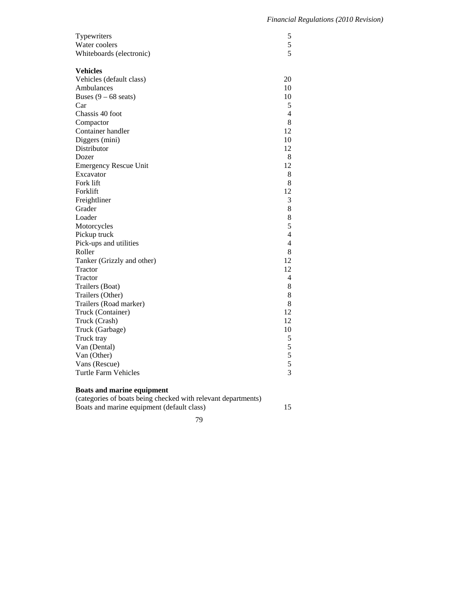| Typewriters                       | 5              |
|-----------------------------------|----------------|
| Water coolers                     | 5              |
| Whiteboards (electronic)          | 5              |
|                                   |                |
| <b>Vehicles</b>                   |                |
| Vehicles (default class)          | 20             |
| Ambulances                        | 10             |
| Buses $(9 - 68$ seats)            | 10             |
| Car                               | 5              |
| Chassis 40 foot                   | 4              |
| Compactor                         | 8              |
| Container handler                 | 12             |
| Diggers (mini)                    | 10             |
| Distributor                       | 12             |
| Dozer                             | 8              |
| <b>Emergency Rescue Unit</b>      | 12             |
| Excavator                         | 8              |
| Fork lift                         | 8              |
| Forklift                          | 12             |
| Freightliner                      | 3              |
| Grader                            | 8              |
| Loader                            | 8              |
| Motorcycles                       | 5              |
| Pickup truck                      | 4              |
| Pick-ups and utilities            | $\overline{4}$ |
| Roller                            | 8              |
| Tanker (Grizzly and other)        | 12             |
| Tractor                           | 12             |
| Tractor                           | 4              |
| Trailers (Boat)                   | 8              |
| Trailers (Other)                  | 8              |
| Trailers (Road marker)            | 8              |
| Truck (Container)                 | 12             |
| Truck (Crash)                     | 12             |
| Truck (Garbage)                   | 10             |
| Truck tray                        | 5              |
| Van (Dental)                      | 5              |
| Van (Other)                       | 5              |
| Vans (Rescue)                     | 5              |
| <b>Turtle Farm Vehicles</b>       | $\overline{3}$ |
|                                   |                |
| <b>Boats and marine equipment</b> |                |

(categories of boats being checked with relevant departments) Boats and marine equipment (default class) 15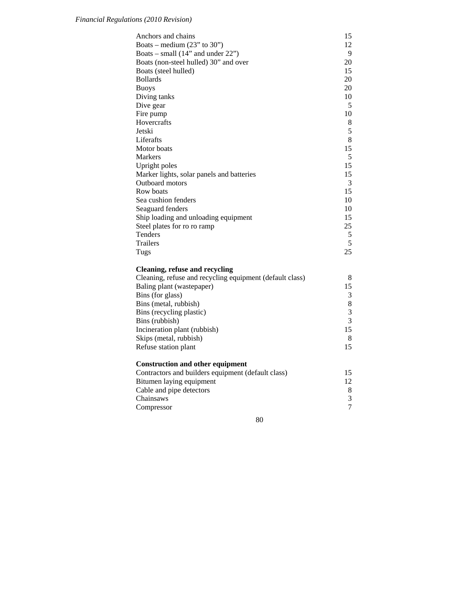Compressor

| Anchors and chains                        | 15 |
|-------------------------------------------|----|
| Boats – medium $(23"$ to 30")             | 12 |
| Boats – small $(14"$ and under $22"$ )    | 9  |
| Boats (non-steel hulled) 30" and over     | 20 |
| Boats (steel hulled)                      | 15 |
| <b>Bollards</b>                           | 20 |
| <b>Buoys</b>                              | 20 |
| Diving tanks                              | 10 |
| Dive gear                                 | 5  |
| Fire pump                                 | 10 |
| Hovercrafts                               | 8  |
| Jetski                                    | 5  |
| Liferafts                                 | 8  |
| Motor boats                               | 15 |
| <b>Markers</b>                            | 5  |
| Upright poles                             | 15 |
| Marker lights, solar panels and batteries | 15 |
| Outboard motors                           | 3  |
| Row boats                                 | 15 |
| Sea cushion fenders                       | 10 |
| Seaguard fenders                          | 10 |
| Ship loading and unloading equipment      | 15 |
| Steel plates for ro ro ramp               | 25 |
| Tenders                                   | 5  |
| <b>Trailers</b>                           | 5  |
| Tugs                                      | 25 |
| Cleaning, refuse and recycling            |    |

| Cleaning, refuse and recycling equipment (default class) | 8  |
|----------------------------------------------------------|----|
| Baling plant (wastepaper)                                | 15 |
| Bins (for glass)                                         | 3  |
| Bins (metal, rubbish)                                    | 8  |
| Bins (recycling plastic)                                 | 3  |
| Bins (rubbish)                                           | 3  |
| Incineration plant (rubbish)                             | 15 |
| Skips (metal, rubbish)                                   | 8  |
| Refuse station plant                                     | 15 |
| <b>Construction and other equipment</b>                  |    |
| Contractors and builders equipment (default class)       | 15 |
| Bitumen laying equipment                                 | 12 |
| Cable and pipe detectors                                 | 8  |
| Chainsaws                                                | 3  |
| Compressor                                               |    |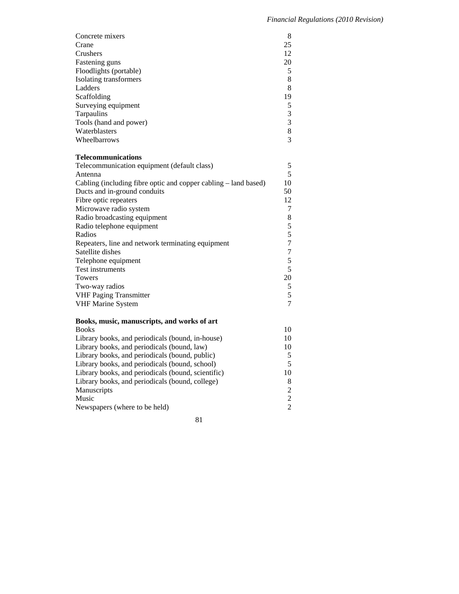| Concrete mixers           | 8  |
|---------------------------|----|
| Crane                     | 25 |
| Crushers                  | 12 |
| Fastening guns            | 20 |
| Floodlights (portable)    | 5  |
| Isolating transformers    | 8  |
| Ladders                   | 8  |
| Scaffolding               | 19 |
| Surveying equipment       |    |
| <b>Tarpaulins</b>         | 3  |
| Tools (hand and power)    | 3  |
| Waterblasters             | 8  |
| Wheelbarrows              | 3  |
| <b>Telecommunications</b> |    |

| Telecommunication equipment (default class)                     | 5  |
|-----------------------------------------------------------------|----|
| Antenna                                                         | 5  |
| Cabling (including fibre optic and copper cabling – land based) | 10 |
| Ducts and in-ground conduits                                    | 50 |
| Fibre optic repeaters                                           | 12 |
| Microwave radio system                                          | 7  |
| Radio broadcasting equipment                                    | 8  |
| Radio telephone equipment                                       | 5  |
| Radios                                                          | 5  |
| Repeaters, line and network terminating equipment               | 7  |
| Satellite dishes                                                | 7  |
| Telephone equipment                                             | 5  |
| <b>Test instruments</b>                                         | 5  |
| Towers                                                          | 20 |
| Two-way radios                                                  | 5  |
| <b>VHF Paging Transmitter</b>                                   | 5  |
| <b>VHF Marine System</b>                                        | 7  |
| Books, music, manuscripts, and works of art                     |    |
| <b>Books</b>                                                    | 10 |
| Library books, and periodicals (bound, in-house)                | 10 |
| Library books, and periodicals (bound, law)                     | 10 |
| Library books, and periodicals (bound, public)                  | 5  |

Library books, and periodicals (bound, school) 5<br>
Library books, and periodicals (bound, scientific) 10 Library books, and periodicals (bound, scientific) 10<br>Library books, and periodicals (bound, college) 8 Library books, and periodicals (bound, college) 8<br>Manuscripts 2 Manuscripts<br>
Music<br>
2<br>
Newspapers (where to be held)<br>
2 Music 2 Newspapers (where to be held) 2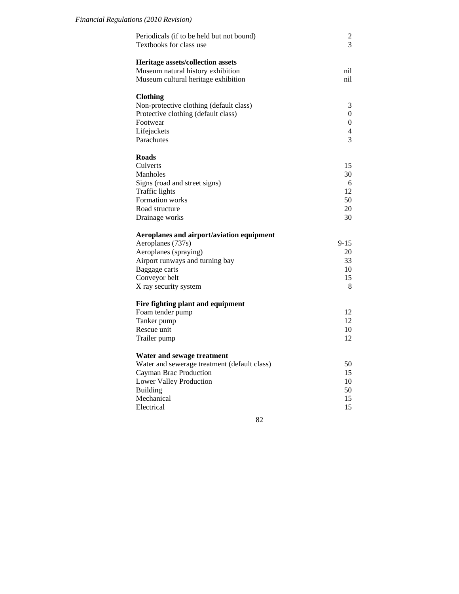# *Financial Regulations (2010 Revision)*

| Periodicals (if to be held but not bound)<br>Textbooks for class use | $\frac{2}{3}$                    |
|----------------------------------------------------------------------|----------------------------------|
| Heritage assets/collection assets                                    |                                  |
| Museum natural history exhibition                                    | nil                              |
| Museum cultural heritage exhibition                                  | nil                              |
| <b>Clothing</b>                                                      |                                  |
| Non-protective clothing (default class)                              | 3                                |
| Protective clothing (default class)                                  | $\boldsymbol{0}$                 |
| Footwear                                                             | $\boldsymbol{0}$                 |
| Lifejackets                                                          | $\overline{4}$<br>$\overline{3}$ |
| Parachutes                                                           |                                  |
| <b>Roads</b>                                                         |                                  |
| Culverts<br>Manholes                                                 | 15<br>30                         |
| Signs (road and street signs)                                        | 6                                |
| <b>Traffic</b> lights                                                | 12                               |
| <b>Formation works</b>                                               | 50                               |
| Road structure                                                       | 20                               |
| Drainage works                                                       | 30                               |
| Aeroplanes and airport/aviation equipment                            |                                  |
| Aeroplanes (737s)                                                    | $9 - 15$                         |
| Aeroplanes (spraying)                                                | 20                               |
| Airport runways and turning bay                                      | 33                               |
| Baggage carts                                                        | 10                               |
| Conveyor belt                                                        | 15                               |
| X ray security system                                                | 8                                |
| Fire fighting plant and equipment                                    |                                  |
| Foam tender pump                                                     | 12                               |
| Tanker pump                                                          | 12                               |
| Rescue unit                                                          | 10                               |
| Trailer pump                                                         | 12                               |
| Water and sewage treatment                                           |                                  |
| Water and sewerage treatment (default class)                         | 50                               |
| Cayman Brac Production                                               | 15                               |
| Lower Valley Production                                              | 10                               |
| <b>Building</b>                                                      | 50                               |
| Mechanical                                                           | 15                               |
| Electrical                                                           | 15                               |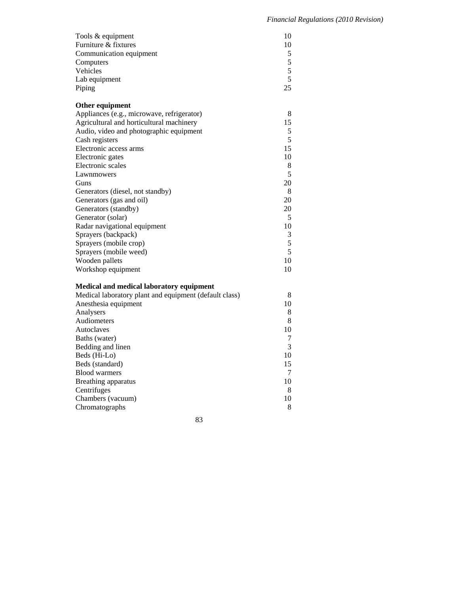| Tools & equipment       | 10 |
|-------------------------|----|
| Furniture & fixtures    | 10 |
| Communication equipment |    |
| Computers               |    |
| Vehicles                |    |
| Lab equipment           |    |
| Piping                  | 25 |

# **Other equipment**

| Appliances (e.g., microwave, refrigerator)             | 8  |
|--------------------------------------------------------|----|
| Agricultural and horticultural machinery               | 15 |
| Audio, video and photographic equipment                | 5  |
| Cash registers                                         | 5  |
| Electronic access arms                                 | 15 |
| Electronic gates                                       | 10 |
| Electronic scales                                      | 8  |
| Lawnmowers                                             | 5  |
| Guns                                                   | 20 |
| Generators (diesel, not standby)                       | 8  |
| Generators (gas and oil)                               | 20 |
| Generators (standby)                                   | 20 |
| Generator (solar)                                      | 5  |
| Radar navigational equipment                           | 10 |
| Sprayers (backpack)                                    | 3  |
| Sprayers (mobile crop)                                 | 5  |
| Sprayers (mobile weed)                                 | 5  |
| Wooden pallets                                         | 10 |
| Workshop equipment                                     | 10 |
| <b>Medical and medical laboratory equipment</b>        |    |
| Medical laboratory plant and equipment (default class) | 8  |
| Anesthesia equipment                                   | 10 |

| Anesthesia equipment       | 10 |
|----------------------------|----|
| Analysers                  | 8  |
| Audiometers                | 8  |
| Autoclaves                 | 10 |
| Baths (water)              |    |
| Bedding and linen          | 3  |
| Beds (Hi-Lo)               | 10 |
| Beds (standard)            | 15 |
| <b>Blood warmers</b>       |    |
| <b>Breathing apparatus</b> | 10 |
| Centrifuges                | 8  |
| Chambers (vacuum)          | 10 |
| Chromatographs             | 8  |
|                            |    |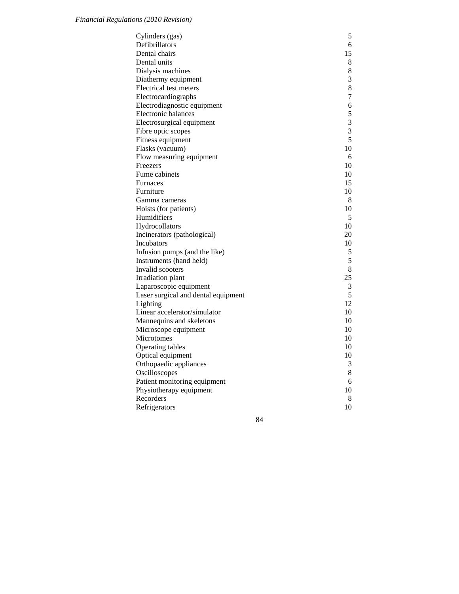| Cylinders (gas)                     | 5              |
|-------------------------------------|----------------|
| Defibrillators                      | 6              |
| Dental chairs                       | 15             |
| Dental units                        | 8              |
| Dialysis machines                   | 8              |
| Diathermy equipment                 | 3              |
| Electrical test meters              | 8              |
| Electrocardiographs                 | 7              |
| Electrodiagnostic equipment         | 6              |
| Electronic balances                 | 5              |
| Electrosurgical equipment           | 3              |
| Fibre optic scopes                  | 3              |
| Fitness equipment                   | 5              |
| Flasks (vacuum)                     | 10             |
| Flow measuring equipment            | 6              |
| Freezers                            | 10             |
| Fume cabinets                       | 10             |
| Furnaces                            | 15             |
| Furniture                           | 10             |
| Gamma cameras                       | 8              |
| Hoists (for patients)               | 10             |
| Humidifiers                         | 5              |
| <b>Hydrocollators</b>               | 10             |
| Incinerators (pathological)         | 20             |
| Incubators                          | 10             |
| Infusion pumps (and the like)       | 5              |
| Instruments (hand held)             | 5              |
| Invalid scooters                    | 8              |
| Irradiation plant                   | 25             |
| Laparoscopic equipment              | $\mathfrak{Z}$ |
| Laser surgical and dental equipment | 5              |
| Lighting                            | 12             |
| Linear accelerator/simulator        | 10             |
| Mannequins and skeletons            | 10             |
| Microscope equipment                | 10             |
| Microtomes                          | 10             |
| Operating tables                    | 10             |
| Optical equipment                   | 10             |
| Orthopaedic appliances              | 3              |
| Oscilloscopes                       | 8              |
| Patient monitoring equipment        | 6              |
| Physiotherapy equipment             | 10             |
| Recorders                           | 8              |
| Refrigerators                       | 10             |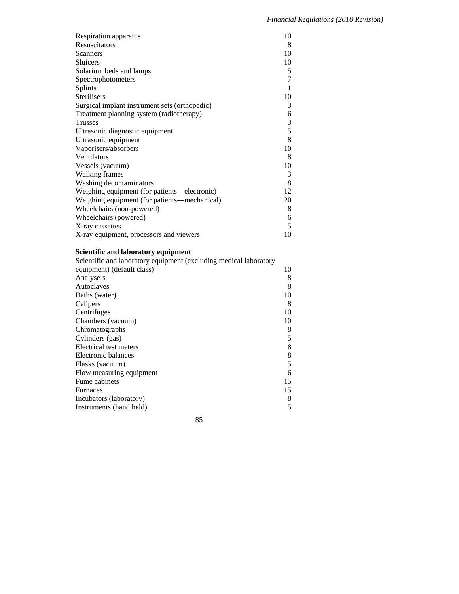| Respiration apparatus                         | 10             |
|-----------------------------------------------|----------------|
| Resuscitators                                 | 8              |
| Scanners                                      | 10             |
| Sluicers                                      | 10             |
| Solarium beds and lamps                       | 5              |
| Spectrophotometers                            | $\overline{7}$ |
| Splints                                       | 1              |
| <b>Sterilisers</b>                            | 10             |
| Surgical implant instrument sets (orthopedic) | 3              |
| Treatment planning system (radiotherapy)      | 6              |
| <b>Trusses</b>                                | $\mathfrak{Z}$ |
| Ultrasonic diagnostic equipment               | 5              |
| Ultrasonic equipment                          | 8              |
| Vaporisers/absorbers                          | 10             |
| Ventilators                                   | 8              |
| Vessels (vacuum)                              | 10             |
| Walking frames                                | 3              |
| Washing decontaminators                       | 8              |
| Weighing equipment (for patients—electronic)  | 12             |
| Weighing equipment (for patients—mechanical)  | 20             |
| Wheelchairs (non-powered)                     | 8              |
| Wheelchairs (powered)                         | 6              |
| X-ray cassettes                               | 5              |
| X-ray equipment, processors and viewers       | 10             |

# **Scientific and laboratory equipment**

| Scientific and laboratory equipment (excluding medical laboratory |    |
|-------------------------------------------------------------------|----|
| equipment) (default class)                                        | 10 |
| Analysers                                                         | 8  |
| Autoclaves                                                        | 8  |
| Baths (water)                                                     | 10 |
| Calipers                                                          | 8  |
| Centrifuges                                                       | 10 |
| Chambers (vacuum)                                                 | 10 |
| Chromatographs                                                    | 8  |
| Cylinders (gas)                                                   | 5  |
| Electrical test meters                                            | 8  |
| Electronic balances                                               | 8  |
| Flasks (vacuum)                                                   | 5  |
| Flow measuring equipment                                          | 6  |
| Fume cabinets                                                     | 15 |
| Furnaces                                                          | 15 |
| Incubators (laboratory)                                           | 8  |
| Instruments (hand held)                                           | 5  |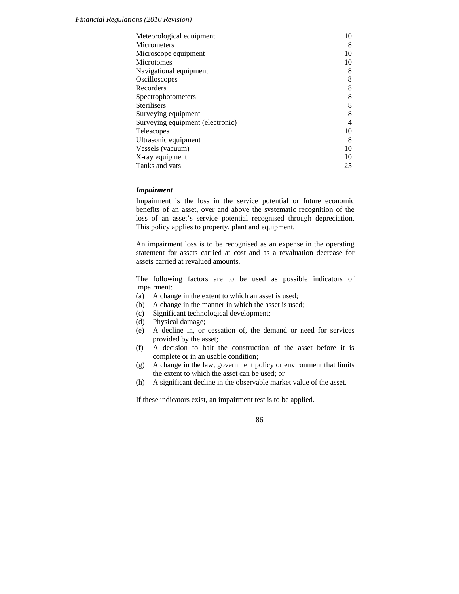## *Financial Regulations (2010 Revision)*

| Meteorological equipment         | 10 |
|----------------------------------|----|
| Micrometers                      | 8  |
| Microscope equipment             | 10 |
| Microtomes                       | 10 |
| Navigational equipment           | 8  |
| Oscilloscopes                    | 8  |
| Recorders                        | 8  |
| Spectrophotometers               | 8  |
| <b>Sterilisers</b>               | 8  |
| Surveying equipment              | 8  |
| Surveying equipment (electronic) |    |
| Telescopes                       | 10 |
| Ultrasonic equipment             | 8  |
| Vessels (vacuum)                 | 10 |
| X-ray equipment                  | 10 |
| Tanks and vats                   | 25 |

# *Impairment*

Impairment is the loss in the service potential or future economic benefits of an asset, over and above the systematic recognition of the loss of an asset's service potential recognised through depreciation. This policy applies to property, plant and equipment.

An impairment loss is to be recognised as an expense in the operating statement for assets carried at cost and as a revaluation decrease for assets carried at revalued amounts.

The following factors are to be used as possible indicators of impairment:

- (a) A change in the extent to which an asset is used;
- (b) A change in the manner in which the asset is used;
- (c) Significant technological development;
- (d) Physical damage;
- (e) A decline in, or cessation of, the demand or need for services provided by the asset;
- (f) A decision to halt the construction of the asset before it is complete or in an usable condition;
- (g) A change in the law, government policy or environment that limits the extent to which the asset can be used; or
- (h) A significant decline in the observable market value of the asset.

If these indicators exist, an impairment test is to be applied.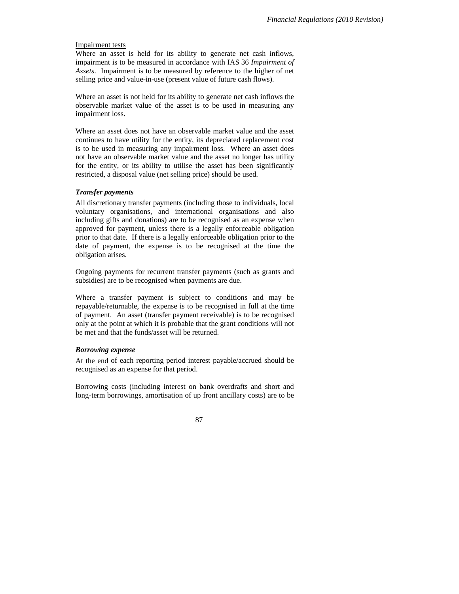## Impairment tests

Where an asset is held for its ability to generate net cash inflows, impairment is to be measured in accordance with IAS 36 *Impairment of Assets*. Impairment is to be measured by reference to the higher of net selling price and value-in-use (present value of future cash flows).

Where an asset is not held for its ability to generate net cash inflows the observable market value of the asset is to be used in measuring any impairment loss.

Where an asset does not have an observable market value and the asset continues to have utility for the entity, its depreciated replacement cost is to be used in measuring any impairment loss. Where an asset does not have an observable market value and the asset no longer has utility for the entity, or its ability to utilise the asset has been significantly restricted, a disposal value (net selling price) should be used.

## *Transfer payments*

All discretionary transfer payments (including those to individuals, local voluntary organisations, and international organisations and also including gifts and donations) are to be recognised as an expense when approved for payment, unless there is a legally enforceable obligation prior to that date. If there is a legally enforceable obligation prior to the date of payment, the expense is to be recognised at the time the obligation arises.

Ongoing payments for recurrent transfer payments (such as grants and subsidies) are to be recognised when payments are due.

Where a transfer payment is subject to conditions and may be repayable/returnable, the expense is to be recognised in full at the time of payment. An asset (transfer payment receivable) is to be recognised only at the point at which it is probable that the grant conditions will not be met and that the funds/asset will be returned.

## *Borrowing expense*

At the end of each reporting period interest payable/accrued should be recognised as an expense for that period.

Borrowing costs (including interest on bank overdrafts and short and long-term borrowings, amortisation of up front ancillary costs) are to be

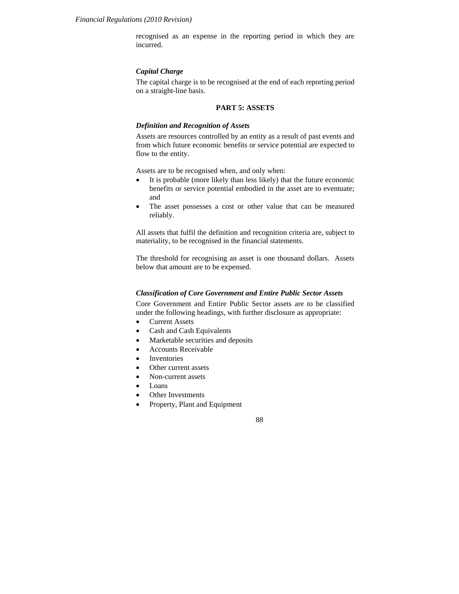recognised as an expense in the reporting period in which they are incurred.

## *Capital Charge*

The capital charge is to be recognised at the end of each reporting period on a straight-line basis.

# **PART 5: ASSETS**

# *Definition and Recognition of Assets*

Assets are resources controlled by an entity as a result of past events and from which future economic benefits or service potential are expected to flow to the entity.

Assets are to be recognised when, and only when:

- It is probable (more likely than less likely) that the future economic benefits or service potential embodied in the asset are to eventuate; and
- The asset possesses a cost or other value that can be measured reliably.

All assets that fulfil the definition and recognition criteria are, subject to materiality, to be recognised in the financial statements.

The threshold for recognising an asset is one thousand dollars. Assets below that amount are to be expensed.

# *Classification of Core Government and Entire Public Sector Assets*

Core Government and Entire Public Sector assets are to be classified under the following headings, with further disclosure as appropriate:

- Current Assets
- Cash and Cash Equivalents
- Marketable securities and deposits
- Accounts Receivable
- Inventories
- Other current assets
- Non-current assets
- Loans
- Other Investments
- Property, Plant and Equipment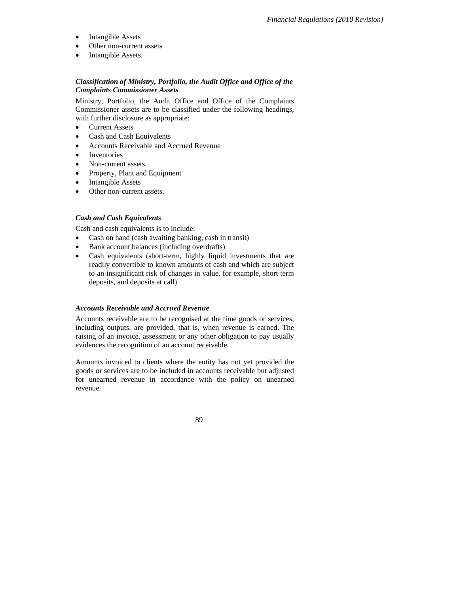- Intangible Assets
- Other non-current assets
- Intangible Assets.

# *Classification of Ministry, Portfolio, the Audit Office and Office of the Complaints Commissioner Assets*

Ministry, Portfolio, the Audit Office and Office of the Complaints Commissioner assets are to be classified under the following headings, with further disclosure as appropriate:

- Current Assets
- Cash and Cash Equivalents
- Accounts Receivable and Accrued Revenue
- Inventories
- Non-current assets
- Property, Plant and Equipment
- Intangible Assets
- Other non-current assets.

# *Cash and Cash Equivalents*

Cash and cash equivalents is to include:

- Cash on hand (cash awaiting banking, cash in transit)
- Bank account balances (including overdrafts)
- Cash equivalents (short-term, highly liquid investments that are readily convertible to known amounts of cash and which are subject to an insignificant risk of changes in value, for example, short term deposits, and deposits at call).

## *Accounts Receivable and Accrued Revenue*

Accounts receivable are to be recognised at the time goods or services, including outputs, are provided, that is, when revenue is earned. The raising of an invoice, assessment or any other obligation to pay usually evidences the recognition of an account receivable.

Amounts invoiced to clients where the entity has not yet provided the goods or services are to be included in accounts receivable but adjusted for unearned revenue in accordance with the policy on unearned revenue.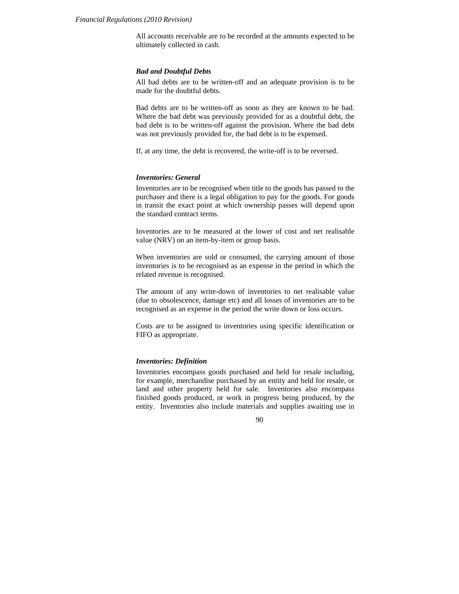All accounts receivable are to be recorded at the amounts expected to be ultimately collected in cash.

#### *Bad and Doubtful Debts*

All bad debts are to be written-off and an adequate provision is to be made for the doubtful debts.

Bad debts are to be written-off as soon as they are known to be bad. Where the bad debt was previously provided for as a doubtful debt, the bad debt is to be written-off against the provision. Where the bad debt was not previously provided for, the bad debt is to be expensed.

If, at any time, the debt is recovered, the write-off is to be reversed.

## *Inventories: General*

Inventories are to be recognised when title to the goods has passed to the purchaser and there is a legal obligation to pay for the goods. For goods in transit the exact point at which ownership passes will depend upon the standard contract terms.

Inventories are to be measured at the lower of cost and net realisable value (NRV) on an item-by-item or group basis.

When inventories are sold or consumed, the carrying amount of those inventories is to be recognised as an expense in the period in which the related revenue is recognised.

The amount of any write-down of inventories to net realisable value (due to obsolescence, damage etc) and all losses of inventories are to be recognised as an expense in the period the write down or loss occurs.

Costs are to be assigned to inventories using specific identification or FIFO as appropriate.

### *Inventories: Definition*

Inventories encompass goods purchased and held for resale including, for example, merchandise purchased by an entity and held for resale, or land and other property held for sale. Inventories also encompass finished goods produced, or work in progress being produced, by the entity. Inventories also include materials and supplies awaiting use in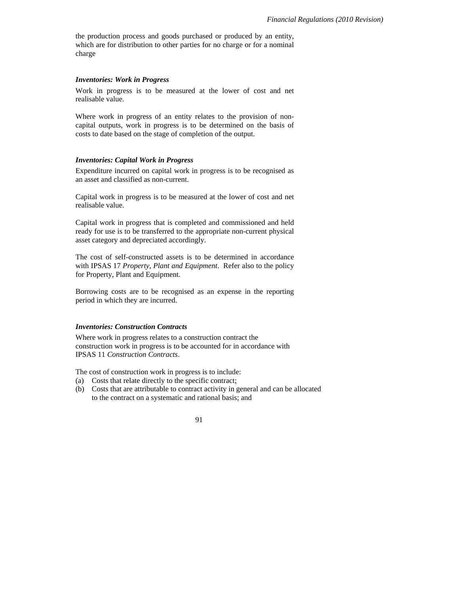the production process and goods purchased or produced by an entity, which are for distribution to other parties for no charge or for a nominal charge

#### *Inventories: Work in Progress*

Work in progress is to be measured at the lower of cost and net realisable value.

Where work in progress of an entity relates to the provision of noncapital outputs, work in progress is to be determined on the basis of costs to date based on the stage of completion of the output.

## *Inventories: Capital Work in Progress*

Expenditure incurred on capital work in progress is to be recognised as an asset and classified as non-current.

Capital work in progress is to be measured at the lower of cost and net realisable value.

Capital work in progress that is completed and commissioned and held ready for use is to be transferred to the appropriate non-current physical asset category and depreciated accordingly.

The cost of self-constructed assets is to be determined in accordance with IPSAS 17 *Property, Plant and Equipment*. Refer also to the policy for Property, Plant and Equipment.

Borrowing costs are to be recognised as an expense in the reporting period in which they are incurred.

## *Inventories: Construction Contracts*

Where work in progress relates to a construction contract the construction work in progress is to be accounted for in accordance with IPSAS 11 *Construction Contracts*.

The cost of construction work in progress is to include:

- (a) Costs that relate directly to the specific contract;
- (b) Costs that are attributable to contract activity in general and can be allocated to the contract on a systematic and rational basis; and

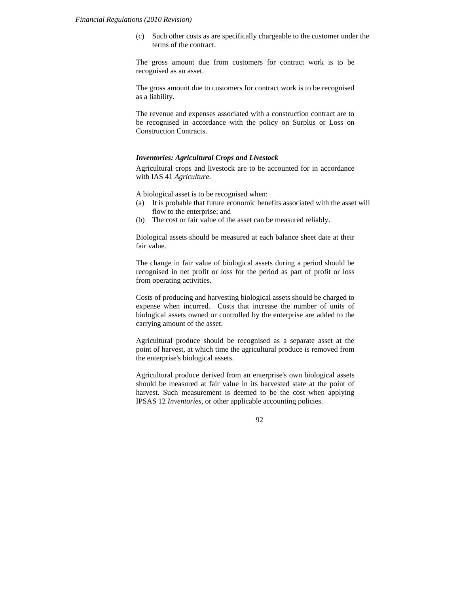(c) Such other costs as are specifically chargeable to the customer under the terms of the contract.

The gross amount due from customers for contract work is to be recognised as an asset.

The gross amount due to customers for contract work is to be recognised as a liability.

The revenue and expenses associated with a construction contract are to be recognised in accordance with the policy on Surplus or Loss on Construction Contracts.

#### *Inventories: Agricultural Crops and Livestock*

Agricultural crops and livestock are to be accounted for in accordance with IAS 41 *Agriculture*.

A biological asset is to be recognised when:

- (a) It is probable that future economic benefits associated with the asset will flow to the enterprise; and
- (b) The cost or fair value of the asset can be measured reliably.

Biological assets should be measured at each balance sheet date at their fair value.

The change in fair value of biological assets during a period should be recognised in net profit or loss for the period as part of profit or loss from operating activities.

Costs of producing and harvesting biological assets should be charged to expense when incurred. Costs that increase the number of units of biological assets owned or controlled by the enterprise are added to the carrying amount of the asset.

Agricultural produce should be recognised as a separate asset at the point of harvest, at which time the agricultural produce is removed from the enterprise's biological assets.

Agricultural produce derived from an enterprise's own biological assets should be measured at fair value in its harvested state at the point of harvest. Such measurement is deemed to be the cost when applying IPSAS 12 *Inventories*, or other applicable accounting policies.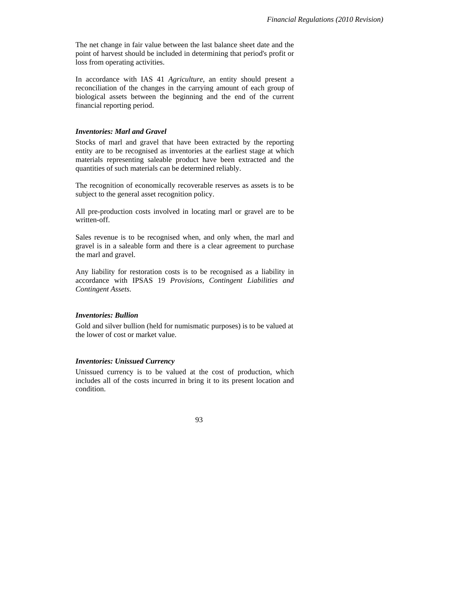The net change in fair value between the last balance sheet date and the point of harvest should be included in determining that period's profit or loss from operating activities.

In accordance with IAS 41 *Agriculture*, an entity should present a reconciliation of the changes in the carrying amount of each group of biological assets between the beginning and the end of the current financial reporting period.

# *Inventories: Marl and Gravel*

Stocks of marl and gravel that have been extracted by the reporting entity are to be recognised as inventories at the earliest stage at which materials representing saleable product have been extracted and the quantities of such materials can be determined reliably.

The recognition of economically recoverable reserves as assets is to be subject to the general asset recognition policy.

All pre-production costs involved in locating marl or gravel are to be written-off.

Sales revenue is to be recognised when, and only when, the marl and gravel is in a saleable form and there is a clear agreement to purchase the marl and gravel.

Any liability for restoration costs is to be recognised as a liability in accordance with IPSAS 19 *Provisions, Contingent Liabilities and Contingent Assets*.

## *Inventories: Bullion*

Gold and silver bullion (held for numismatic purposes) is to be valued at the lower of cost or market value.

### *Inventories: Unissued Currency*

Unissued currency is to be valued at the cost of production, which includes all of the costs incurred in bring it to its present location and condition.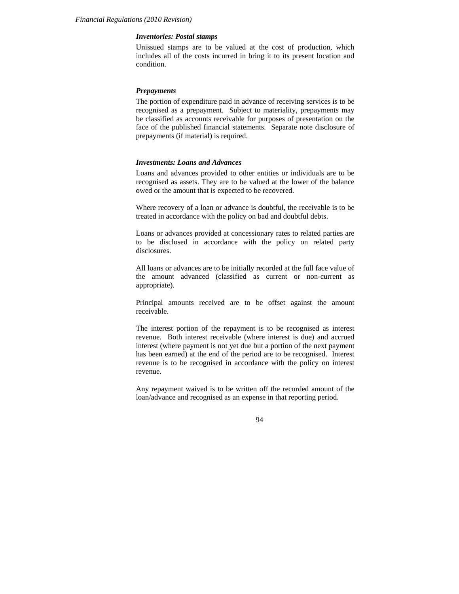#### *Inventories: Postal stamps*

Unissued stamps are to be valued at the cost of production, which includes all of the costs incurred in bring it to its present location and condition.

## *Prepayments*

The portion of expenditure paid in advance of receiving services is to be recognised as a prepayment. Subject to materiality, prepayments may be classified as accounts receivable for purposes of presentation on the face of the published financial statements. Separate note disclosure of prepayments (if material) is required.

## *Investments: Loans and Advances*

Loans and advances provided to other entities or individuals are to be recognised as assets. They are to be valued at the lower of the balance owed or the amount that is expected to be recovered.

Where recovery of a loan or advance is doubtful, the receivable is to be treated in accordance with the policy on bad and doubtful debts.

Loans or advances provided at concessionary rates to related parties are to be disclosed in accordance with the policy on related party disclosures.

All loans or advances are to be initially recorded at the full face value of the amount advanced (classified as current or non-current as appropriate).

Principal amounts received are to be offset against the amount receivable.

The interest portion of the repayment is to be recognised as interest revenue. Both interest receivable (where interest is due) and accrued interest (where payment is not yet due but a portion of the next payment has been earned) at the end of the period are to be recognised. Interest revenue is to be recognised in accordance with the policy on interest revenue.

Any repayment waived is to be written off the recorded amount of the loan/advance and recognised as an expense in that reporting period.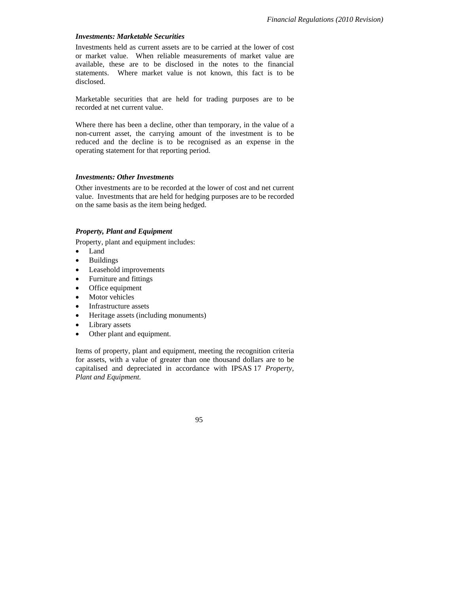# *Investments: Marketable Securities*

Investments held as current assets are to be carried at the lower of cost or market value. When reliable measurements of market value are available, these are to be disclosed in the notes to the financial statements. Where market value is not known, this fact is to be disclosed.

Marketable securities that are held for trading purposes are to be recorded at net current value.

Where there has been a decline, other than temporary, in the value of a non-current asset, the carrying amount of the investment is to be reduced and the decline is to be recognised as an expense in the operating statement for that reporting period.

# *Investments: Other Investments*

Other investments are to be recorded at the lower of cost and net current value. Investments that are held for hedging purposes are to be recorded on the same basis as the item being hedged.

## *Property, Plant and Equipment*

Property, plant and equipment includes:

- Land
- Buildings
- Leasehold improvements
- Furniture and fittings
- Office equipment
- Motor vehicles
- Infrastructure assets
- Heritage assets (including monuments)
- Library assets
- Other plant and equipment.

Items of property, plant and equipment, meeting the recognition criteria for assets, with a value of greater than one thousand dollars are to be capitalised and depreciated in accordance with IPSAS 17 *Property, Plant and Equipment.*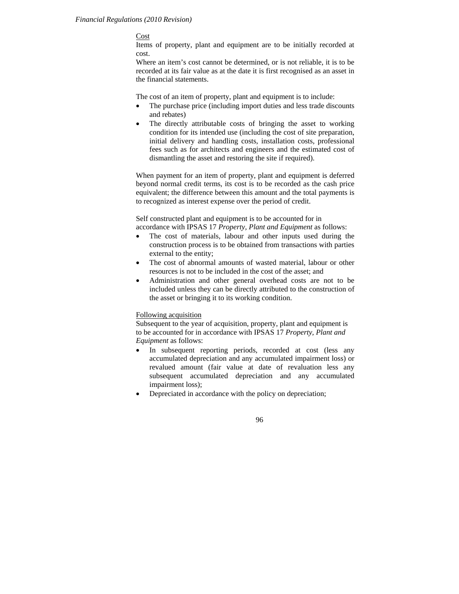# Cost

Items of property, plant and equipment are to be initially recorded at cost.

Where an item's cost cannot be determined, or is not reliable, it is to be recorded at its fair value as at the date it is first recognised as an asset in the financial statements.

The cost of an item of property, plant and equipment is to include:

- The purchase price (including import duties and less trade discounts and rebates)
- The directly attributable costs of bringing the asset to working condition for its intended use (including the cost of site preparation, initial delivery and handling costs, installation costs, professional fees such as for architects and engineers and the estimated cost of dismantling the asset and restoring the site if required).

When payment for an item of property, plant and equipment is deferred beyond normal credit terms, its cost is to be recorded as the cash price equivalent; the difference between this amount and the total payments is to recognized as interest expense over the period of credit.

Self constructed plant and equipment is to be accounted for in accordance with IPSAS 17 *Property, Plant and Equipment* as follows:

- The cost of materials, labour and other inputs used during the construction process is to be obtained from transactions with parties external to the entity;
- The cost of abnormal amounts of wasted material, labour or other resources is not to be included in the cost of the asset; and
- Administration and other general overhead costs are not to be included unless they can be directly attributed to the construction of the asset or bringing it to its working condition.

## Following acquisition

Subsequent to the year of acquisition, property, plant and equipment is to be accounted for in accordance with IPSAS 17 *Property, Plant and Equipment* as follows:

- In subsequent reporting periods, recorded at cost (less any accumulated depreciation and any accumulated impairment loss) or revalued amount (fair value at date of revaluation less any subsequent accumulated depreciation and any accumulated impairment loss);
- Depreciated in accordance with the policy on depreciation;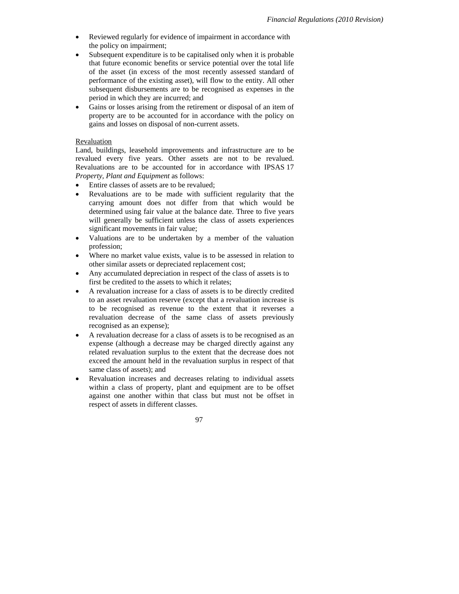- Reviewed regularly for evidence of impairment in accordance with the policy on impairment;
- Subsequent expenditure is to be capitalised only when it is probable that future economic benefits or service potential over the total life of the asset (in excess of the most recently assessed standard of performance of the existing asset), will flow to the entity. All other subsequent disbursements are to be recognised as expenses in the period in which they are incurred; and
- Gains or losses arising from the retirement or disposal of an item of property are to be accounted for in accordance with the policy on gains and losses on disposal of non-current assets.

#### Revaluation

Land, buildings, leasehold improvements and infrastructure are to be revalued every five years. Other assets are not to be revalued. Revaluations are to be accounted for in accordance with IPSAS 17 *Property, Plant and Equipment* as follows:

- Entire classes of assets are to be revalued;
- Revaluations are to be made with sufficient regularity that the carrying amount does not differ from that which would be determined using fair value at the balance date. Three to five years will generally be sufficient unless the class of assets experiences significant movements in fair value;
- Valuations are to be undertaken by a member of the valuation profession;
- Where no market value exists, value is to be assessed in relation to other similar assets or depreciated replacement cost;
- Any accumulated depreciation in respect of the class of assets is to first be credited to the assets to which it relates;
- A revaluation increase for a class of assets is to be directly credited to an asset revaluation reserve (except that a revaluation increase is to be recognised as revenue to the extent that it reverses a revaluation decrease of the same class of assets previously recognised as an expense);
- A revaluation decrease for a class of assets is to be recognised as an expense (although a decrease may be charged directly against any related revaluation surplus to the extent that the decrease does not exceed the amount held in the revaluation surplus in respect of that same class of assets); and
- Revaluation increases and decreases relating to individual assets within a class of property, plant and equipment are to be offset against one another within that class but must not be offset in respect of assets in different classes.

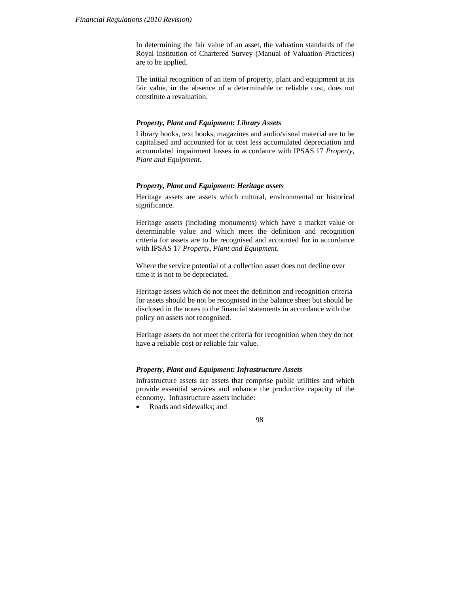In determining the fair value of an asset, the valuation standards of the Royal Institution of Chartered Survey (Manual of Valuation Practices) are to be applied.

The initial recognition of an item of property, plant and equipment at its fair value, in the absence of a determinable or reliable cost, does not constitute a revaluation.

# *Property, Plant and Equipment: Library Assets*

Library books, text books, magazines and audio/visual material are to be capitalised and accounted for at cost less accumulated depreciation and accumulated impairment losses in accordance with IPSAS 17 *Property, Plant and Equipment*.

## *Property, Plant and Equipment: Heritage assets*

Heritage assets are assets which cultural, environmental or historical significance.

Heritage assets (including monuments) which have a market value or determinable value and which meet the definition and recognition criteria for assets are to be recognised and accounted for in accordance with IPSAS 17 *Property, Plant and Equipment*.

Where the service potential of a collection asset does not decline over time it is not to be depreciated.

Heritage assets which do not meet the definition and recognition criteria for assets should be not be recognised in the balance sheet but should be disclosed in the notes to the financial statements in accordance with the policy on assets not recognised.

Heritage assets do not meet the criteria for recognition when they do not have a reliable cost or reliable fair value.

### *Property, Plant and Equipment: Infrastructure Assets*

Infrastructure assets are assets that comprise public utilities and which provide essential services and enhance the productive capacity of the economy. Infrastructure assets include:

Roads and sidewalks; and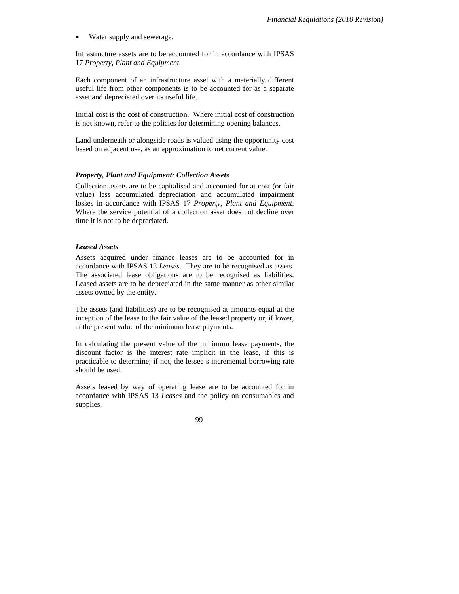Water supply and sewerage.

Infrastructure assets are to be accounted for in accordance with IPSAS 17 *Property, Plant and Equipment*.

Each component of an infrastructure asset with a materially different useful life from other components is to be accounted for as a separate asset and depreciated over its useful life.

Initial cost is the cost of construction. Where initial cost of construction is not known, refer to the policies for determining opening balances.

Land underneath or alongside roads is valued using the opportunity cost based on adjacent use, as an approximation to net current value.

### *Property, Plant and Equipment: Collection Assets*

Collection assets are to be capitalised and accounted for at cost (or fair value) less accumulated depreciation and accumulated impairment losses in accordance with IPSAS 17 *Property, Plant and Equipment*. Where the service potential of a collection asset does not decline over time it is not to be depreciated.

#### *Leased Assets*

Assets acquired under finance leases are to be accounted for in accordance with IPSAS 13 *Leases*. They are to be recognised as assets. The associated lease obligations are to be recognised as liabilities. Leased assets are to be depreciated in the same manner as other similar assets owned by the entity.

The assets (and liabilities) are to be recognised at amounts equal at the inception of the lease to the fair value of the leased property or, if lower, at the present value of the minimum lease payments.

In calculating the present value of the minimum lease payments, the discount factor is the interest rate implicit in the lease, if this is practicable to determine; if not, the lessee's incremental borrowing rate should be used.

Assets leased by way of operating lease are to be accounted for in accordance with IPSAS 13 *Leases* and the policy on consumables and supplies.

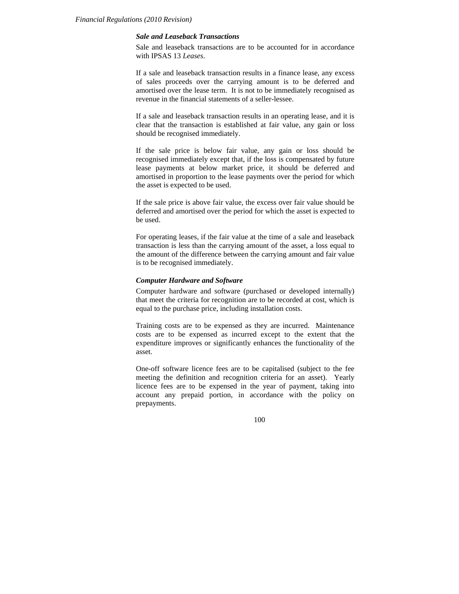## *Sale and Leaseback Transactions*

Sale and leaseback transactions are to be accounted for in accordance with IPSAS 13 *Leases*.

If a sale and leaseback transaction results in a finance lease, any excess of sales proceeds over the carrying amount is to be deferred and amortised over the lease term. It is not to be immediately recognised as revenue in the financial statements of a seller-lessee.

If a sale and leaseback transaction results in an operating lease, and it is clear that the transaction is established at fair value, any gain or loss should be recognised immediately.

If the sale price is below fair value, any gain or loss should be recognised immediately except that, if the loss is compensated by future lease payments at below market price, it should be deferred and amortised in proportion to the lease payments over the period for which the asset is expected to be used.

If the sale price is above fair value, the excess over fair value should be deferred and amortised over the period for which the asset is expected to be used.

For operating leases, if the fair value at the time of a sale and leaseback transaction is less than the carrying amount of the asset, a loss equal to the amount of the difference between the carrying amount and fair value is to be recognised immediately.

#### *Computer Hardware and Software*

Computer hardware and software (purchased or developed internally) that meet the criteria for recognition are to be recorded at cost, which is equal to the purchase price, including installation costs.

Training costs are to be expensed as they are incurred. Maintenance costs are to be expensed as incurred except to the extent that the expenditure improves or significantly enhances the functionality of the asset.

One-off software licence fees are to be capitalised (subject to the fee meeting the definition and recognition criteria for an asset). Yearly licence fees are to be expensed in the year of payment, taking into account any prepaid portion, in accordance with the policy on prepayments.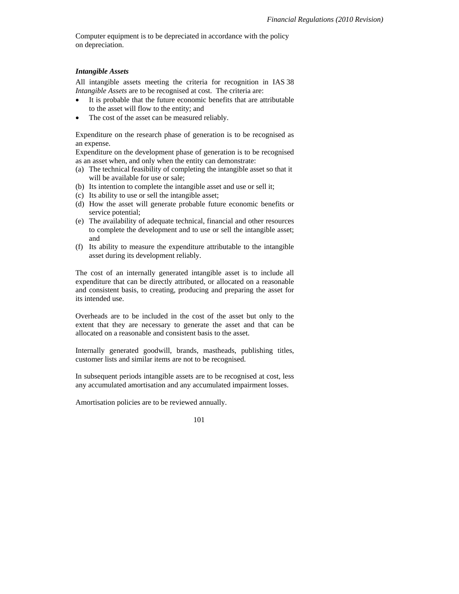Computer equipment is to be depreciated in accordance with the policy on depreciation.

## *Intangible Assets*

All intangible assets meeting the criteria for recognition in IAS 38 *Intangible Assets* are to be recognised at cost. The criteria are:

- It is probable that the future economic benefits that are attributable to the asset will flow to the entity; and
- The cost of the asset can be measured reliably.

Expenditure on the research phase of generation is to be recognised as an expense.

Expenditure on the development phase of generation is to be recognised as an asset when, and only when the entity can demonstrate:

- (a) The technical feasibility of completing the intangible asset so that it will be available for use or sale;
- (b) Its intention to complete the intangible asset and use or sell it;
- (c) Its ability to use or sell the intangible asset;
- (d) How the asset will generate probable future economic benefits or service potential;
- (e) The availability of adequate technical, financial and other resources to complete the development and to use or sell the intangible asset; and
- (f) Its ability to measure the expenditure attributable to the intangible asset during its development reliably.

The cost of an internally generated intangible asset is to include all expenditure that can be directly attributed, or allocated on a reasonable and consistent basis, to creating, producing and preparing the asset for its intended use.

Overheads are to be included in the cost of the asset but only to the extent that they are necessary to generate the asset and that can be allocated on a reasonable and consistent basis to the asset.

Internally generated goodwill, brands, mastheads, publishing titles, customer lists and similar items are not to be recognised.

In subsequent periods intangible assets are to be recognised at cost, less any accumulated amortisation and any accumulated impairment losses.

Amortisation policies are to be reviewed annually.

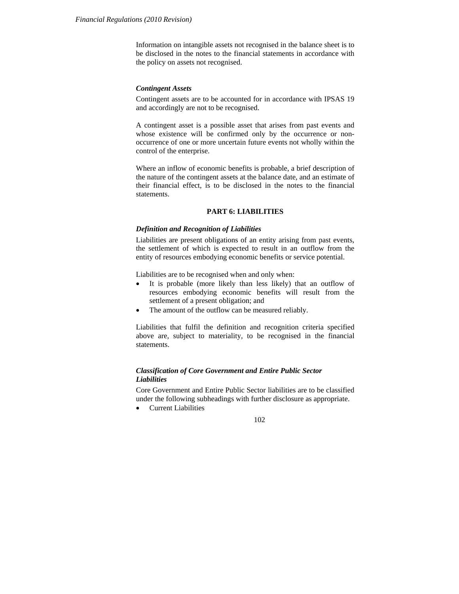Information on intangible assets not recognised in the balance sheet is to be disclosed in the notes to the financial statements in accordance with the policy on assets not recognised.

#### *Contingent Assets*

Contingent assets are to be accounted for in accordance with IPSAS 19 and accordingly are not to be recognised.

A contingent asset is a possible asset that arises from past events and whose existence will be confirmed only by the occurrence or nonoccurrence of one or more uncertain future events not wholly within the control of the enterprise.

Where an inflow of economic benefits is probable, a brief description of the nature of the contingent assets at the balance date, and an estimate of their financial effect, is to be disclosed in the notes to the financial statements.

# **PART 6: LIABILITIES**

#### *Definition and Recognition of Liabilities*

Liabilities are present obligations of an entity arising from past events, the settlement of which is expected to result in an outflow from the entity of resources embodying economic benefits or service potential.

Liabilities are to be recognised when and only when:

- It is probable (more likely than less likely) that an outflow of resources embodying economic benefits will result from the settlement of a present obligation; and
- The amount of the outflow can be measured reliably.

Liabilities that fulfil the definition and recognition criteria specified above are, subject to materiality, to be recognised in the financial statements.

# *Classification of Core Government and Entire Public Sector Liabilities*

Core Government and Entire Public Sector liabilities are to be classified under the following subheadings with further disclosure as appropriate.

Current Liabilities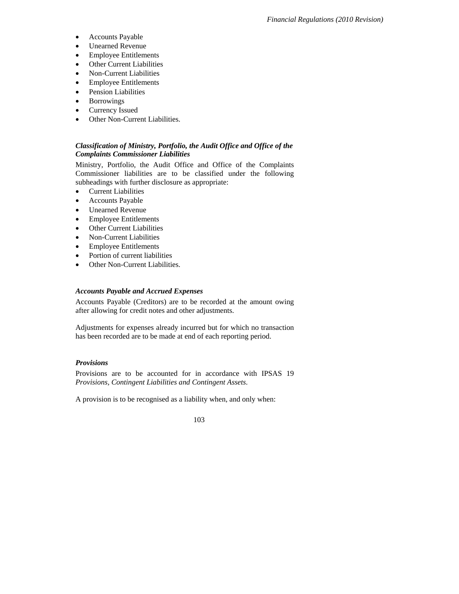- Accounts Payable
- Unearned Revenue
- Employee Entitlements
- Other Current Liabilities
- Non-Current Liabilities
- Employee Entitlements
- Pension Liabilities
- Borrowings
- Currency Issued
- Other Non-Current Liabilities.

# *Classification of Ministry, Portfolio, the Audit Office and Office of the Complaints Commissioner Liabilities*

Ministry, Portfolio, the Audit Office and Office of the Complaints Commissioner liabilities are to be classified under the following subheadings with further disclosure as appropriate:

- Current Liabilities
- Accounts Payable
- Unearned Revenue
- Employee Entitlements
- Other Current Liabilities
- Non-Current Liabilities
- Employee Entitlements
- Portion of current liabilities
- Other Non-Current Liabilities.

# *Accounts Payable and Accrued Expenses*

Accounts Payable (Creditors) are to be recorded at the amount owing after allowing for credit notes and other adjustments.

Adjustments for expenses already incurred but for which no transaction has been recorded are to be made at end of each reporting period.

# *Provisions*

Provisions are to be accounted for in accordance with IPSAS 19 *Provisions, Contingent Liabilities and Contingent Assets*.

A provision is to be recognised as a liability when, and only when:

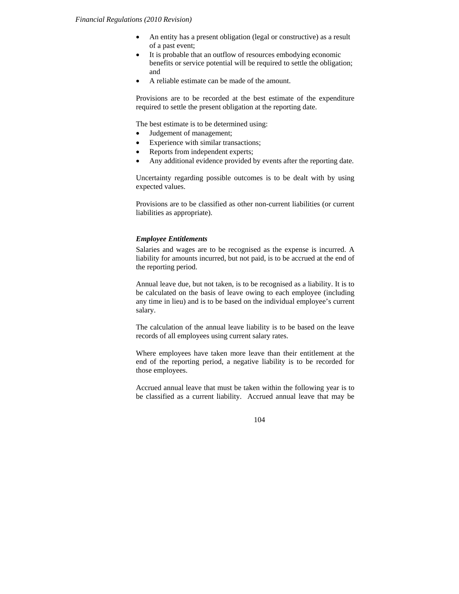- An entity has a present obligation (legal or constructive) as a result of a past event;
- It is probable that an outflow of resources embodying economic benefits or service potential will be required to settle the obligation; and
- A reliable estimate can be made of the amount.

Provisions are to be recorded at the best estimate of the expenditure required to settle the present obligation at the reporting date.

The best estimate is to be determined using:

- Judgement of management;
- Experience with similar transactions;
- Reports from independent experts;
- Any additional evidence provided by events after the reporting date.

Uncertainty regarding possible outcomes is to be dealt with by using expected values.

Provisions are to be classified as other non-current liabilities (or current liabilities as appropriate).

#### *Employee Entitlements*

Salaries and wages are to be recognised as the expense is incurred. A liability for amounts incurred, but not paid, is to be accrued at the end of the reporting period.

Annual leave due, but not taken, is to be recognised as a liability. It is to be calculated on the basis of leave owing to each employee (including any time in lieu) and is to be based on the individual employee's current salary.

The calculation of the annual leave liability is to be based on the leave records of all employees using current salary rates.

Where employees have taken more leave than their entitlement at the end of the reporting period, a negative liability is to be recorded for those employees.

Accrued annual leave that must be taken within the following year is to be classified as a current liability. Accrued annual leave that may be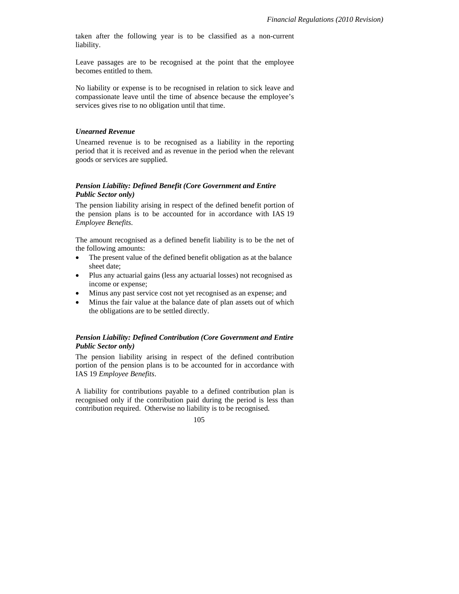taken after the following year is to be classified as a non-current liability.

Leave passages are to be recognised at the point that the employee becomes entitled to them.

No liability or expense is to be recognised in relation to sick leave and compassionate leave until the time of absence because the employee's services gives rise to no obligation until that time.

# *Unearned Revenue*

Unearned revenue is to be recognised as a liability in the reporting period that it is received and as revenue in the period when the relevant goods or services are supplied.

# *Pension Liability: Defined Benefit (Core Government and Entire Public Sector only)*

The pension liability arising in respect of the defined benefit portion of the pension plans is to be accounted for in accordance with IAS 19 *Employee Benefits*.

The amount recognised as a defined benefit liability is to be the net of the following amounts:

- The present value of the defined benefit obligation as at the balance sheet date;
- Plus any actuarial gains (less any actuarial losses) not recognised as income or expense;
- Minus any past service cost not yet recognised as an expense; and
- Minus the fair value at the balance date of plan assets out of which the obligations are to be settled directly.

# *Pension Liability: Defined Contribution (Core Government and Entire Public Sector only)*

The pension liability arising in respect of the defined contribution portion of the pension plans is to be accounted for in accordance with IAS 19 *Employee Benefits*.

A liability for contributions payable to a defined contribution plan is recognised only if the contribution paid during the period is less than contribution required. Otherwise no liability is to be recognised.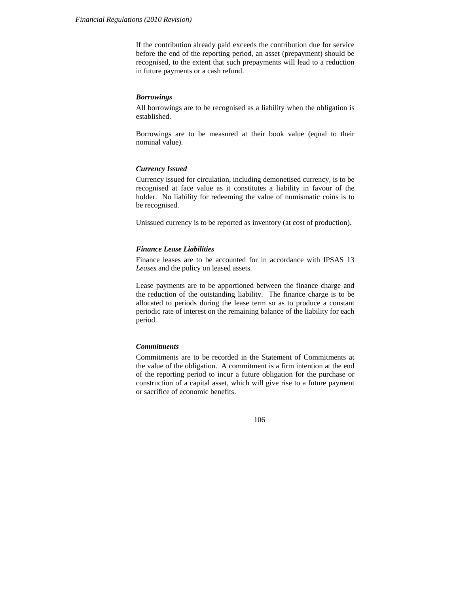If the contribution already paid exceeds the contribution due for service before the end of the reporting period, an asset (prepayment) should be recognised, to the extent that such prepayments will lead to a reduction in future payments or a cash refund.

### *Borrowings*

All borrowings are to be recognised as a liability when the obligation is established.

Borrowings are to be measured at their book value (equal to their nominal value).

# *Currency Issued*

Currency issued for circulation, including demonetised currency, is to be recognised at face value as it constitutes a liability in favour of the holder. No liability for redeeming the value of numismatic coins is to be recognised.

Unissued currency is to be reported as inventory (at cost of production).

## *Finance Lease Liabilities*

Finance leases are to be accounted for in accordance with IPSAS 13 *Leases* and the policy on leased assets.

Lease payments are to be apportioned between the finance charge and the reduction of the outstanding liability. The finance charge is to be allocated to periods during the lease term so as to produce a constant periodic rate of interest on the remaining balance of the liability for each period.

#### *Commitments*

Commitments are to be recorded in the Statement of Commitments at the value of the obligation. A commitment is a firm intention at the end of the reporting period to incur a future obligation for the purchase or construction of a capital asset, which will give rise to a future payment or sacrifice of economic benefits.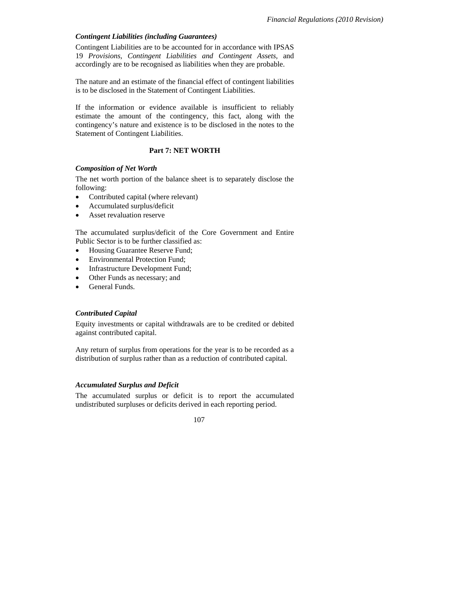# *Contingent Liabilities (including Guarantees)*

Contingent Liabilities are to be accounted for in accordance with IPSAS 19 *Provisions, Contingent Liabilities and Contingent Assets,* and accordingly are to be recognised as liabilities when they are probable.

The nature and an estimate of the financial effect of contingent liabilities is to be disclosed in the Statement of Contingent Liabilities.

If the information or evidence available is insufficient to reliably estimate the amount of the contingency, this fact, along with the contingency's nature and existence is to be disclosed in the notes to the Statement of Contingent Liabilities.

## **Part 7: NET WORTH**

# *Composition of Net Worth*

The net worth portion of the balance sheet is to separately disclose the following:

- Contributed capital (where relevant)
- Accumulated surplus/deficit
- Asset revaluation reserve

The accumulated surplus/deficit of the Core Government and Entire Public Sector is to be further classified as:

- Housing Guarantee Reserve Fund;
- Environmental Protection Fund;
- Infrastructure Development Fund;
- Other Funds as necessary; and
- General Funds.

## *Contributed Capital*

Equity investments or capital withdrawals are to be credited or debited against contributed capital.

Any return of surplus from operations for the year is to be recorded as a distribution of surplus rather than as a reduction of contributed capital.

## *Accumulated Surplus and Deficit*

The accumulated surplus or deficit is to report the accumulated undistributed surpluses or deficits derived in each reporting period.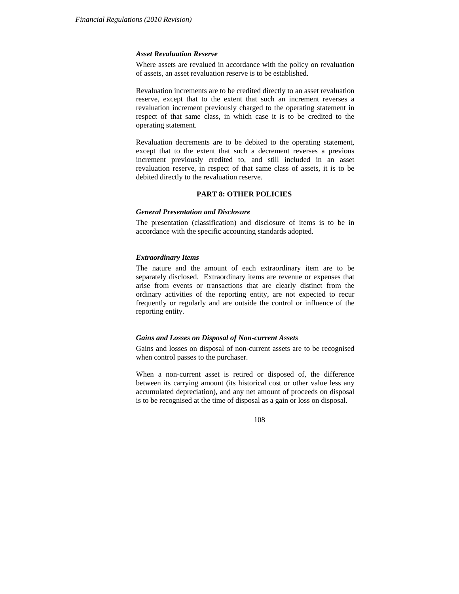#### *Asset Revaluation Reserve*

Where assets are revalued in accordance with the policy on revaluation of assets, an asset revaluation reserve is to be established.

Revaluation increments are to be credited directly to an asset revaluation reserve, except that to the extent that such an increment reverses a revaluation increment previously charged to the operating statement in respect of that same class, in which case it is to be credited to the operating statement.

Revaluation decrements are to be debited to the operating statement, except that to the extent that such a decrement reverses a previous increment previously credited to, and still included in an asset revaluation reserve, in respect of that same class of assets, it is to be debited directly to the revaluation reserve.

# **PART 8: OTHER POLICIES**

#### *General Presentation and Disclosure*

The presentation (classification) and disclosure of items is to be in accordance with the specific accounting standards adopted.

#### *Extraordinary Items*

The nature and the amount of each extraordinary item are to be separately disclosed. Extraordinary items are revenue or expenses that arise from events or transactions that are clearly distinct from the ordinary activities of the reporting entity, are not expected to recur frequently or regularly and are outside the control or influence of the reporting entity.

#### *Gains and Losses on Disposal of Non-current Assets*

Gains and losses on disposal of non-current assets are to be recognised when control passes to the purchaser.

When a non-current asset is retired or disposed of, the difference between its carrying amount (its historical cost or other value less any accumulated depreciation), and any net amount of proceeds on disposal is to be recognised at the time of disposal as a gain or loss on disposal.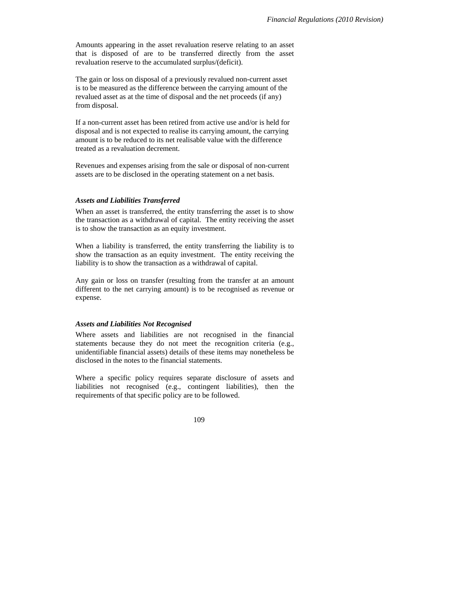Amounts appearing in the asset revaluation reserve relating to an asset that is disposed of are to be transferred directly from the asset revaluation reserve to the accumulated surplus/(deficit).

The gain or loss on disposal of a previously revalued non-current asset is to be measured as the difference between the carrying amount of the revalued asset as at the time of disposal and the net proceeds (if any) from disposal.

If a non-current asset has been retired from active use and/or is held for disposal and is not expected to realise its carrying amount, the carrying amount is to be reduced to its net realisable value with the difference treated as a revaluation decrement.

Revenues and expenses arising from the sale or disposal of non-current assets are to be disclosed in the operating statement on a net basis.

## *Assets and Liabilities Transferred*

When an asset is transferred, the entity transferring the asset is to show the transaction as a withdrawal of capital. The entity receiving the asset is to show the transaction as an equity investment.

When a liability is transferred, the entity transferring the liability is to show the transaction as an equity investment. The entity receiving the liability is to show the transaction as a withdrawal of capital.

Any gain or loss on transfer (resulting from the transfer at an amount different to the net carrying amount) is to be recognised as revenue or expense.

#### *Assets and Liabilities Not Recognised*

Where assets and liabilities are not recognised in the financial statements because they do not meet the recognition criteria (e.g., unidentifiable financial assets) details of these items may nonetheless be disclosed in the notes to the financial statements.

Where a specific policy requires separate disclosure of assets and liabilities not recognised (e.g., contingent liabilities), then the requirements of that specific policy are to be followed.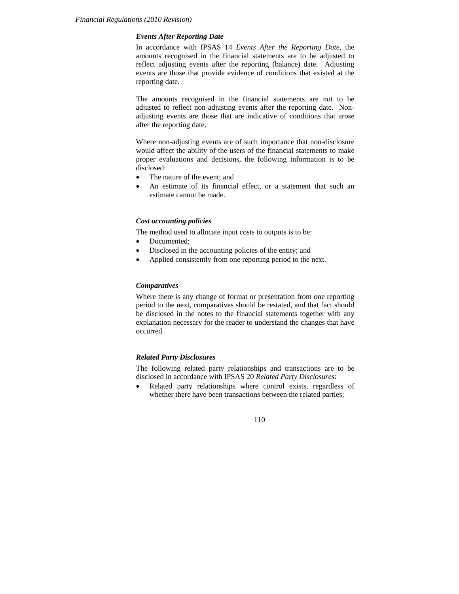## *Events After Reporting Date*

In accordance with IPSAS 14 *Events After the Reporting Date*, the amounts recognised in the financial statements are to be adjusted to reflect adjusting events after the reporting (balance) date. Adjusting events are those that provide evidence of conditions that existed at the reporting date.

The amounts recognised in the financial statements are not to be adjusted to reflect non-adjusting events after the reporting date. Nonadjusting events are those that are indicative of conditions that arose after the reporting date.

Where non-adjusting events are of such importance that non-disclosure would affect the ability of the users of the financial statements to make proper evaluations and decisions, the following information is to be disclosed:

- The nature of the event; and
- An estimate of its financial effect, or a statement that such an estimate cannot be made.

#### *Cost accounting policies*

The method used to allocate input costs to outputs is to be:

- Documented;
- Disclosed in the accounting policies of the entity; and
- Applied consistently from one reporting period to the next.

### *Comparatives*

Where there is any change of format or presentation from one reporting period to the next, comparatives should be restated, and that fact should be disclosed in the notes to the financial statements together with any explanation necessary for the reader to understand the changes that have occurred.

## *Related Party Disclosures*

The following related party relationships and transactions are to be disclosed in accordance with IPSAS 20 *Related Party Disclosures*:

• Related party relationships where control exists, regardless of whether there have been transactions between the related parties;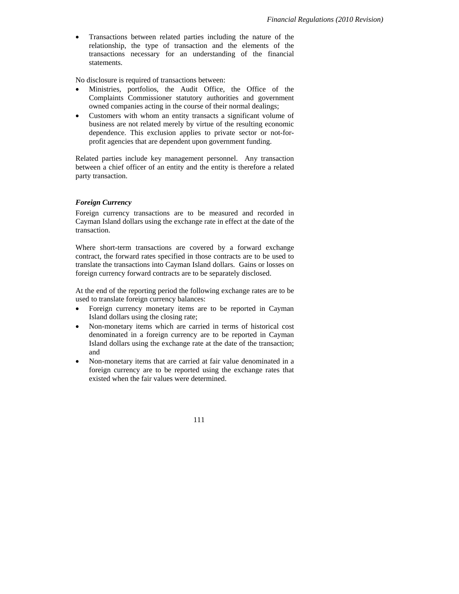Transactions between related parties including the nature of the relationship, the type of transaction and the elements of the transactions necessary for an understanding of the financial statements.

No disclosure is required of transactions between:

- Ministries, portfolios, the Audit Office, the Office of the Complaints Commissioner statutory authorities and government owned companies acting in the course of their normal dealings;
- Customers with whom an entity transacts a significant volume of business are not related merely by virtue of the resulting economic dependence. This exclusion applies to private sector or not-forprofit agencies that are dependent upon government funding.

Related parties include key management personnel. Any transaction between a chief officer of an entity and the entity is therefore a related party transaction.

# *Foreign Currency*

Foreign currency transactions are to be measured and recorded in Cayman Island dollars using the exchange rate in effect at the date of the transaction.

Where short-term transactions are covered by a forward exchange contract, the forward rates specified in those contracts are to be used to translate the transactions into Cayman Island dollars. Gains or losses on foreign currency forward contracts are to be separately disclosed.

At the end of the reporting period the following exchange rates are to be used to translate foreign currency balances:

- Foreign currency monetary items are to be reported in Cayman Island dollars using the closing rate;
- Non-monetary items which are carried in terms of historical cost denominated in a foreign currency are to be reported in Cayman Island dollars using the exchange rate at the date of the transaction; and
- Non-monetary items that are carried at fair value denominated in a foreign currency are to be reported using the exchange rates that existed when the fair values were determined.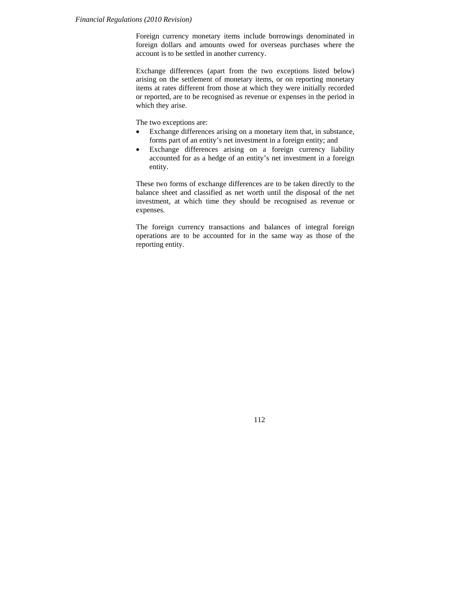Foreign currency monetary items include borrowings denominated in foreign dollars and amounts owed for overseas purchases where the account is to be settled in another currency.

Exchange differences (apart from the two exceptions listed below) arising on the settlement of monetary items, or on reporting monetary items at rates different from those at which they were initially recorded or reported, are to be recognised as revenue or expenses in the period in which they arise.

The two exceptions are:

- Exchange differences arising on a monetary item that, in substance, forms part of an entity's net investment in a foreign entity; and
- Exchange differences arising on a foreign currency liability accounted for as a hedge of an entity's net investment in a foreign entity.

These two forms of exchange differences are to be taken directly to the balance sheet and classified as net worth until the disposal of the net investment, at which time they should be recognised as revenue or expenses.

The foreign currency transactions and balances of integral foreign operations are to be accounted for in the same way as those of the reporting entity.

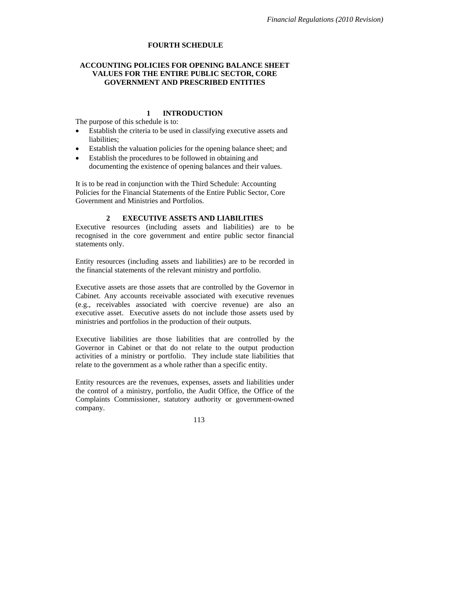# **FOURTH SCHEDULE**

# **ACCOUNTING POLICIES FOR OPENING BALANCE SHEET VALUES FOR THE ENTIRE PUBLIC SECTOR, CORE GOVERNMENT AND PRESCRIBED ENTITIES**

# **1 INTRODUCTION**

The purpose of this schedule is to:

- Establish the criteria to be used in classifying executive assets and liabilities;
- Establish the valuation policies for the opening balance sheet; and
- Establish the procedures to be followed in obtaining and documenting the existence of opening balances and their values.

It is to be read in conjunction with the Third Schedule: Accounting Policies for the Financial Statements of the Entire Public Sector, Core Government and Ministries and Portfolios.

# **2 EXECUTIVE ASSETS AND LIABILITIES**

Executive resources (including assets and liabilities) are to be recognised in the core government and entire public sector financial statements only.

Entity resources (including assets and liabilities) are to be recorded in the financial statements of the relevant ministry and portfolio.

Executive assets are those assets that are controlled by the Governor in Cabinet. Any accounts receivable associated with executive revenues (e.g., receivables associated with coercive revenue) are also an executive asset. Executive assets do not include those assets used by ministries and portfolios in the production of their outputs.

Executive liabilities are those liabilities that are controlled by the Governor in Cabinet or that do not relate to the output production activities of a ministry or portfolio. They include state liabilities that relate to the government as a whole rather than a specific entity.

Entity resources are the revenues, expenses, assets and liabilities under the control of a ministry, portfolio, the Audit Office, the Office of the Complaints Commissioner, statutory authority or government-owned company.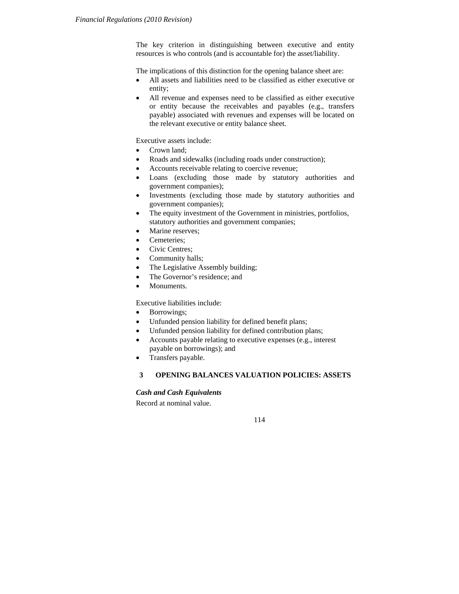The key criterion in distinguishing between executive and entity resources is who controls (and is accountable for) the asset/liability.

The implications of this distinction for the opening balance sheet are:

- All assets and liabilities need to be classified as either executive or entity;
- All revenue and expenses need to be classified as either executive or entity because the receivables and payables (e.g., transfers payable) associated with revenues and expenses will be located on the relevant executive or entity balance sheet.

Executive assets include:

- Crown land;
- Roads and sidewalks (including roads under construction);
- Accounts receivable relating to coercive revenue;
- Loans (excluding those made by statutory authorities and government companies);
- Investments (excluding those made by statutory authorities and government companies);
- The equity investment of the Government in ministries, portfolios, statutory authorities and government companies;
- Marine reserves;
- Cemeteries;
- Civic Centres;
- Community halls;
- The Legislative Assembly building;
- The Governor's residence; and
- Monuments.

Executive liabilities include:

- Borrowings;
- Unfunded pension liability for defined benefit plans;
- Unfunded pension liability for defined contribution plans;
- Accounts payable relating to executive expenses (e.g., interest payable on borrowings); and
- Transfers payable.

# **3 OPENING BALANCES VALUATION POLICIES: ASSETS**

# *Cash and Cash Equivalents*

Record at nominal value.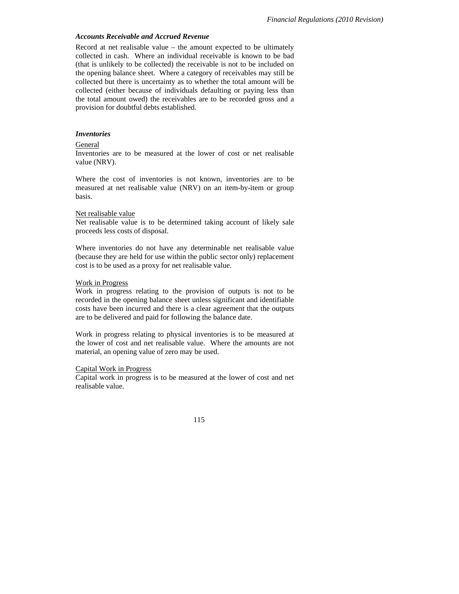## *Accounts Receivable and Accrued Revenue*

Record at net realisable value – the amount expected to be ultimately collected in cash. Where an individual receivable is known to be bad (that is unlikely to be collected) the receivable is not to be included on the opening balance sheet. Where a category of receivables may still be collected but there is uncertainty as to whether the total amount will be collected (either because of individuals defaulting or paying less than the total amount owed) the receivables are to be recorded gross and a provision for doubtful debts established.

#### *Inventories*

# General

Inventories are to be measured at the lower of cost or net realisable value (NRV).

Where the cost of inventories is not known, inventories are to be measured at net realisable value (NRV) on an item-by-item or group basis.

## Net realisable value

Net realisable value is to be determined taking account of likely sale proceeds less costs of disposal.

Where inventories do not have any determinable net realisable value (because they are held for use within the public sector only) replacement cost is to be used as a proxy for net realisable value.

#### Work in Progress

Work in progress relating to the provision of outputs is not to be recorded in the opening balance sheet unless significant and identifiable costs have been incurred and there is a clear agreement that the outputs are to be delivered and paid for following the balance date.

Work in progress relating to physical inventories is to be measured at the lower of cost and net realisable value. Where the amounts are not material, an opening value of zero may be used.

#### Capital Work in Progress

Capital work in progress is to be measured at the lower of cost and net realisable value.

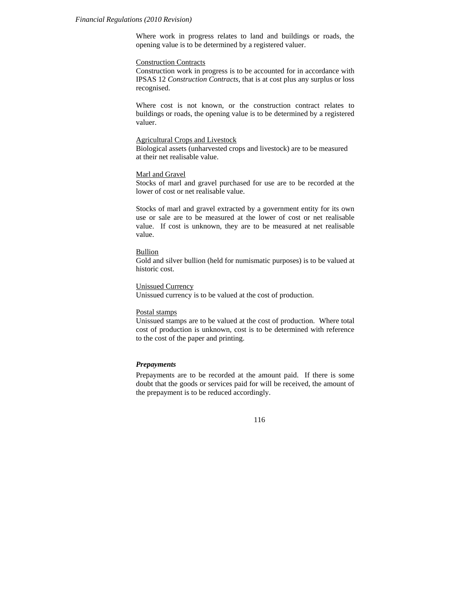Where work in progress relates to land and buildings or roads, the opening value is to be determined by a registered valuer.

#### Construction Contracts

Construction work in progress is to be accounted for in accordance with IPSAS 12 *Construction Contracts,* that is at cost plus any surplus or loss recognised.

Where cost is not known, or the construction contract relates to buildings or roads, the opening value is to be determined by a registered valuer.

## Agricultural Crops and Livestock

Biological assets (unharvested crops and livestock) are to be measured at their net realisable value.

### Marl and Gravel

Stocks of marl and gravel purchased for use are to be recorded at the lower of cost or net realisable value.

Stocks of marl and gravel extracted by a government entity for its own use or sale are to be measured at the lower of cost or net realisable value. If cost is unknown, they are to be measured at net realisable value.

#### Bullion

Gold and silver bullion (held for numismatic purposes) is to be valued at historic cost.

#### Unissued Currency

Unissued currency is to be valued at the cost of production.

#### Postal stamps

Unissued stamps are to be valued at the cost of production. Where total cost of production is unknown, cost is to be determined with reference to the cost of the paper and printing.

### *Prepayments*

Prepayments are to be recorded at the amount paid. If there is some doubt that the goods or services paid for will be received, the amount of the prepayment is to be reduced accordingly.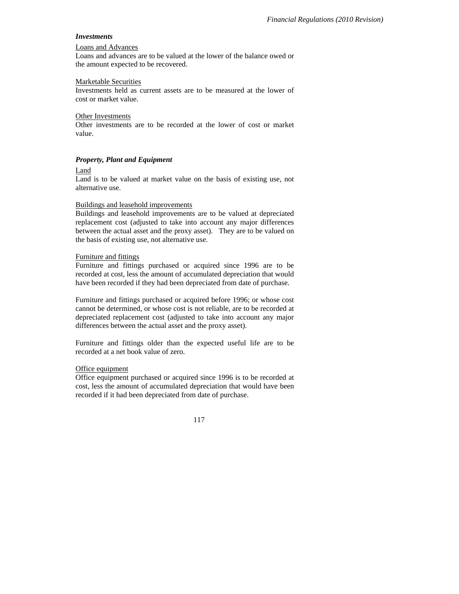## *Investments*

## Loans and Advances

Loans and advances are to be valued at the lower of the balance owed or the amount expected to be recovered.

## Marketable Securities

Investments held as current assets are to be measured at the lower of cost or market value.

#### Other Investments

Other investments are to be recorded at the lower of cost or market value.

#### *Property, Plant and Equipment*

#### Land

Land is to be valued at market value on the basis of existing use, not alternative use.

#### Buildings and leasehold improvements

Buildings and leasehold improvements are to be valued at depreciated replacement cost (adjusted to take into account any major differences between the actual asset and the proxy asset). They are to be valued on the basis of existing use, not alternative use.

## Furniture and fittings

Furniture and fittings purchased or acquired since 1996 are to be recorded at cost, less the amount of accumulated depreciation that would have been recorded if they had been depreciated from date of purchase.

Furniture and fittings purchased or acquired before 1996; or whose cost cannot be determined, or whose cost is not reliable, are to be recorded at depreciated replacement cost (adjusted to take into account any major differences between the actual asset and the proxy asset).

Furniture and fittings older than the expected useful life are to be recorded at a net book value of zero.

#### Office equipment

Office equipment purchased or acquired since 1996 is to be recorded at cost, less the amount of accumulated depreciation that would have been recorded if it had been depreciated from date of purchase.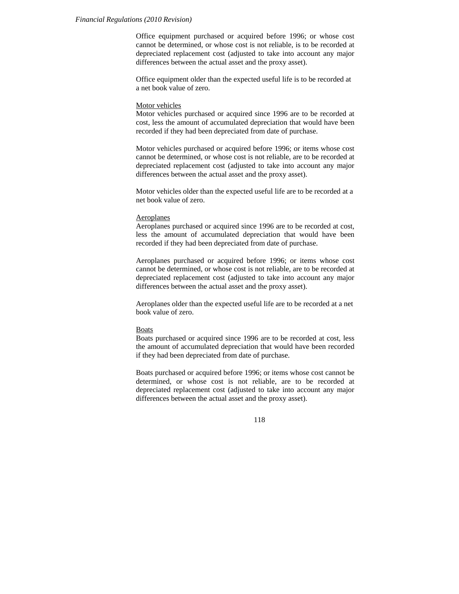Office equipment purchased or acquired before 1996; or whose cost cannot be determined, or whose cost is not reliable, is to be recorded at depreciated replacement cost (adjusted to take into account any major differences between the actual asset and the proxy asset).

Office equipment older than the expected useful life is to be recorded at a net book value of zero.

#### Motor vehicles

Motor vehicles purchased or acquired since 1996 are to be recorded at cost, less the amount of accumulated depreciation that would have been recorded if they had been depreciated from date of purchase.

Motor vehicles purchased or acquired before 1996; or items whose cost cannot be determined, or whose cost is not reliable, are to be recorded at depreciated replacement cost (adjusted to take into account any major differences between the actual asset and the proxy asset).

Motor vehicles older than the expected useful life are to be recorded at a net book value of zero.

# Aeroplanes

Aeroplanes purchased or acquired since 1996 are to be recorded at cost, less the amount of accumulated depreciation that would have been recorded if they had been depreciated from date of purchase.

Aeroplanes purchased or acquired before 1996; or items whose cost cannot be determined, or whose cost is not reliable, are to be recorded at depreciated replacement cost (adjusted to take into account any major differences between the actual asset and the proxy asset).

Aeroplanes older than the expected useful life are to be recorded at a net book value of zero.

## Boats

Boats purchased or acquired since 1996 are to be recorded at cost, less the amount of accumulated depreciation that would have been recorded if they had been depreciated from date of purchase.

Boats purchased or acquired before 1996; or items whose cost cannot be determined, or whose cost is not reliable, are to be recorded at depreciated replacement cost (adjusted to take into account any major differences between the actual asset and the proxy asset).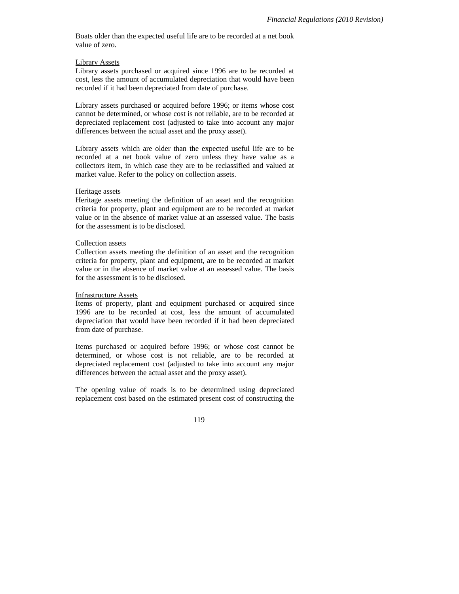Boats older than the expected useful life are to be recorded at a net book value of zero.

## Library Assets

Library assets purchased or acquired since 1996 are to be recorded at cost, less the amount of accumulated depreciation that would have been recorded if it had been depreciated from date of purchase.

Library assets purchased or acquired before 1996; or items whose cost cannot be determined, or whose cost is not reliable, are to be recorded at depreciated replacement cost (adjusted to take into account any major differences between the actual asset and the proxy asset).

Library assets which are older than the expected useful life are to be recorded at a net book value of zero unless they have value as a collectors item, in which case they are to be reclassified and valued at market value. Refer to the policy on collection assets.

#### Heritage assets

Heritage assets meeting the definition of an asset and the recognition criteria for property, plant and equipment are to be recorded at market value or in the absence of market value at an assessed value. The basis for the assessment is to be disclosed.

#### Collection assets

Collection assets meeting the definition of an asset and the recognition criteria for property, plant and equipment, are to be recorded at market value or in the absence of market value at an assessed value. The basis for the assessment is to be disclosed.

#### Infrastructure Assets

Items of property, plant and equipment purchased or acquired since 1996 are to be recorded at cost, less the amount of accumulated depreciation that would have been recorded if it had been depreciated from date of purchase.

Items purchased or acquired before 1996; or whose cost cannot be determined, or whose cost is not reliable, are to be recorded at depreciated replacement cost (adjusted to take into account any major differences between the actual asset and the proxy asset).

The opening value of roads is to be determined using depreciated replacement cost based on the estimated present cost of constructing the

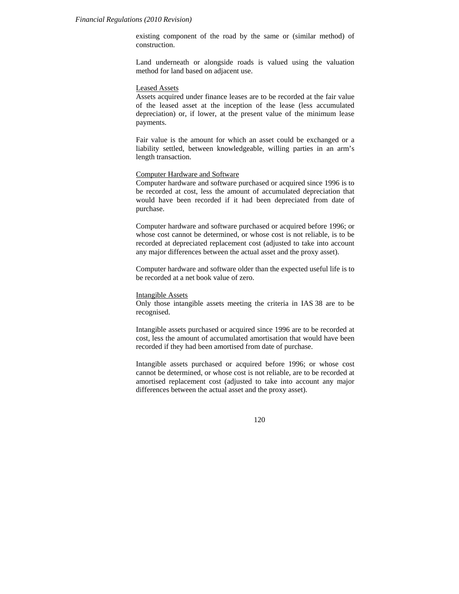existing component of the road by the same or (similar method) of construction.

Land underneath or alongside roads is valued using the valuation method for land based on adjacent use.

## Leased Assets

Assets acquired under finance leases are to be recorded at the fair value of the leased asset at the inception of the lease (less accumulated depreciation) or, if lower, at the present value of the minimum lease payments.

Fair value is the amount for which an asset could be exchanged or a liability settled, between knowledgeable, willing parties in an arm's length transaction.

#### Computer Hardware and Software

Computer hardware and software purchased or acquired since 1996 is to be recorded at cost, less the amount of accumulated depreciation that would have been recorded if it had been depreciated from date of purchase.

Computer hardware and software purchased or acquired before 1996; or whose cost cannot be determined, or whose cost is not reliable, is to be recorded at depreciated replacement cost (adjusted to take into account any major differences between the actual asset and the proxy asset).

Computer hardware and software older than the expected useful life is to be recorded at a net book value of zero.

#### Intangible Assets

Only those intangible assets meeting the criteria in IAS 38 are to be recognised.

Intangible assets purchased or acquired since 1996 are to be recorded at cost, less the amount of accumulated amortisation that would have been recorded if they had been amortised from date of purchase.

Intangible assets purchased or acquired before 1996; or whose cost cannot be determined, or whose cost is not reliable, are to be recorded at amortised replacement cost (adjusted to take into account any major differences between the actual asset and the proxy asset).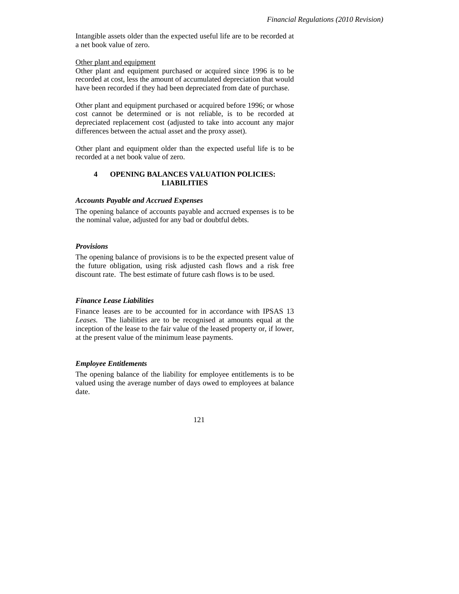Intangible assets older than the expected useful life are to be recorded at a net book value of zero.

#### Other plant and equipment

Other plant and equipment purchased or acquired since 1996 is to be recorded at cost, less the amount of accumulated depreciation that would have been recorded if they had been depreciated from date of purchase.

Other plant and equipment purchased or acquired before 1996; or whose cost cannot be determined or is not reliable, is to be recorded at depreciated replacement cost (adjusted to take into account any major differences between the actual asset and the proxy asset).

Other plant and equipment older than the expected useful life is to be recorded at a net book value of zero.

# **4 OPENING BALANCES VALUATION POLICIES: LIABILITIES**

## *Accounts Payable and Accrued Expenses*

The opening balance of accounts payable and accrued expenses is to be the nominal value, adjusted for any bad or doubtful debts.

## *Provisions*

The opening balance of provisions is to be the expected present value of the future obligation, using risk adjusted cash flows and a risk free discount rate. The best estimate of future cash flows is to be used.

## *Finance Lease Liabilities*

Finance leases are to be accounted for in accordance with IPSAS 13 *Leases.* The liabilities are to be recognised at amounts equal at the inception of the lease to the fair value of the leased property or, if lower, at the present value of the minimum lease payments.

## *Employee Entitlements*

The opening balance of the liability for employee entitlements is to be valued using the average number of days owed to employees at balance date.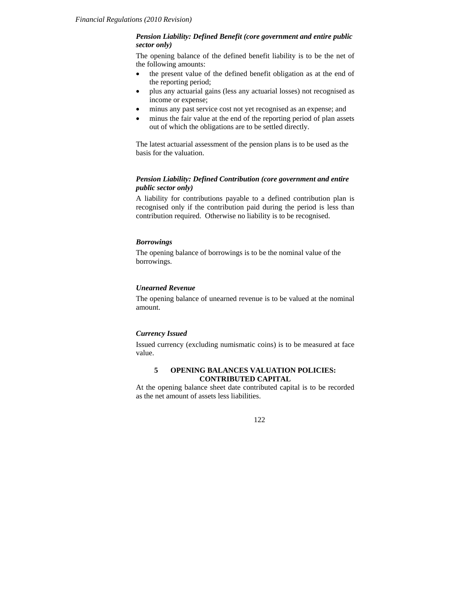## *Pension Liability: Defined Benefit (core government and entire public sector only)*

The opening balance of the defined benefit liability is to be the net of the following amounts:

- the present value of the defined benefit obligation as at the end of the reporting period;
- plus any actuarial gains (less any actuarial losses) not recognised as income or expense;
- minus any past service cost not yet recognised as an expense; and
- minus the fair value at the end of the reporting period of plan assets out of which the obligations are to be settled directly.

The latest actuarial assessment of the pension plans is to be used as the basis for the valuation.

# *Pension Liability: Defined Contribution (core government and entire public sector only)*

A liability for contributions payable to a defined contribution plan is recognised only if the contribution paid during the period is less than contribution required. Otherwise no liability is to be recognised.

## *Borrowings*

The opening balance of borrowings is to be the nominal value of the borrowings.

## *Unearned Revenue*

The opening balance of unearned revenue is to be valued at the nominal amount.

## *Currency Issued*

Issued currency (excluding numismatic coins) is to be measured at face value.

# **5 OPENING BALANCES VALUATION POLICIES: CONTRIBUTED CAPITAL**

At the opening balance sheet date contributed capital is to be recorded as the net amount of assets less liabilities.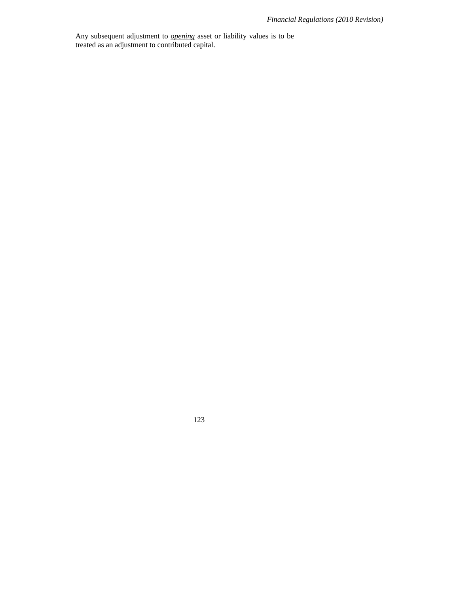Any subsequent adjustment to *opening* asset or liability values is to be treated as an adjustment to contributed capital.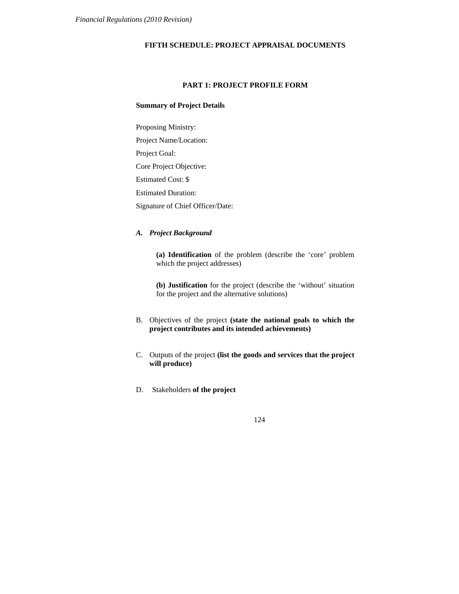# **FIFTH SCHEDULE: PROJECT APPRAISAL DOCUMENTS**

#### **PART 1: PROJECT PROFILE FORM**

## **Summary of Project Details**

Proposing Ministry: Project Name/Location: Project Goal: Core Project Objective: Estimated Cost: \$ Estimated Duration: Signature of Chief Officer/Date:

## *A. Project Background*

**(a) Identification** of the problem (describe the 'core' problem which the project addresses)

**(b) Justification** for the project (describe the 'without' situation for the project and the alternative solutions)

- B. Objectives of the project **(state the national goals to which the project contributes and its intended achievements)**
- C. Outputs of the project **(list the goods and services that the project will produce)**
- D. Stakeholders **of the project**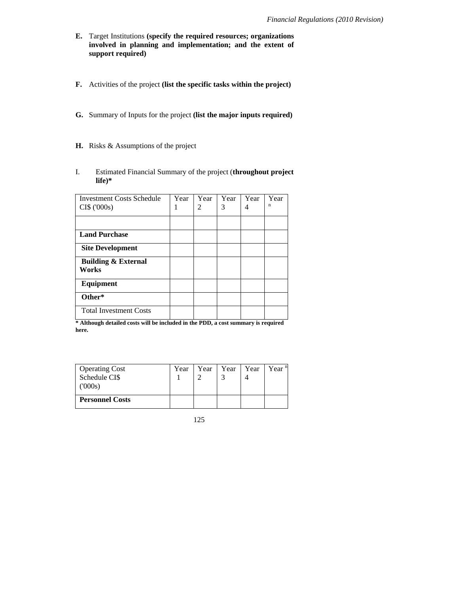- **E.** Target Institutions **(specify the required resources; organizations involved in planning and implementation; and the extent of support required)**
- **F.** Activities of the project **(list the specific tasks within the project)**
- **G.** Summary of Inputs for the project **(list the major inputs required)**
- **H.** Risks & Assumptions of the project
- I. Estimated Financial Summary of the project (**throughout project life)\***

| <b>Investment Costs Schedule</b>        | Year | Year | Year | Year | Year |
|-----------------------------------------|------|------|------|------|------|
| CI\$ ('000s)                            | 1    | 2    | 3    | 4    | n    |
|                                         |      |      |      |      |      |
| <b>Land Purchase</b>                    |      |      |      |      |      |
| <b>Site Development</b>                 |      |      |      |      |      |
| <b>Building &amp; External</b><br>Works |      |      |      |      |      |
| Equipment                               |      |      |      |      |      |
| Other*                                  |      |      |      |      |      |
| <b>Total Investment Costs</b>           |      |      |      |      |      |

**\* Although detailed costs will be included in the PDD, a cost summary is required here.** 

| <b>Operating Cost</b><br>Schedule CI\$<br>000s | Year | Year | Year | Year | Year $n$ |
|------------------------------------------------|------|------|------|------|----------|
| <b>Personnel Costs</b>                         |      |      |      |      |          |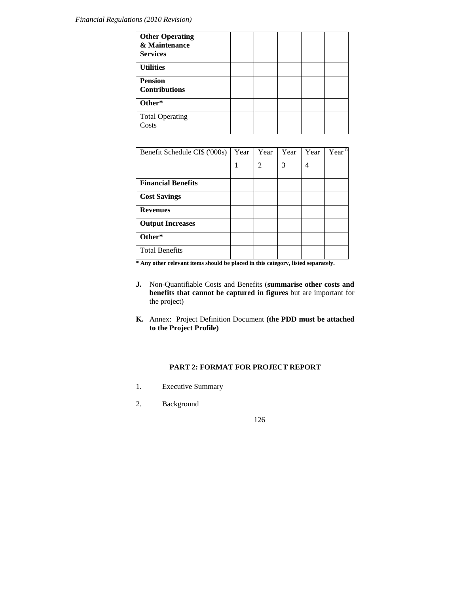| <b>Other Operating</b><br>& Maintenance<br><b>Services</b> |  |  |  |
|------------------------------------------------------------|--|--|--|
| <b>Utilities</b>                                           |  |  |  |
| <b>Pension</b><br><b>Contributions</b>                     |  |  |  |
| Other*                                                     |  |  |  |
| <b>Total Operating</b><br>Costs                            |  |  |  |

| Benefit Schedule CI\$ ('000s) | Year | Year | Year | Year | Year <sup>n</sup> |
|-------------------------------|------|------|------|------|-------------------|
|                               |      |      |      |      |                   |
|                               | 1    | 2    | 3    | 4    |                   |
|                               |      |      |      |      |                   |
| <b>Financial Benefits</b>     |      |      |      |      |                   |
| <b>Cost Savings</b>           |      |      |      |      |                   |
| <b>Revenues</b>               |      |      |      |      |                   |
| <b>Output Increases</b>       |      |      |      |      |                   |
| Other*                        |      |      |      |      |                   |
| <b>Total Benefits</b>         |      |      |      |      |                   |

**\* Any other relevant items should be placed in this category, listed separately.** 

- **J.** Non-Quantifiable Costs and Benefits (**summarise other costs and benefits that cannot be captured in figures** but are important for the project)
- **K.** Annex: Project Definition Document **(the PDD must be attached to the Project Profile)**

# **PART 2: FORMAT FOR PROJECT REPORT**

- 1. Executive Summary
- 2. Background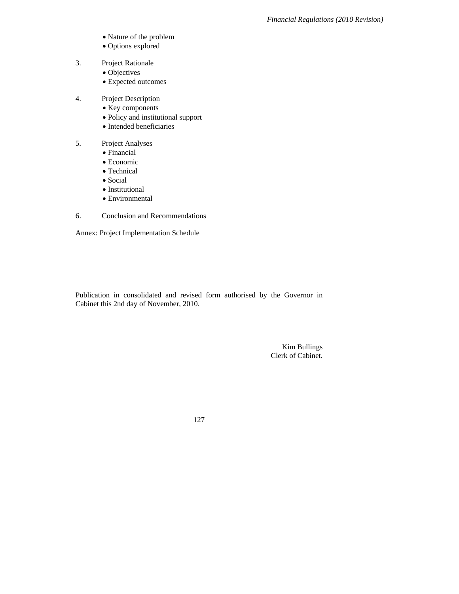- Nature of the problem
- Options explored
- 3. Project Rationale
	- Objectives
	- Expected outcomes
- 4. Project Description
	- Key components
	- Policy and institutional support
	- Intended beneficiaries
- 5. Project Analyses
	- Financial
	- Economic
	- Technical
	- Social
	- Institutional
	- Environmental
- 6. Conclusion and Recommendations

Annex: Project Implementation Schedule

Publication in consolidated and revised form authorised by the Governor in Cabinet this 2nd day of November, 2010.

> Kim Bullings Clerk of Cabinet.